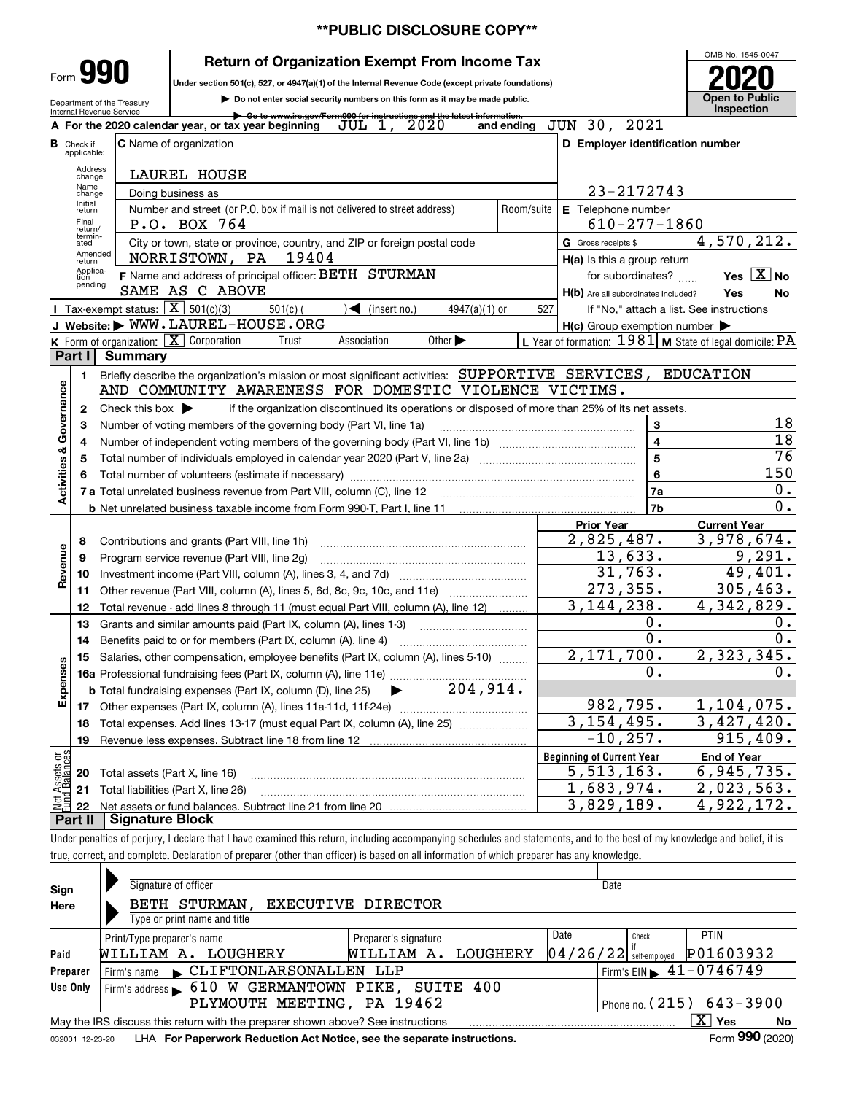# **\*\*PUBLIC DISCLOSURE COPY\*\***

# **Return of Organization Exempt From Income Tax**

**2020**<br>
Under section 501(c), 527, or 4947(a)(1) of the Internal Revenue Code (except private foundations)

Department of the Treasury Internal Revenue Service

**990**

Form

**| Do not enter social security numbers on this form as it may be made public.**

**| Go to www.irs.gov/Form990 for instructions and the latest information.For the 2020 calendar year, or tax year beginning**  $\overline{JUL}$  **1, 2020** and ending JUN 30, 2021 **AC** Name of organization **<sup>C</sup> <sup>D</sup> Employer identification number B**Check if applicable:Address change LAUREL HOUSE Name change23-2172743 Doing business as Initial return**E** Telephone number Number and street (or P.O. box if mail is not delivered to street address)  $\begin{bmatrix} \text{Room/suite} \\ \text{R} \\ \text{R} \end{bmatrix}$   $\begin{bmatrix} \text{R} \\ \text{R} \\ \text{R} \end{bmatrix}$   $\begin{bmatrix} \text{R} \\ \text{R} \\ \text{R} \end{bmatrix}$   $\begin{bmatrix} \text{R} \\ \text{R} \\ \text{R} \end{bmatrix}$   $\begin{bmatrix} \text{R} \\ \text{$  Final return/ termin-atedP.O. BOX 764 and the set of the set of the set of the set of the set of the set of the set of the set of the s G Gross receipts \$ 4,570,212.  $\overline{e}$  City or town, state or province, country, and ZIP or foreign postal code  $\overline{G}$  Gross receipts \$ Amended returnNORRISTOWN, PA 19404 **H(a)** Is this a group return Applica-tion pending Yes  $\boxed{\text{X}}$  No **F** Name and address of principal officer: BETH STURMAN **The CONOM** of the subordinates? ...... **Yes EX** No<br>SAME AS C ABOVE SAME AS C ABOVE **Yes**H(b) Are all subordinates included?  **No** Tax-exempt status:  $\boxed{\mathbf{X}}$  501(c)(3) 501(c)( ) If "No," attach a list. See instructions **J** Tax-exempt status:  $\underline{X}$  501(c)(3) 501(c)( ) (insert no.) 4947(a)(1) or 527<br>**J Website: WWW.LAUREL-HOUSE.ORG H(c)** Group exemption number **K** Form of organization:  $\boxed{\mathbf{X}}$ Form of organization: <u>[X]</u> Corporation Trust Association Other | Lyear of formation: 1981 M State of legal domicile: PA<br>**art I Summary LPart I Summary** Briefly describe the organization's mission or most significant activities:  $\,$  SUPPORTIVE  $\,$  SERVICES ,  $\,$  EDUCATION  $\,$ **1Activities & Governance Activities & Governance** AND COMMUNITY AWARENESS FOR DOMESTIC VIOLENCE VICTIMS. if the organization discontinued its operations or disposed of more than 25% of its net assets. **2**Check this box  $\blacktriangleright$ 18 Number of voting members of the governing body (Part VI, line 1a) **33**18 **4**Number of independent voting members of the governing body (Part VI, line 1b) www.community.community.com **4**76 Total number of individuals employed in calendar year 2020 (Part V, line 2a) **556**150 **6**Total number of volunteers (estimate if necessary) …………………………………………………………………………… ~~~~~~~~~~~~~~~~~~~~**7a**0. **7a**Total unrelated business revenue from Part VIII, column (C), line 12 **7b**0. **b** Net unrelated business taxable income from Form 990-T, Part I, line 11 **Prior Year Current Year** 2,825,487. 3,978,674. Contributions and grants (Part VIII, line 1h)<br>Program service revenue (Part VIII, line 2g) **8**Revenue **Revenue** 9,291. 13,633. **9**Program service revenue (Part VIII, line 2g) ………………………………………………………<br>Investment income (Part VIII, column (A), lines 3, 4, and 7d) ……………………………… 31,763.  $\overline{49,401.}$ **10**273,355. **11**Other revenue (Part VIII, column (A), lines 5, 6d, 8c, 9c, 10c, and 11e)  $\ldots$ 305,463. Total revenue - add lines 8 through 11 (must equal Part VIII, column (A), line 12) ......... 3,144,238. 4,342,829. **12** $0$  . 0. **13**Grants and similar amounts paid (Part IX, column (A), lines 1-3) …………………………… 0. 0. Benefits paid to or for members (Part IX, column (A), line 4) **14**2,171,700. 2,323,345. **15**Salaries, other compensation, employee benefits (Part IX, column (A), lines 5-10)  $\,$  , , , , , , , **Expenses** 0. 0. **16a**Professional fundraising fees (Part IX, column (A), line 11e) ~~~~~~~~~~~~~~ $\blacktriangleright$  204,914. **b**Total fundraising expenses (Part IX, column (D), line 25) 982,795. 1,104,075. **17**Other expenses (Part IX, column (A), lines 11a-11d, 11f-24e) ………………………………… 3,154,495. 3,427,420.<br>−10,257. 915,409. **18**Total expenses. Add lines 13-17 (must equal Part IX, column (A), line 25)  $\ldots\ldots\ldots\ldots\ldots\ldots\ldots$  $915,409.$ **19**Revenue less expenses. Subtract line 18 from line 12 vet Assets or<br>und Balances **Beginning of Current Year End of Year** Total assets (Part X, line 16) 5,513,163. 6,945,735.<br>1,683,974. 2,023,563. **20**<u>1,683,974. 2,023,563.</u><br>3,829,189. 4,922,172. **21**Total liabilities (Part X, line 26) **22**Net assets or fund balances. Subtract line 21 from line 20 3,829,189. 4,922,172. **Part II Signature Block**

Under penalties of perjury, I declare that I have examined this return, including accompanying schedules and statements, and to the best of my knowledge and belief, it is true, correct, and complete. Declaration of preparer (other than officer) is based on all information of which preparer has any knowledge.

| Sign     | Signature of officer                                                                                                 |                      | Date                                            |             |  |  |  |  |  |  |  |
|----------|----------------------------------------------------------------------------------------------------------------------|----------------------|-------------------------------------------------|-------------|--|--|--|--|--|--|--|
| Here     | BETH STURMAN,<br>Type or print name and title                                                                        | EXECUTIVE DIRECTOR   |                                                 |             |  |  |  |  |  |  |  |
|          | Print/Type preparer's name                                                                                           | Preparer's signature | Date<br>Check                                   | <b>PTIN</b> |  |  |  |  |  |  |  |
| Paid     | LOUGHERY<br>WILLIAM A.                                                                                               | WILLIAM A. LOUGHERY  | $04/26/22$ self-employed                        | P01603932   |  |  |  |  |  |  |  |
| Preparer | CLIFTONLARSONALLEN LLP<br>Firm's name                                                                                |                      | $1$ Firm's EIN $\blacktriangleright$ 41-0746749 |             |  |  |  |  |  |  |  |
| Use Only | Firm's address 610 W GERMANTOWN PIKE, SUITE 400                                                                      |                      |                                                 |             |  |  |  |  |  |  |  |
|          | PLYMOUTH MEETING, PA 19462<br>Phone no. $(215)$ 643-3900                                                             |                      |                                                 |             |  |  |  |  |  |  |  |
|          | X.<br>Yes<br>May the IRS discuss this return with the preparer shown above? See instructions<br>No                   |                      |                                                 |             |  |  |  |  |  |  |  |
|          | Form 990 (2020)<br><b>I HA For Paperwork Reduction Act Notice, see the separate instructions.</b><br>032001 12-23-20 |                      |                                                 |             |  |  |  |  |  |  |  |

**For Paperwork Reduction Act Notice, see the separate instructions.** LHA Form (2020)

OMB No. 1545-0047

**Open to Public Inspection**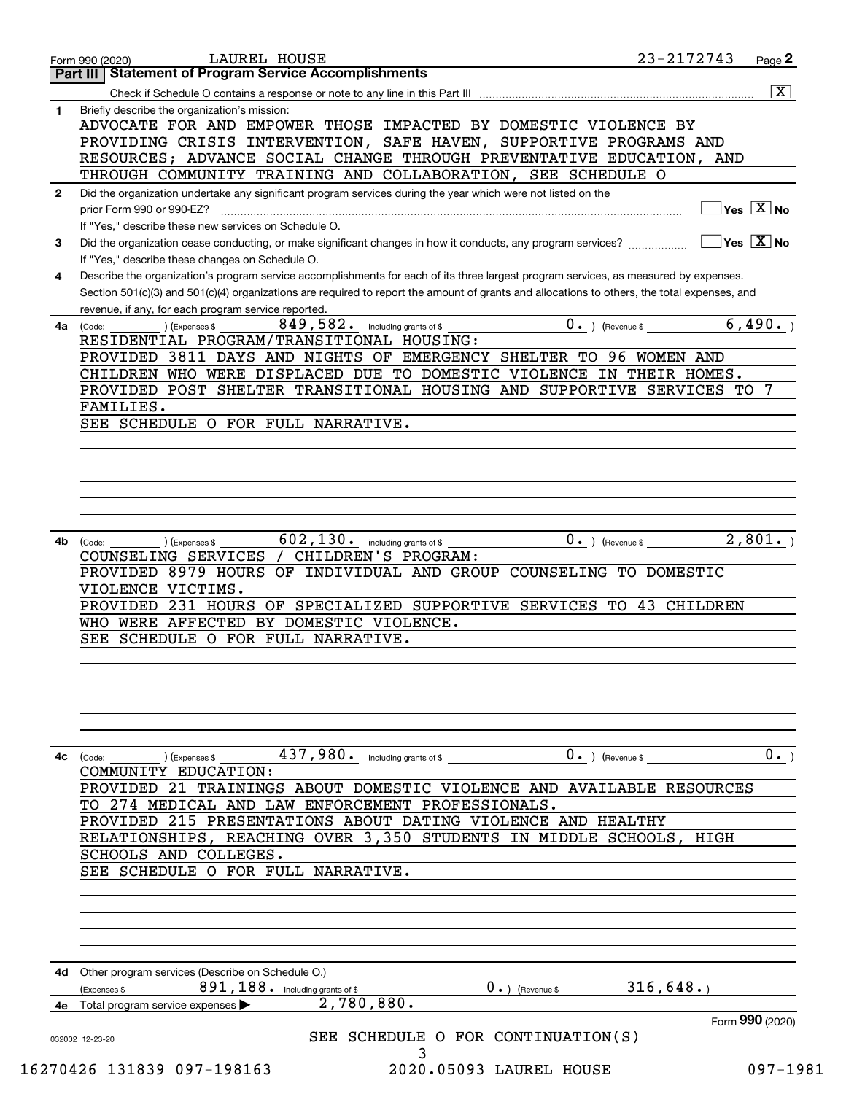|              | LAUREL HOUSE<br>Form 990 (2020)                                                                                                                   | 23-2172743                     |                 | Page 2                                                         |
|--------------|---------------------------------------------------------------------------------------------------------------------------------------------------|--------------------------------|-----------------|----------------------------------------------------------------|
|              | <b>Part III   Statement of Program Service Accomplishments</b>                                                                                    |                                |                 |                                                                |
|              |                                                                                                                                                   |                                |                 | $\overline{\mathbf{x}}$                                        |
| 1            | Briefly describe the organization's mission:                                                                                                      |                                |                 |                                                                |
|              | ADVOCATE FOR AND EMPOWER THOSE IMPACTED BY DOMESTIC VIOLENCE BY                                                                                   |                                |                 |                                                                |
|              | PROVIDING CRISIS INTERVENTION, SAFE HAVEN, SUPPORTIVE PROGRAMS AND                                                                                |                                |                 |                                                                |
|              | RESOURCES; ADVANCE SOCIAL CHANGE THROUGH PREVENTATIVE EDUCATION, AND                                                                              |                                |                 |                                                                |
|              | THROUGH COMMUNITY TRAINING AND COLLABORATION, SEE SCHEDULE O                                                                                      |                                |                 |                                                                |
| $\mathbf{2}$ | Did the organization undertake any significant program services during the year which were not listed on the                                      |                                |                 |                                                                |
|              | prior Form 990 or 990-EZ?                                                                                                                         |                                |                 | $\overline{\mathsf{Yes}\mathrel{\hspace{0.05cm}\mathbf{X}}$ No |
|              | If "Yes," describe these new services on Schedule O.                                                                                              |                                |                 | $\sqrt{}$ Yes $\sqrt{}$ X $\sqrt{}$ No                         |
| 3            | Did the organization cease conducting, or make significant changes in how it conducts, any program services?                                      |                                |                 |                                                                |
|              | If "Yes," describe these changes on Schedule O.                                                                                                   |                                |                 |                                                                |
| 4            | Describe the organization's program service accomplishments for each of its three largest program services, as measured by expenses.              |                                |                 |                                                                |
|              | Section 501(c)(3) and 501(c)(4) organizations are required to report the amount of grants and allocations to others, the total expenses, and      |                                |                 |                                                                |
|              | revenue, if any, for each program service reported.<br>$849$ , $582$ . including grants of \$                                                     | $\overline{0}$ . ) (Revenue \$ |                 | 6,490.                                                         |
| 4a           | $\overline{\phantom{a}}$ ) (Expenses \$<br>(Code:<br>RESIDENTIAL PROGRAM/TRANSITIONAL HOUSING:                                                    |                                |                 |                                                                |
|              | PROVIDED 3811 DAYS AND NIGHTS OF EMERGENCY SHELTER TO 96 WOMEN AND                                                                                |                                |                 |                                                                |
|              | CHILDREN WHO WERE DISPLACED DUE TO DOMESTIC VIOLENCE IN THEIR HOMES.                                                                              |                                |                 |                                                                |
|              | PROVIDED POST SHELTER TRANSITIONAL HOUSING AND SUPPORTIVE SERVICES TO 7                                                                           |                                |                 |                                                                |
|              | FAMILIES.                                                                                                                                         |                                |                 |                                                                |
|              | SEE SCHEDULE O FOR FULL NARRATIVE.                                                                                                                |                                |                 |                                                                |
|              |                                                                                                                                                   |                                |                 |                                                                |
|              |                                                                                                                                                   |                                |                 |                                                                |
|              |                                                                                                                                                   |                                |                 |                                                                |
|              |                                                                                                                                                   |                                |                 |                                                                |
|              |                                                                                                                                                   |                                |                 |                                                                |
|              |                                                                                                                                                   |                                |                 |                                                                |
| 4b           | $602, 130$ . including grants of \$<br>) (Expenses \$<br>(Code:                                                                                   | $0.$ ) (Revenue \$ 2,801.)     |                 |                                                                |
|              | CHILDREN'S PROGRAM:<br>COUNSELING SERVICES /                                                                                                      |                                |                 |                                                                |
|              | PROVIDED 8979 HOURS OF INDIVIDUAL AND GROUP COUNSELING TO DOMESTIC                                                                                |                                |                 |                                                                |
|              | VIOLENCE VICTIMS.                                                                                                                                 |                                |                 |                                                                |
|              | PROVIDED 231 HOURS OF SPECIALIZED SUPPORTIVE SERVICES TO 43 CHILDREN                                                                              |                                |                 |                                                                |
|              | WHO WERE AFFECTED BY DOMESTIC VIOLENCE.                                                                                                           |                                |                 |                                                                |
|              | SEE SCHEDULE O FOR FULL NARRATIVE.                                                                                                                |                                |                 |                                                                |
|              |                                                                                                                                                   |                                |                 |                                                                |
|              |                                                                                                                                                   |                                |                 |                                                                |
|              |                                                                                                                                                   |                                |                 |                                                                |
|              |                                                                                                                                                   |                                |                 |                                                                |
|              |                                                                                                                                                   |                                |                 |                                                                |
|              |                                                                                                                                                   |                                |                 |                                                                |
| 4с           | 437,980. including grants of \$<br>$0.$ ) (Revenue \$ _<br>$\left(\text{Code:}\ \_\_\_\_\_\right)$ $\left(\text{Expenses $}\ \text{S}\ \_\_\_\_\$ |                                |                 | 0.                                                             |
|              | COMMUNITY EDUCATION:                                                                                                                              |                                |                 |                                                                |
|              | 21 TRAININGS ABOUT DOMESTIC VIOLENCE AND AVAILABLE RESOURCES<br>PROVIDED                                                                          |                                |                 |                                                                |
|              | TO 274 MEDICAL AND LAW ENFORCEMENT PROFESSIONALS.                                                                                                 |                                |                 |                                                                |
|              | PROVIDED 215 PRESENTATIONS ABOUT DATING VIOLENCE AND HEALTHY                                                                                      |                                |                 |                                                                |
|              | RELATIONSHIPS, REACHING OVER 3,350 STUDENTS IN MIDDLE SCHOOLS, HIGH                                                                               |                                |                 |                                                                |
|              | SCHOOLS AND COLLEGES.                                                                                                                             |                                |                 |                                                                |
|              | SEE SCHEDULE O FOR FULL NARRATIVE.                                                                                                                |                                |                 |                                                                |
|              |                                                                                                                                                   |                                |                 |                                                                |
|              |                                                                                                                                                   |                                |                 |                                                                |
|              |                                                                                                                                                   |                                |                 |                                                                |
|              |                                                                                                                                                   |                                |                 |                                                                |
|              | 4d Other program services (Describe on Schedule O.)                                                                                               |                                |                 |                                                                |
|              | 891, 188. including grants of \$<br>$0 \cdot$ ) (Revenue \$<br>(Expenses \$                                                                       | 316,648.                       |                 |                                                                |
|              | 2,780,880.<br>4e Total program service expenses                                                                                                   |                                |                 |                                                                |
|              |                                                                                                                                                   |                                | Form 990 (2020) |                                                                |
|              | SEE SCHEDULE O FOR CONTINUATION(S)                                                                                                                |                                |                 |                                                                |
|              | 032002 12-23-20<br>3                                                                                                                              |                                |                 |                                                                |
|              | 16270426 131839 097-198163<br>2020.05093 LAUREL HOUSE                                                                                             |                                |                 | $097 - 1981$                                                   |
|              |                                                                                                                                                   |                                |                 |                                                                |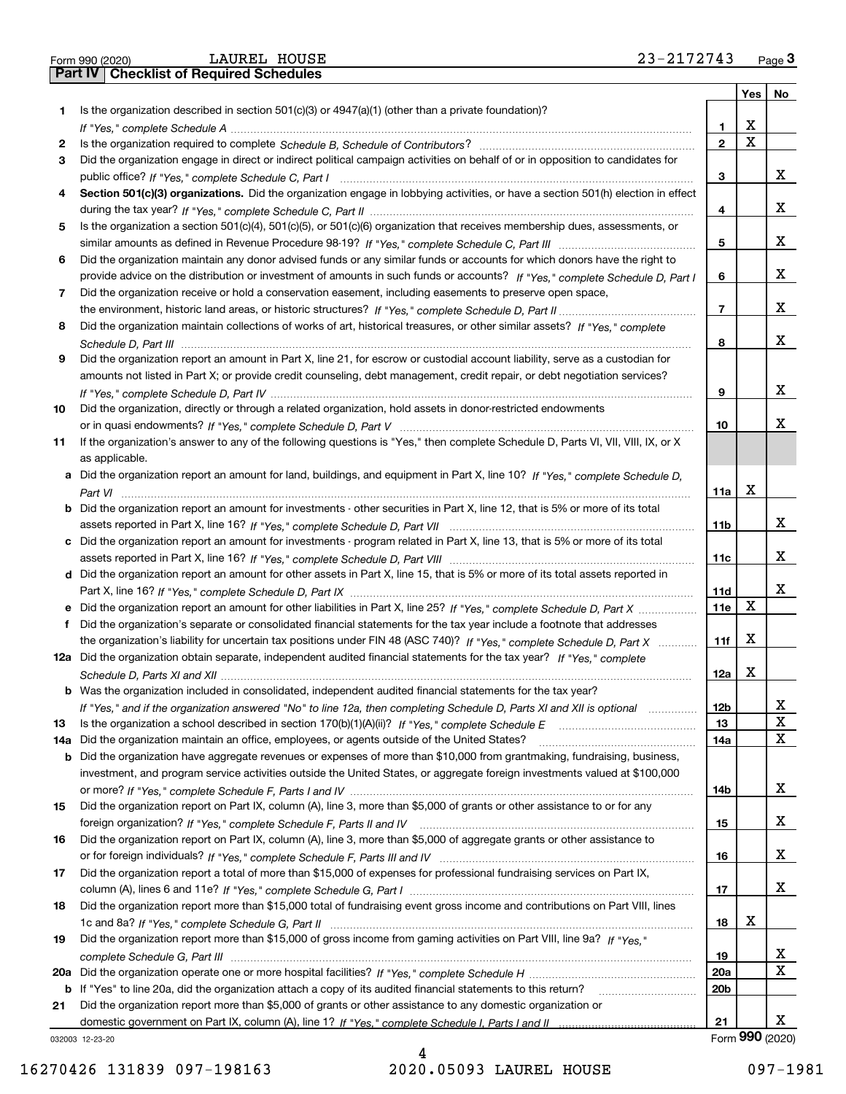|  | Form 990 (2020) |
|--|-----------------|

|    |                                                                                                                                       |                 | Yes         | No              |
|----|---------------------------------------------------------------------------------------------------------------------------------------|-----------------|-------------|-----------------|
| 1. | Is the organization described in section $501(c)(3)$ or $4947(a)(1)$ (other than a private foundation)?                               |                 |             |                 |
|    |                                                                                                                                       | 1               | х           |                 |
| 2  |                                                                                                                                       | $\mathbf{2}$    | $\mathbf X$ |                 |
| 3  | Did the organization engage in direct or indirect political campaign activities on behalf of or in opposition to candidates for       |                 |             |                 |
|    |                                                                                                                                       | 3               |             | x               |
| 4  | Section 501(c)(3) organizations. Did the organization engage in lobbying activities, or have a section 501(h) election in effect      |                 |             |                 |
|    |                                                                                                                                       | 4               |             | х               |
| 5  | Is the organization a section 501(c)(4), 501(c)(5), or 501(c)(6) organization that receives membership dues, assessments, or          |                 |             | x               |
|    |                                                                                                                                       | 5               |             |                 |
| 6  | Did the organization maintain any donor advised funds or any similar funds or accounts for which donors have the right to             |                 |             | x               |
|    | provide advice on the distribution or investment of amounts in such funds or accounts? If "Yes," complete Schedule D, Part I          | 6               |             |                 |
| 7  | Did the organization receive or hold a conservation easement, including easements to preserve open space,                             | 7               |             | x               |
|    | Did the organization maintain collections of works of art, historical treasures, or other similar assets? If "Yes," complete          |                 |             |                 |
| 8  |                                                                                                                                       | 8               |             | x               |
| 9  | Did the organization report an amount in Part X, line 21, for escrow or custodial account liability, serve as a custodian for         |                 |             |                 |
|    | amounts not listed in Part X; or provide credit counseling, debt management, credit repair, or debt negotiation services?             |                 |             |                 |
|    |                                                                                                                                       | 9               |             | x               |
| 10 | Did the organization, directly or through a related organization, hold assets in donor-restricted endowments                          |                 |             |                 |
|    |                                                                                                                                       | 10              |             | x               |
| 11 | If the organization's answer to any of the following questions is "Yes," then complete Schedule D, Parts VI, VII, VIII, IX, or X      |                 |             |                 |
|    | as applicable.                                                                                                                        |                 |             |                 |
|    | a Did the organization report an amount for land, buildings, and equipment in Part X, line 10? If "Yes," complete Schedule D,         |                 |             |                 |
|    |                                                                                                                                       | 11a             | Х           |                 |
|    | <b>b</b> Did the organization report an amount for investments - other securities in Part X, line 12, that is 5% or more of its total |                 |             |                 |
|    |                                                                                                                                       | 11b             |             | х               |
|    | c Did the organization report an amount for investments - program related in Part X, line 13, that is 5% or more of its total         |                 |             |                 |
|    |                                                                                                                                       | 11c             |             | x               |
|    | d Did the organization report an amount for other assets in Part X, line 15, that is 5% or more of its total assets reported in       |                 |             |                 |
|    |                                                                                                                                       | 11d             |             | х               |
|    |                                                                                                                                       | 11e             | Х           |                 |
| f  | Did the organization's separate or consolidated financial statements for the tax year include a footnote that addresses               |                 |             |                 |
|    | the organization's liability for uncertain tax positions under FIN 48 (ASC 740)? If "Yes," complete Schedule D, Part X                | 11f             | Х           |                 |
|    | 12a Did the organization obtain separate, independent audited financial statements for the tax year? If "Yes," complete               |                 |             |                 |
|    |                                                                                                                                       | 12a             | Х           |                 |
|    | <b>b</b> Was the organization included in consolidated, independent audited financial statements for the tax year?                    |                 |             |                 |
|    | If "Yes," and if the organization answered "No" to line 12a, then completing Schedule D, Parts XI and XII is optional                 | 12 <sub>b</sub> |             | х               |
| 13 |                                                                                                                                       | 13              |             | $\mathbf X$     |
|    | 14a Did the organization maintain an office, employees, or agents outside of the United States?                                       | 14a             |             | х               |
|    | <b>b</b> Did the organization have aggregate revenues or expenses of more than \$10,000 from grantmaking, fundraising, business,      |                 |             |                 |
|    | investment, and program service activities outside the United States, or aggregate foreign investments valued at \$100,000            |                 |             |                 |
|    |                                                                                                                                       | 14b             |             | x               |
| 15 | Did the organization report on Part IX, column (A), line 3, more than \$5,000 of grants or other assistance to or for any             |                 |             |                 |
|    |                                                                                                                                       | 15              |             | х               |
| 16 | Did the organization report on Part IX, column (A), line 3, more than \$5,000 of aggregate grants or other assistance to              |                 |             | X               |
| 17 | Did the organization report a total of more than \$15,000 of expenses for professional fundraising services on Part IX,               | 16              |             |                 |
|    |                                                                                                                                       | 17              |             | х               |
| 18 | Did the organization report more than \$15,000 total of fundraising event gross income and contributions on Part VIII, lines          |                 |             |                 |
|    |                                                                                                                                       | 18              | х           |                 |
| 19 | Did the organization report more than \$15,000 of gross income from gaming activities on Part VIII, line 9a? If "Yes."                |                 |             |                 |
|    |                                                                                                                                       | 19              |             | X               |
|    |                                                                                                                                       | 20a             |             | X               |
|    | b If "Yes" to line 20a, did the organization attach a copy of its audited financial statements to this return?                        | 20 <sub>b</sub> |             |                 |
| 21 | Did the organization report more than \$5,000 of grants or other assistance to any domestic organization or                           |                 |             |                 |
|    |                                                                                                                                       | 21              |             | х               |
|    | 032003 12-23-20                                                                                                                       |                 |             | Form 990 (2020) |

032003 12-23-20

4 16270426 131839 097-198163 2020.05093 LAUREL HOUSE 097-1981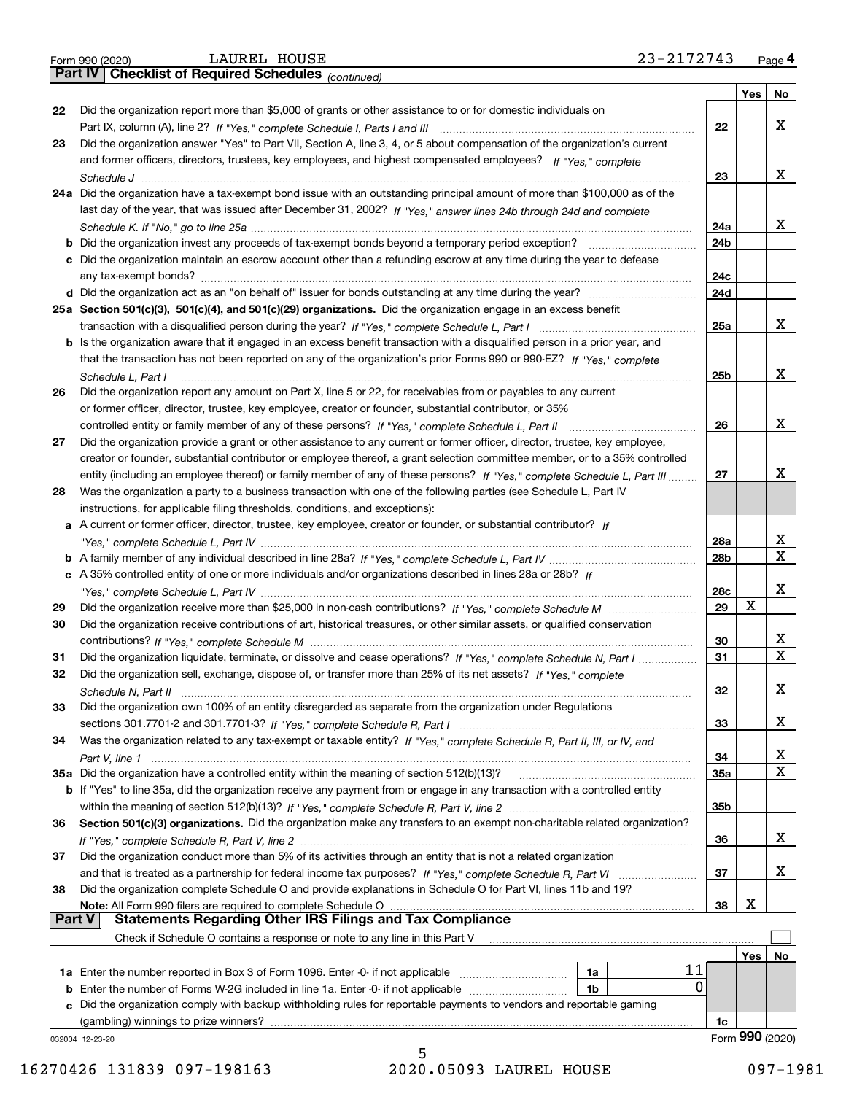|  | Form 990 (2020) |  |
|--|-----------------|--|
|  |                 |  |

*(continued)*

|               |                                                                                                                              |                 | Yes | No.             |
|---------------|------------------------------------------------------------------------------------------------------------------------------|-----------------|-----|-----------------|
| 22            | Did the organization report more than \$5,000 of grants or other assistance to or for domestic individuals on                |                 |     |                 |
|               |                                                                                                                              | 22              |     | x               |
| 23            | Did the organization answer "Yes" to Part VII, Section A, line 3, 4, or 5 about compensation of the organization's current   |                 |     |                 |
|               | and former officers, directors, trustees, key employees, and highest compensated employees? If "Yes," complete               |                 |     |                 |
|               |                                                                                                                              | 23              |     | x               |
|               | 24a Did the organization have a tax-exempt bond issue with an outstanding principal amount of more than \$100,000 as of the  |                 |     |                 |
|               | last day of the year, that was issued after December 31, 2002? If "Yes," answer lines 24b through 24d and complete           |                 |     |                 |
|               |                                                                                                                              | 24a             |     | х               |
| b             | Did the organization invest any proceeds of tax-exempt bonds beyond a temporary period exception?                            | 24 <sub>b</sub> |     |                 |
|               | c Did the organization maintain an escrow account other than a refunding escrow at any time during the year to defease       |                 |     |                 |
|               | any tax-exempt bonds?                                                                                                        | 24c             |     |                 |
|               |                                                                                                                              | 24d             |     |                 |
|               | 25a Section 501(c)(3), 501(c)(4), and 501(c)(29) organizations. Did the organization engage in an excess benefit             |                 |     |                 |
|               |                                                                                                                              | 25a             |     | х               |
|               | b Is the organization aware that it engaged in an excess benefit transaction with a disqualified person in a prior year, and |                 |     |                 |
|               | that the transaction has not been reported on any of the organization's prior Forms 990 or 990-EZ? If "Yes." complete        |                 |     |                 |
|               | Schedule L, Part I                                                                                                           | 25b             |     | x               |
| 26            | Did the organization report any amount on Part X, line 5 or 22, for receivables from or payables to any current              |                 |     |                 |
|               | or former officer, director, trustee, key employee, creator or founder, substantial contributor, or 35%                      |                 |     |                 |
|               | controlled entity or family member of any of these persons? If "Yes," complete Schedule L, Part II                           | 26              |     | x               |
| 27            | Did the organization provide a grant or other assistance to any current or former officer, director, trustee, key employee,  |                 |     |                 |
|               | creator or founder, substantial contributor or employee thereof, a grant selection committee member, or to a 35% controlled  |                 |     | х               |
|               | entity (including an employee thereof) or family member of any of these persons? If "Yes," complete Schedule L, Part III     | 27              |     |                 |
| 28            | Was the organization a party to a business transaction with one of the following parties (see Schedule L, Part IV            |                 |     |                 |
|               | instructions, for applicable filing thresholds, conditions, and exceptions):                                                 |                 |     |                 |
|               | a A current or former officer, director, trustee, key employee, creator or founder, or substantial contributor? If           | 28a             |     | х               |
|               |                                                                                                                              | 28 <sub>b</sub> |     | Χ               |
|               | c A 35% controlled entity of one or more individuals and/or organizations described in lines 28a or 28b? If                  |                 |     |                 |
|               |                                                                                                                              | 28c             |     | х               |
| 29            |                                                                                                                              | 29              | х   |                 |
| 30            | Did the organization receive contributions of art, historical treasures, or other similar assets, or qualified conservation  |                 |     |                 |
|               |                                                                                                                              | 30              |     | х               |
| 31            | Did the organization liquidate, terminate, or dissolve and cease operations? If "Yes," complete Schedule N, Part I           | 31              |     | X               |
| 32            | Did the organization sell, exchange, dispose of, or transfer more than 25% of its net assets? If "Yes," complete             |                 |     |                 |
|               |                                                                                                                              | 32              |     | х               |
| 33            | Did the organization own 100% of an entity disregarded as separate from the organization under Regulations                   |                 |     |                 |
|               |                                                                                                                              | 33              |     | x               |
| 34            | Was the organization related to any tax-exempt or taxable entity? If "Yes," complete Schedule R, Part II, III, or IV, and    |                 |     |                 |
|               |                                                                                                                              | 34              |     | X               |
|               | 35a Did the organization have a controlled entity within the meaning of section 512(b)(13)?                                  | 35a             |     | х               |
|               | b If "Yes" to line 35a, did the organization receive any payment from or engage in any transaction with a controlled entity  |                 |     |                 |
|               |                                                                                                                              | 35b             |     |                 |
| 36            | Section 501(c)(3) organizations. Did the organization make any transfers to an exempt non-charitable related organization?   |                 |     |                 |
|               |                                                                                                                              | 36              |     | x               |
| 37            | Did the organization conduct more than 5% of its activities through an entity that is not a related organization             |                 |     |                 |
|               | and that is treated as a partnership for federal income tax purposes? If "Yes," complete Schedule R, Part VI                 | 37              |     | x               |
| 38            | Did the organization complete Schedule O and provide explanations in Schedule O for Part VI, lines 11b and 19?               |                 |     |                 |
|               | Note: All Form 990 filers are required to complete Schedule O                                                                | 38              | х   |                 |
| <b>Part V</b> | <b>Statements Regarding Other IRS Filings and Tax Compliance</b>                                                             |                 |     |                 |
|               | Check if Schedule O contains a response or note to any line in this Part V                                                   |                 |     |                 |
|               |                                                                                                                              |                 | Yes | No              |
|               | 11<br>1a Enter the number reported in Box 3 of Form 1096. Enter -0- if not applicable<br>1a                                  |                 |     |                 |
| b             | 0<br>Enter the number of Forms W-2G included in line 1a. Enter -0- if not applicable<br>1b                                   |                 |     |                 |
|               | Did the organization comply with backup withholding rules for reportable payments to vendors and reportable gaming           |                 |     |                 |
|               | (gambling) winnings to prize winners?                                                                                        | 1c              |     |                 |
|               | 032004 12-23-20                                                                                                              |                 |     | Form 990 (2020) |

5 16270426 131839 097-198163 2020.05093 LAUREL HOUSE 097-1981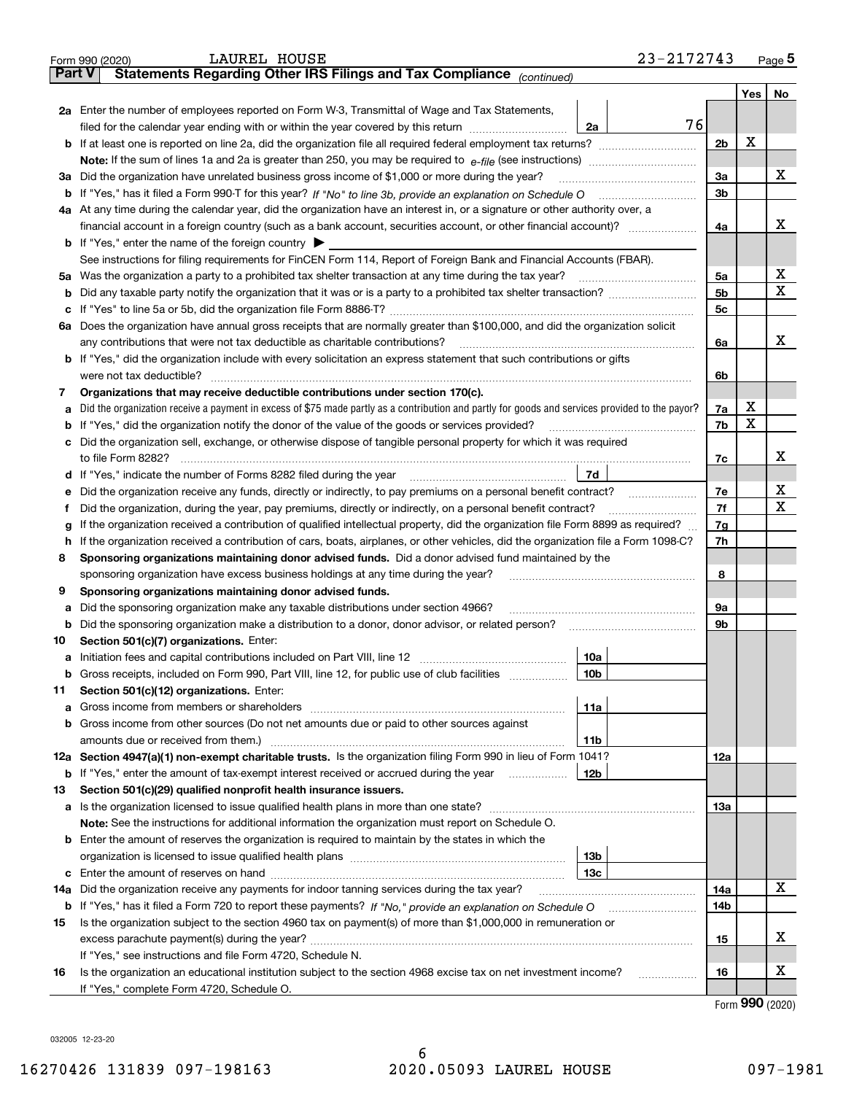|               | 23-2172743<br>LAUREL HOUSE<br>Form 990 (2020)                                                                                                   |                |         | <u>Page</u> 5 |
|---------------|-------------------------------------------------------------------------------------------------------------------------------------------------|----------------|---------|---------------|
| <b>Part V</b> | Statements Regarding Other IRS Filings and Tax Compliance (continued)                                                                           |                |         |               |
|               |                                                                                                                                                 |                | Yes $ $ | No            |
|               | 2a Enter the number of employees reported on Form W-3, Transmittal of Wage and Tax Statements,                                                  |                |         |               |
|               | 76<br>filed for the calendar year ending with or within the year covered by this return <i>manumumumum</i><br>2a                                |                |         |               |
|               |                                                                                                                                                 | 2 <sub>b</sub> | X       |               |
|               |                                                                                                                                                 |                |         |               |
|               | 3a Did the organization have unrelated business gross income of \$1,000 or more during the year?                                                | 3a             |         | х             |
|               |                                                                                                                                                 | 3b             |         |               |
|               | 4a At any time during the calendar year, did the organization have an interest in, or a signature or other authority over, a                    |                |         |               |
|               |                                                                                                                                                 | 4a             |         | х             |
|               | <b>b</b> If "Yes," enter the name of the foreign country $\blacktriangleright$                                                                  |                |         |               |
|               | See instructions for filing requirements for FinCEN Form 114, Report of Foreign Bank and Financial Accounts (FBAR).                             |                |         |               |
|               | 5a Was the organization a party to a prohibited tax shelter transaction at any time during the tax year?                                        | 5a             |         | X             |
| b             |                                                                                                                                                 | 5 <sub>b</sub> |         | х             |
|               |                                                                                                                                                 | 5с             |         |               |
|               | 6a Does the organization have annual gross receipts that are normally greater than \$100,000, and did the organization solicit                  |                |         |               |
|               |                                                                                                                                                 | 6a             |         | х             |
|               | <b>b</b> If "Yes," did the organization include with every solicitation an express statement that such contributions or gifts                   |                |         |               |
|               | were not tax deductible?                                                                                                                        | 6b             |         |               |
| 7             | Organizations that may receive deductible contributions under section 170(c).                                                                   |                |         |               |
| а             | Did the organization receive a payment in excess of \$75 made partly as a contribution and partly for goods and services provided to the payor? | 7a             | х       |               |
|               | <b>b</b> If "Yes," did the organization notify the donor of the value of the goods or services provided?                                        | 7b             | X       |               |
|               | c Did the organization sell, exchange, or otherwise dispose of tangible personal property for which it was required                             |                |         |               |
|               |                                                                                                                                                 | 7с             |         | х             |
|               | 7d                                                                                                                                              |                |         |               |
| е             | Did the organization receive any funds, directly or indirectly, to pay premiums on a personal benefit contract?                                 | 7e             |         | х             |
| f             | Did the organization, during the year, pay premiums, directly or indirectly, on a personal benefit contract?                                    | 7f             |         | x             |
| g             | If the organization received a contribution of qualified intellectual property, did the organization file Form 8899 as required?                | 7g             |         |               |
| h.            | If the organization received a contribution of cars, boats, airplanes, or other vehicles, did the organization file a Form 1098-C?              | 7h             |         |               |
| 8             | Sponsoring organizations maintaining donor advised funds. Did a donor advised fund maintained by the                                            |                |         |               |
|               | sponsoring organization have excess business holdings at any time during the year?                                                              | 8              |         |               |
| 9             | Sponsoring organizations maintaining donor advised funds.                                                                                       |                |         |               |
| а             | Did the sponsoring organization make any taxable distributions under section 4966?                                                              | 9а             |         |               |
|               | <b>b</b> Did the sponsoring organization make a distribution to a donor, donor advisor, or related person?                                      | 9b             |         |               |
| 10            | Section 501(c)(7) organizations. Enter:                                                                                                         |                |         |               |
|               | 10a                                                                                                                                             |                |         |               |
|               | 10b <br>Gross receipts, included on Form 990, Part VIII, line 12, for public use of club facilities                                             |                |         |               |
| 11            | Section 501(c)(12) organizations. Enter:                                                                                                        |                |         |               |
|               | <b>a</b> Gross income from members or shareholders<br>11a                                                                                       |                |         |               |
|               | b Gross income from other sources (Do not net amounts due or paid to other sources against                                                      |                |         |               |
|               | 11b                                                                                                                                             |                |         |               |
|               | 12a Section 4947(a)(1) non-exempt charitable trusts. Is the organization filing Form 990 in lieu of Form 1041?                                  | 12a            |         |               |
|               | 12b<br><b>b</b> If "Yes," enter the amount of tax-exempt interest received or accrued during the year <i>manument</i>                           |                |         |               |
| 13            | Section 501(c)(29) qualified nonprofit health insurance issuers.                                                                                |                |         |               |
|               | a Is the organization licensed to issue qualified health plans in more than one state?                                                          | 13а            |         |               |
|               | Note: See the instructions for additional information the organization must report on Schedule O.                                               |                |         |               |
|               | <b>b</b> Enter the amount of reserves the organization is required to maintain by the states in which the                                       |                |         |               |
|               | 13b                                                                                                                                             |                |         |               |
|               | 13с                                                                                                                                             |                |         |               |
| 14a           | Did the organization receive any payments for indoor tanning services during the tax year?                                                      | 14a            |         | x             |
|               | <b>b</b> If "Yes," has it filed a Form 720 to report these payments? If "No," provide an explanation on Schedule O                              | 14b            |         |               |
| 15            | Is the organization subject to the section 4960 tax on payment(s) of more than \$1,000,000 in remuneration or                                   |                |         |               |
|               |                                                                                                                                                 | 15             |         | x             |
|               | If "Yes," see instructions and file Form 4720, Schedule N.                                                                                      |                |         |               |
| 16            | Is the organization an educational institution subject to the section 4968 excise tax on net investment income?                                 | 16             |         | х             |
|               | If "Yes," complete Form 4720, Schedule O.                                                                                                       |                |         |               |

Form (2020) **990**

032005 12-23-20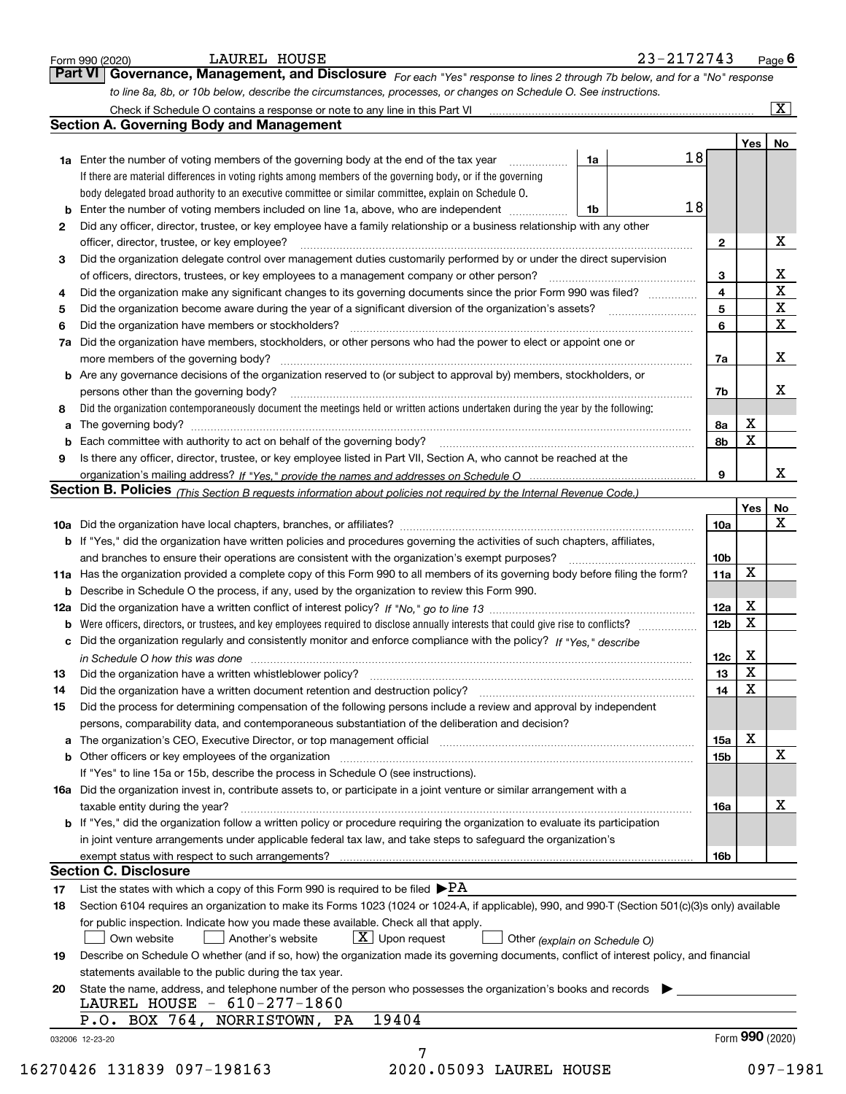|    | to line 8a, 8b, or 10b below, describe the circumstances, processes, or changes on Schedule O. See instructions.                                                                                     |                 |             |                         |
|----|------------------------------------------------------------------------------------------------------------------------------------------------------------------------------------------------------|-----------------|-------------|-------------------------|
|    | <b>Section A. Governing Body and Management</b>                                                                                                                                                      |                 |             | $\overline{\mathbf{x}}$ |
|    |                                                                                                                                                                                                      |                 |             |                         |
|    | 18<br>1a Enter the number of voting members of the governing body at the end of the tax year<br>1a                                                                                                   |                 | Yes         | No                      |
|    | If there are material differences in voting rights among members of the governing body, or if the governing                                                                                          |                 |             |                         |
|    | body delegated broad authority to an executive committee or similar committee, explain on Schedule O.                                                                                                |                 |             |                         |
|    | 18<br>1b                                                                                                                                                                                             |                 |             |                         |
| 2  | Did any officer, director, trustee, or key employee have a family relationship or a business relationship with any other                                                                             |                 |             |                         |
|    | officer, director, trustee, or key employee?                                                                                                                                                         | $\mathbf{2}$    |             | х                       |
| з  | Did the organization delegate control over management duties customarily performed by or under the direct supervision                                                                                |                 |             |                         |
|    | of officers, directors, trustees, or key employees to a management company or other person?                                                                                                          | 3               |             | X                       |
| 4  | Did the organization make any significant changes to its governing documents since the prior Form 990 was filed?                                                                                     | 4               |             | $\overline{\mathbf{x}}$ |
| 5  |                                                                                                                                                                                                      | 5               |             | $\mathbf X$             |
| 6  | Did the organization have members or stockholders?                                                                                                                                                   | 6               |             | X                       |
|    | 7a Did the organization have members, stockholders, or other persons who had the power to elect or appoint one or                                                                                    |                 |             |                         |
|    | more members of the governing body?                                                                                                                                                                  | 7a              |             | X                       |
|    | <b>b</b> Are any governance decisions of the organization reserved to (or subject to approval by) members, stockholders, or                                                                          |                 |             |                         |
|    | persons other than the governing body?                                                                                                                                                               | 7b              |             | X                       |
| 8  | Did the organization contemporaneously document the meetings held or written actions undertaken during the year by the following:                                                                    |                 |             |                         |
| a  |                                                                                                                                                                                                      | 8а              | X           |                         |
|    |                                                                                                                                                                                                      | 8b              | $\mathbf X$ |                         |
| 9  | Is there any officer, director, trustee, or key employee listed in Part VII, Section A, who cannot be reached at the                                                                                 |                 |             |                         |
|    |                                                                                                                                                                                                      | 9               |             | X                       |
|    | Section B. Policies (This Section B requests information about policies not required by the Internal Revenue Code.)                                                                                  |                 |             |                         |
|    |                                                                                                                                                                                                      |                 | Yes         | No                      |
|    |                                                                                                                                                                                                      | 10a             |             | X                       |
|    | <b>b</b> If "Yes," did the organization have written policies and procedures governing the activities of such chapters, affiliates,                                                                  |                 |             |                         |
|    | and branches to ensure their operations are consistent with the organization's exempt purposes?                                                                                                      | 10 <sub>b</sub> |             |                         |
|    | 11a Has the organization provided a complete copy of this Form 990 to all members of its governing body before filing the form?                                                                      | 11a             | X           |                         |
|    | <b>b</b> Describe in Schedule O the process, if any, used by the organization to review this Form 990.                                                                                               |                 |             |                         |
|    |                                                                                                                                                                                                      | 12a             | X           |                         |
|    | <b>b</b> Were officers, directors, or trustees, and key employees required to disclose annually interests that could give rise to conflicts?                                                         | 12 <sub>b</sub> | $\mathbf X$ |                         |
|    | c Did the organization regularly and consistently monitor and enforce compliance with the policy? If "Yes," describe                                                                                 |                 |             |                         |
|    | in Schedule O how this was done manufactured and continuum and contact the United Schedule O how this was done                                                                                       | 12c             | X           |                         |
| 13 | Did the organization have a written whistleblower policy?                                                                                                                                            | 13              | X           |                         |
| 14 | Did the organization have a written document retention and destruction policy?                                                                                                                       | 14              | X           |                         |
| 15 | Did the process for determining compensation of the following persons include a review and approval by independent                                                                                   |                 |             |                         |
|    | persons, comparability data, and contemporaneous substantiation of the deliberation and decision?                                                                                                    |                 |             |                         |
|    | a The organization's CEO, Executive Director, or top management official [111] [11] manument material manument                                                                                       | 15a             | X           |                         |
|    |                                                                                                                                                                                                      | 15 <sub>b</sub> |             | $\mathbf x$             |
|    | If "Yes" to line 15a or 15b, describe the process in Schedule O (see instructions).                                                                                                                  |                 |             |                         |
|    | 16a Did the organization invest in, contribute assets to, or participate in a joint venture or similar arrangement with a                                                                            |                 |             |                         |
|    | taxable entity during the year?                                                                                                                                                                      | 16a             |             | X                       |
|    | b If "Yes," did the organization follow a written policy or procedure requiring the organization to evaluate its participation                                                                       |                 |             |                         |
|    | in joint venture arrangements under applicable federal tax law, and take steps to safeguard the organization's                                                                                       |                 |             |                         |
|    |                                                                                                                                                                                                      | 16b             |             |                         |
|    | <b>Section C. Disclosure</b>                                                                                                                                                                         |                 |             |                         |
| 17 | List the states with which a copy of this Form 990 is required to be filed $\blacktriangleright$ PA                                                                                                  |                 |             |                         |
|    | Section 6104 requires an organization to make its Forms 1023 (1024 or 1024-A, if applicable), 990, and 990-T (Section 501(c)(3)s only) available                                                     |                 |             |                         |
| 18 | for public inspection. Indicate how you made these available. Check all that apply.                                                                                                                  |                 |             |                         |
|    | $\lfloor x \rfloor$ Upon request<br>Another's website<br>Own website<br>Other (explain on Schedule O)                                                                                                |                 |             |                         |
|    |                                                                                                                                                                                                      |                 |             |                         |
| 19 |                                                                                                                                                                                                      |                 |             |                         |
|    | Describe on Schedule O whether (and if so, how) the organization made its governing documents, conflict of interest policy, and financial<br>statements available to the public during the tax year. |                 |             |                         |
| 20 | State the name, address, and telephone number of the person who possesses the organization's books and records                                                                                       |                 |             |                         |
|    | LAUREL HOUSE - 610-277-1860                                                                                                                                                                          |                 |             |                         |
|    | 19404<br>P.O. BOX 764, NORRISTOWN, PA                                                                                                                                                                |                 |             |                         |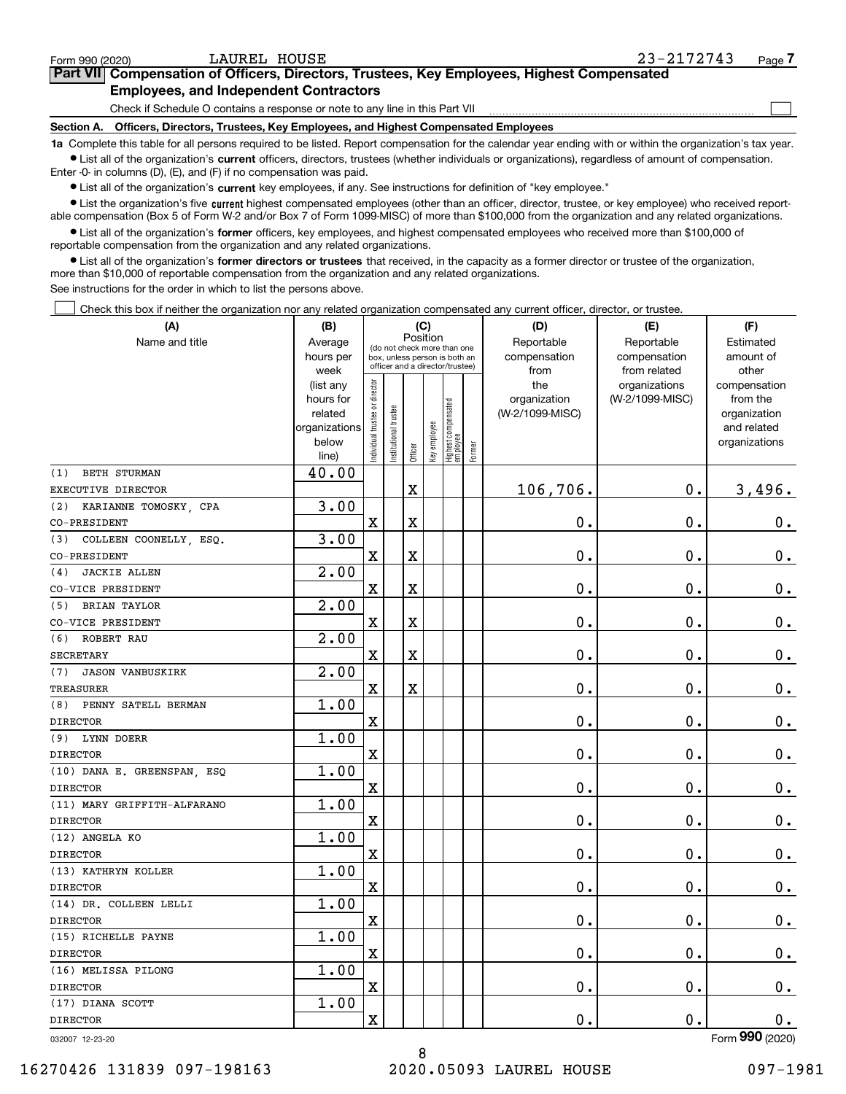$\mathcal{L}^{\text{max}}$ 

# **7Part VII Compensation of Officers, Directors, Trustees, Key Employees, Highest Compensated Employees, and Independent Contractors**

Check if Schedule O contains a response or note to any line in this Part VII

**Section A. Officers, Directors, Trustees, Key Employees, and Highest Compensated Employees**

**1a**  Complete this table for all persons required to be listed. Report compensation for the calendar year ending with or within the organization's tax year. **•** List all of the organization's current officers, directors, trustees (whether individuals or organizations), regardless of amount of compensation.

Enter -0- in columns (D), (E), and (F) if no compensation was paid.

 $\bullet$  List all of the organization's  $\,$ current key employees, if any. See instructions for definition of "key employee."

**•** List the organization's five current highest compensated employees (other than an officer, director, trustee, or key employee) who received reportable compensation (Box 5 of Form W-2 and/or Box 7 of Form 1099-MISC) of more than \$100,000 from the organization and any related organizations.

**•** List all of the organization's former officers, key employees, and highest compensated employees who received more than \$100,000 of reportable compensation from the organization and any related organizations.

**former directors or trustees**  ¥ List all of the organization's that received, in the capacity as a former director or trustee of the organization, more than \$10,000 of reportable compensation from the organization and any related organizations.

See instructions for the order in which to list the persons above.

Check this box if neither the organization nor any related organization compensated any current officer, director, or trustee.  $\mathcal{L}^{\text{max}}$ 

| Name and title<br>Reportable<br>Average<br>Reportable<br>Estimated<br>(do not check more than one<br>compensation<br>amount of<br>hours per<br>compensation<br>box, unless person is both an<br>officer and a director/trustee)<br>week<br>from<br>from related<br>other<br>ndividual trustee or director<br>the<br>(list any<br>organizations<br>compensation<br>hours for<br>organization<br>(W-2/1099-MISC)<br>from the<br>Highest compensated<br> employee<br>Institutional trustee<br>related<br>(W-2/1099-MISC)<br>organization<br>Key employee<br>organizations<br>and related<br>below<br>organizations<br>Former<br>Officer<br>line)<br>40.00<br><b>BETH STURMAN</b><br>(1)<br>106,706.<br>$\mathbf{0}$ .<br>3,496.<br>$\mathbf X$<br>EXECUTIVE DIRECTOR<br>3.00<br>(2)<br>KARIANNE TOMOSKY, CPA<br>$\mathbf X$<br>$\mathbf X$<br>0.<br>0.<br>0.<br>CO-PRESIDENT<br>3.00<br>COLLEEN COONELLY, ESQ.<br>(3)<br>$\overline{\textbf{X}}$<br>$\rm X$<br>0.<br>$\mathbf 0$ .<br>$\mathbf 0$ .<br>CO-PRESIDENT<br>$\overline{2.00}$<br><b>JACKIE ALLEN</b><br>(4)<br>$\overline{\mathbf{X}}$<br>$\rm X$<br>$\mathbf 0$ .<br>0.<br>$\mathbf 0$ .<br>CO-VICE PRESIDENT<br>2.00<br><b>BRIAN TAYLOR</b><br>(5)<br>$\overline{\mathbf{X}}$<br>$\mathbf X$<br>0.<br>$\mathbf 0$ .<br>$0_{.}$<br>CO-VICE PRESIDENT<br>2.00<br>ROBERT RAU<br>(6)<br>$\overline{\mathbf{X}}$<br>$\mathbf 0$ .<br>$\mathbf 0$ .<br>$\mathbf X$<br>$0_{.}$<br><b>SECRETARY</b><br>2.00<br><b>JASON VANBUSKIRK</b><br>(7)<br>$\overline{\text{X}}$<br>$\mathbf 0$ .<br>$\mathbf 0$ .<br>$0_{.}$<br><b>TREASURER</b><br>X<br>1.00<br>PENNY SATELL BERMAN<br>(8)<br>$\overline{\mathbf{X}}$<br>0.<br>$\mathbf 0$ .<br>$\mathbf 0$ .<br><b>DIRECTOR</b><br>1.00<br>(9) LYNN DOERR<br>0.<br>$\overline{\mathbf{X}}$<br>0.<br>$0_{.}$<br><b>DIRECTOR</b><br>1.00<br>(10) DANA E. GREENSPAN, ESQ<br>$\overline{\text{X}}$<br>0.<br>$\mathbf 0$ .<br>0.<br><b>DIRECTOR</b><br>1.00<br>(11) MARY GRIFFITH-ALFARANO<br>$\overline{\mathbf{X}}$<br>0.<br>0.<br>$\mathbf 0$ .<br>1.00<br>(12) ANGELA KO<br>$\overline{\text{X}}$<br>0.<br>$\mathbf 0$ .<br>$0_{.}$<br>1.00<br>(13) KATHRYN KOLLER<br>X<br>0.<br>0.<br>$0_{.}$<br><b>DIRECTOR</b><br>1.00<br>(14) DR. COLLEEN LELLI<br>$\overline{\text{X}}$<br>$\mathbf 0$ .<br>$\mathbf 0$ .<br>$0$ .<br><b>DIRECTOR</b><br>1.00<br>(15) RICHELLE PAYNE<br>$\overline{\mathbf{X}}$<br>0.<br>0.<br>0.<br><b>DIRECTOR</b><br>1.00<br>(16) MELISSA PILONG<br>0.<br>$\mathbf 0$ .<br>$\rm X$<br>0.<br><b>DIRECTOR</b><br>1.00<br>(17) DIANA SCOTT<br>$\rm X$<br>0.<br>$\mathbf 0$ .<br><b>DIRECTOR</b><br>0.<br>$\overline{2}$ | (A)             | (C)<br>(B) |  |          | (D) | (E) | (F) |  |  |  |
|----------------------------------------------------------------------------------------------------------------------------------------------------------------------------------------------------------------------------------------------------------------------------------------------------------------------------------------------------------------------------------------------------------------------------------------------------------------------------------------------------------------------------------------------------------------------------------------------------------------------------------------------------------------------------------------------------------------------------------------------------------------------------------------------------------------------------------------------------------------------------------------------------------------------------------------------------------------------------------------------------------------------------------------------------------------------------------------------------------------------------------------------------------------------------------------------------------------------------------------------------------------------------------------------------------------------------------------------------------------------------------------------------------------------------------------------------------------------------------------------------------------------------------------------------------------------------------------------------------------------------------------------------------------------------------------------------------------------------------------------------------------------------------------------------------------------------------------------------------------------------------------------------------------------------------------------------------------------------------------------------------------------------------------------------------------------------------------------------------------------------------------------------------------------------------------------------------------------------------------------------------------------------------------------------------------------------------------------------------------------------------------------------------------------------------------------------------------------------------------------------------------------------------------------------------------------------------------------------------------------------------------|-----------------|------------|--|----------|-----|-----|-----|--|--|--|
|                                                                                                                                                                                                                                                                                                                                                                                                                                                                                                                                                                                                                                                                                                                                                                                                                                                                                                                                                                                                                                                                                                                                                                                                                                                                                                                                                                                                                                                                                                                                                                                                                                                                                                                                                                                                                                                                                                                                                                                                                                                                                                                                                                                                                                                                                                                                                                                                                                                                                                                                                                                                                                        |                 |            |  | Position |     |     |     |  |  |  |
|                                                                                                                                                                                                                                                                                                                                                                                                                                                                                                                                                                                                                                                                                                                                                                                                                                                                                                                                                                                                                                                                                                                                                                                                                                                                                                                                                                                                                                                                                                                                                                                                                                                                                                                                                                                                                                                                                                                                                                                                                                                                                                                                                                                                                                                                                                                                                                                                                                                                                                                                                                                                                                        |                 |            |  |          |     |     |     |  |  |  |
|                                                                                                                                                                                                                                                                                                                                                                                                                                                                                                                                                                                                                                                                                                                                                                                                                                                                                                                                                                                                                                                                                                                                                                                                                                                                                                                                                                                                                                                                                                                                                                                                                                                                                                                                                                                                                                                                                                                                                                                                                                                                                                                                                                                                                                                                                                                                                                                                                                                                                                                                                                                                                                        |                 |            |  |          |     |     |     |  |  |  |
|                                                                                                                                                                                                                                                                                                                                                                                                                                                                                                                                                                                                                                                                                                                                                                                                                                                                                                                                                                                                                                                                                                                                                                                                                                                                                                                                                                                                                                                                                                                                                                                                                                                                                                                                                                                                                                                                                                                                                                                                                                                                                                                                                                                                                                                                                                                                                                                                                                                                                                                                                                                                                                        |                 |            |  |          |     |     |     |  |  |  |
|                                                                                                                                                                                                                                                                                                                                                                                                                                                                                                                                                                                                                                                                                                                                                                                                                                                                                                                                                                                                                                                                                                                                                                                                                                                                                                                                                                                                                                                                                                                                                                                                                                                                                                                                                                                                                                                                                                                                                                                                                                                                                                                                                                                                                                                                                                                                                                                                                                                                                                                                                                                                                                        |                 |            |  |          |     |     |     |  |  |  |
|                                                                                                                                                                                                                                                                                                                                                                                                                                                                                                                                                                                                                                                                                                                                                                                                                                                                                                                                                                                                                                                                                                                                                                                                                                                                                                                                                                                                                                                                                                                                                                                                                                                                                                                                                                                                                                                                                                                                                                                                                                                                                                                                                                                                                                                                                                                                                                                                                                                                                                                                                                                                                                        |                 |            |  |          |     |     |     |  |  |  |
|                                                                                                                                                                                                                                                                                                                                                                                                                                                                                                                                                                                                                                                                                                                                                                                                                                                                                                                                                                                                                                                                                                                                                                                                                                                                                                                                                                                                                                                                                                                                                                                                                                                                                                                                                                                                                                                                                                                                                                                                                                                                                                                                                                                                                                                                                                                                                                                                                                                                                                                                                                                                                                        |                 |            |  |          |     |     |     |  |  |  |
|                                                                                                                                                                                                                                                                                                                                                                                                                                                                                                                                                                                                                                                                                                                                                                                                                                                                                                                                                                                                                                                                                                                                                                                                                                                                                                                                                                                                                                                                                                                                                                                                                                                                                                                                                                                                                                                                                                                                                                                                                                                                                                                                                                                                                                                                                                                                                                                                                                                                                                                                                                                                                                        |                 |            |  |          |     |     |     |  |  |  |
|                                                                                                                                                                                                                                                                                                                                                                                                                                                                                                                                                                                                                                                                                                                                                                                                                                                                                                                                                                                                                                                                                                                                                                                                                                                                                                                                                                                                                                                                                                                                                                                                                                                                                                                                                                                                                                                                                                                                                                                                                                                                                                                                                                                                                                                                                                                                                                                                                                                                                                                                                                                                                                        |                 |            |  |          |     |     |     |  |  |  |
|                                                                                                                                                                                                                                                                                                                                                                                                                                                                                                                                                                                                                                                                                                                                                                                                                                                                                                                                                                                                                                                                                                                                                                                                                                                                                                                                                                                                                                                                                                                                                                                                                                                                                                                                                                                                                                                                                                                                                                                                                                                                                                                                                                                                                                                                                                                                                                                                                                                                                                                                                                                                                                        |                 |            |  |          |     |     |     |  |  |  |
|                                                                                                                                                                                                                                                                                                                                                                                                                                                                                                                                                                                                                                                                                                                                                                                                                                                                                                                                                                                                                                                                                                                                                                                                                                                                                                                                                                                                                                                                                                                                                                                                                                                                                                                                                                                                                                                                                                                                                                                                                                                                                                                                                                                                                                                                                                                                                                                                                                                                                                                                                                                                                                        |                 |            |  |          |     |     |     |  |  |  |
|                                                                                                                                                                                                                                                                                                                                                                                                                                                                                                                                                                                                                                                                                                                                                                                                                                                                                                                                                                                                                                                                                                                                                                                                                                                                                                                                                                                                                                                                                                                                                                                                                                                                                                                                                                                                                                                                                                                                                                                                                                                                                                                                                                                                                                                                                                                                                                                                                                                                                                                                                                                                                                        |                 |            |  |          |     |     |     |  |  |  |
|                                                                                                                                                                                                                                                                                                                                                                                                                                                                                                                                                                                                                                                                                                                                                                                                                                                                                                                                                                                                                                                                                                                                                                                                                                                                                                                                                                                                                                                                                                                                                                                                                                                                                                                                                                                                                                                                                                                                                                                                                                                                                                                                                                                                                                                                                                                                                                                                                                                                                                                                                                                                                                        |                 |            |  |          |     |     |     |  |  |  |
|                                                                                                                                                                                                                                                                                                                                                                                                                                                                                                                                                                                                                                                                                                                                                                                                                                                                                                                                                                                                                                                                                                                                                                                                                                                                                                                                                                                                                                                                                                                                                                                                                                                                                                                                                                                                                                                                                                                                                                                                                                                                                                                                                                                                                                                                                                                                                                                                                                                                                                                                                                                                                                        |                 |            |  |          |     |     |     |  |  |  |
|                                                                                                                                                                                                                                                                                                                                                                                                                                                                                                                                                                                                                                                                                                                                                                                                                                                                                                                                                                                                                                                                                                                                                                                                                                                                                                                                                                                                                                                                                                                                                                                                                                                                                                                                                                                                                                                                                                                                                                                                                                                                                                                                                                                                                                                                                                                                                                                                                                                                                                                                                                                                                                        |                 |            |  |          |     |     |     |  |  |  |
|                                                                                                                                                                                                                                                                                                                                                                                                                                                                                                                                                                                                                                                                                                                                                                                                                                                                                                                                                                                                                                                                                                                                                                                                                                                                                                                                                                                                                                                                                                                                                                                                                                                                                                                                                                                                                                                                                                                                                                                                                                                                                                                                                                                                                                                                                                                                                                                                                                                                                                                                                                                                                                        |                 |            |  |          |     |     |     |  |  |  |
|                                                                                                                                                                                                                                                                                                                                                                                                                                                                                                                                                                                                                                                                                                                                                                                                                                                                                                                                                                                                                                                                                                                                                                                                                                                                                                                                                                                                                                                                                                                                                                                                                                                                                                                                                                                                                                                                                                                                                                                                                                                                                                                                                                                                                                                                                                                                                                                                                                                                                                                                                                                                                                        |                 |            |  |          |     |     |     |  |  |  |
|                                                                                                                                                                                                                                                                                                                                                                                                                                                                                                                                                                                                                                                                                                                                                                                                                                                                                                                                                                                                                                                                                                                                                                                                                                                                                                                                                                                                                                                                                                                                                                                                                                                                                                                                                                                                                                                                                                                                                                                                                                                                                                                                                                                                                                                                                                                                                                                                                                                                                                                                                                                                                                        |                 |            |  |          |     |     |     |  |  |  |
|                                                                                                                                                                                                                                                                                                                                                                                                                                                                                                                                                                                                                                                                                                                                                                                                                                                                                                                                                                                                                                                                                                                                                                                                                                                                                                                                                                                                                                                                                                                                                                                                                                                                                                                                                                                                                                                                                                                                                                                                                                                                                                                                                                                                                                                                                                                                                                                                                                                                                                                                                                                                                                        |                 |            |  |          |     |     |     |  |  |  |
|                                                                                                                                                                                                                                                                                                                                                                                                                                                                                                                                                                                                                                                                                                                                                                                                                                                                                                                                                                                                                                                                                                                                                                                                                                                                                                                                                                                                                                                                                                                                                                                                                                                                                                                                                                                                                                                                                                                                                                                                                                                                                                                                                                                                                                                                                                                                                                                                                                                                                                                                                                                                                                        |                 |            |  |          |     |     |     |  |  |  |
|                                                                                                                                                                                                                                                                                                                                                                                                                                                                                                                                                                                                                                                                                                                                                                                                                                                                                                                                                                                                                                                                                                                                                                                                                                                                                                                                                                                                                                                                                                                                                                                                                                                                                                                                                                                                                                                                                                                                                                                                                                                                                                                                                                                                                                                                                                                                                                                                                                                                                                                                                                                                                                        |                 |            |  |          |     |     |     |  |  |  |
|                                                                                                                                                                                                                                                                                                                                                                                                                                                                                                                                                                                                                                                                                                                                                                                                                                                                                                                                                                                                                                                                                                                                                                                                                                                                                                                                                                                                                                                                                                                                                                                                                                                                                                                                                                                                                                                                                                                                                                                                                                                                                                                                                                                                                                                                                                                                                                                                                                                                                                                                                                                                                                        |                 |            |  |          |     |     |     |  |  |  |
|                                                                                                                                                                                                                                                                                                                                                                                                                                                                                                                                                                                                                                                                                                                                                                                                                                                                                                                                                                                                                                                                                                                                                                                                                                                                                                                                                                                                                                                                                                                                                                                                                                                                                                                                                                                                                                                                                                                                                                                                                                                                                                                                                                                                                                                                                                                                                                                                                                                                                                                                                                                                                                        |                 |            |  |          |     |     |     |  |  |  |
|                                                                                                                                                                                                                                                                                                                                                                                                                                                                                                                                                                                                                                                                                                                                                                                                                                                                                                                                                                                                                                                                                                                                                                                                                                                                                                                                                                                                                                                                                                                                                                                                                                                                                                                                                                                                                                                                                                                                                                                                                                                                                                                                                                                                                                                                                                                                                                                                                                                                                                                                                                                                                                        |                 |            |  |          |     |     |     |  |  |  |
|                                                                                                                                                                                                                                                                                                                                                                                                                                                                                                                                                                                                                                                                                                                                                                                                                                                                                                                                                                                                                                                                                                                                                                                                                                                                                                                                                                                                                                                                                                                                                                                                                                                                                                                                                                                                                                                                                                                                                                                                                                                                                                                                                                                                                                                                                                                                                                                                                                                                                                                                                                                                                                        |                 |            |  |          |     |     |     |  |  |  |
|                                                                                                                                                                                                                                                                                                                                                                                                                                                                                                                                                                                                                                                                                                                                                                                                                                                                                                                                                                                                                                                                                                                                                                                                                                                                                                                                                                                                                                                                                                                                                                                                                                                                                                                                                                                                                                                                                                                                                                                                                                                                                                                                                                                                                                                                                                                                                                                                                                                                                                                                                                                                                                        |                 |            |  |          |     |     |     |  |  |  |
|                                                                                                                                                                                                                                                                                                                                                                                                                                                                                                                                                                                                                                                                                                                                                                                                                                                                                                                                                                                                                                                                                                                                                                                                                                                                                                                                                                                                                                                                                                                                                                                                                                                                                                                                                                                                                                                                                                                                                                                                                                                                                                                                                                                                                                                                                                                                                                                                                                                                                                                                                                                                                                        |                 |            |  |          |     |     |     |  |  |  |
|                                                                                                                                                                                                                                                                                                                                                                                                                                                                                                                                                                                                                                                                                                                                                                                                                                                                                                                                                                                                                                                                                                                                                                                                                                                                                                                                                                                                                                                                                                                                                                                                                                                                                                                                                                                                                                                                                                                                                                                                                                                                                                                                                                                                                                                                                                                                                                                                                                                                                                                                                                                                                                        |                 |            |  |          |     |     |     |  |  |  |
|                                                                                                                                                                                                                                                                                                                                                                                                                                                                                                                                                                                                                                                                                                                                                                                                                                                                                                                                                                                                                                                                                                                                                                                                                                                                                                                                                                                                                                                                                                                                                                                                                                                                                                                                                                                                                                                                                                                                                                                                                                                                                                                                                                                                                                                                                                                                                                                                                                                                                                                                                                                                                                        |                 |            |  |          |     |     |     |  |  |  |
|                                                                                                                                                                                                                                                                                                                                                                                                                                                                                                                                                                                                                                                                                                                                                                                                                                                                                                                                                                                                                                                                                                                                                                                                                                                                                                                                                                                                                                                                                                                                                                                                                                                                                                                                                                                                                                                                                                                                                                                                                                                                                                                                                                                                                                                                                                                                                                                                                                                                                                                                                                                                                                        | <b>DIRECTOR</b> |            |  |          |     |     |     |  |  |  |
|                                                                                                                                                                                                                                                                                                                                                                                                                                                                                                                                                                                                                                                                                                                                                                                                                                                                                                                                                                                                                                                                                                                                                                                                                                                                                                                                                                                                                                                                                                                                                                                                                                                                                                                                                                                                                                                                                                                                                                                                                                                                                                                                                                                                                                                                                                                                                                                                                                                                                                                                                                                                                                        |                 |            |  |          |     |     |     |  |  |  |
|                                                                                                                                                                                                                                                                                                                                                                                                                                                                                                                                                                                                                                                                                                                                                                                                                                                                                                                                                                                                                                                                                                                                                                                                                                                                                                                                                                                                                                                                                                                                                                                                                                                                                                                                                                                                                                                                                                                                                                                                                                                                                                                                                                                                                                                                                                                                                                                                                                                                                                                                                                                                                                        | <b>DIRECTOR</b> |            |  |          |     |     |     |  |  |  |
|                                                                                                                                                                                                                                                                                                                                                                                                                                                                                                                                                                                                                                                                                                                                                                                                                                                                                                                                                                                                                                                                                                                                                                                                                                                                                                                                                                                                                                                                                                                                                                                                                                                                                                                                                                                                                                                                                                                                                                                                                                                                                                                                                                                                                                                                                                                                                                                                                                                                                                                                                                                                                                        |                 |            |  |          |     |     |     |  |  |  |
|                                                                                                                                                                                                                                                                                                                                                                                                                                                                                                                                                                                                                                                                                                                                                                                                                                                                                                                                                                                                                                                                                                                                                                                                                                                                                                                                                                                                                                                                                                                                                                                                                                                                                                                                                                                                                                                                                                                                                                                                                                                                                                                                                                                                                                                                                                                                                                                                                                                                                                                                                                                                                                        |                 |            |  |          |     |     |     |  |  |  |
|                                                                                                                                                                                                                                                                                                                                                                                                                                                                                                                                                                                                                                                                                                                                                                                                                                                                                                                                                                                                                                                                                                                                                                                                                                                                                                                                                                                                                                                                                                                                                                                                                                                                                                                                                                                                                                                                                                                                                                                                                                                                                                                                                                                                                                                                                                                                                                                                                                                                                                                                                                                                                                        |                 |            |  |          |     |     |     |  |  |  |
|                                                                                                                                                                                                                                                                                                                                                                                                                                                                                                                                                                                                                                                                                                                                                                                                                                                                                                                                                                                                                                                                                                                                                                                                                                                                                                                                                                                                                                                                                                                                                                                                                                                                                                                                                                                                                                                                                                                                                                                                                                                                                                                                                                                                                                                                                                                                                                                                                                                                                                                                                                                                                                        |                 |            |  |          |     |     |     |  |  |  |
|                                                                                                                                                                                                                                                                                                                                                                                                                                                                                                                                                                                                                                                                                                                                                                                                                                                                                                                                                                                                                                                                                                                                                                                                                                                                                                                                                                                                                                                                                                                                                                                                                                                                                                                                                                                                                                                                                                                                                                                                                                                                                                                                                                                                                                                                                                                                                                                                                                                                                                                                                                                                                                        |                 |            |  |          |     |     |     |  |  |  |
|                                                                                                                                                                                                                                                                                                                                                                                                                                                                                                                                                                                                                                                                                                                                                                                                                                                                                                                                                                                                                                                                                                                                                                                                                                                                                                                                                                                                                                                                                                                                                                                                                                                                                                                                                                                                                                                                                                                                                                                                                                                                                                                                                                                                                                                                                                                                                                                                                                                                                                                                                                                                                                        |                 |            |  |          |     |     |     |  |  |  |
|                                                                                                                                                                                                                                                                                                                                                                                                                                                                                                                                                                                                                                                                                                                                                                                                                                                                                                                                                                                                                                                                                                                                                                                                                                                                                                                                                                                                                                                                                                                                                                                                                                                                                                                                                                                                                                                                                                                                                                                                                                                                                                                                                                                                                                                                                                                                                                                                                                                                                                                                                                                                                                        |                 |            |  |          |     |     |     |  |  |  |
|                                                                                                                                                                                                                                                                                                                                                                                                                                                                                                                                                                                                                                                                                                                                                                                                                                                                                                                                                                                                                                                                                                                                                                                                                                                                                                                                                                                                                                                                                                                                                                                                                                                                                                                                                                                                                                                                                                                                                                                                                                                                                                                                                                                                                                                                                                                                                                                                                                                                                                                                                                                                                                        |                 |            |  |          |     |     |     |  |  |  |
|                                                                                                                                                                                                                                                                                                                                                                                                                                                                                                                                                                                                                                                                                                                                                                                                                                                                                                                                                                                                                                                                                                                                                                                                                                                                                                                                                                                                                                                                                                                                                                                                                                                                                                                                                                                                                                                                                                                                                                                                                                                                                                                                                                                                                                                                                                                                                                                                                                                                                                                                                                                                                                        |                 |            |  |          |     |     |     |  |  |  |
|                                                                                                                                                                                                                                                                                                                                                                                                                                                                                                                                                                                                                                                                                                                                                                                                                                                                                                                                                                                                                                                                                                                                                                                                                                                                                                                                                                                                                                                                                                                                                                                                                                                                                                                                                                                                                                                                                                                                                                                                                                                                                                                                                                                                                                                                                                                                                                                                                                                                                                                                                                                                                                        |                 |            |  |          |     |     |     |  |  |  |

032007 12-23-20

Form (2020) **990**

8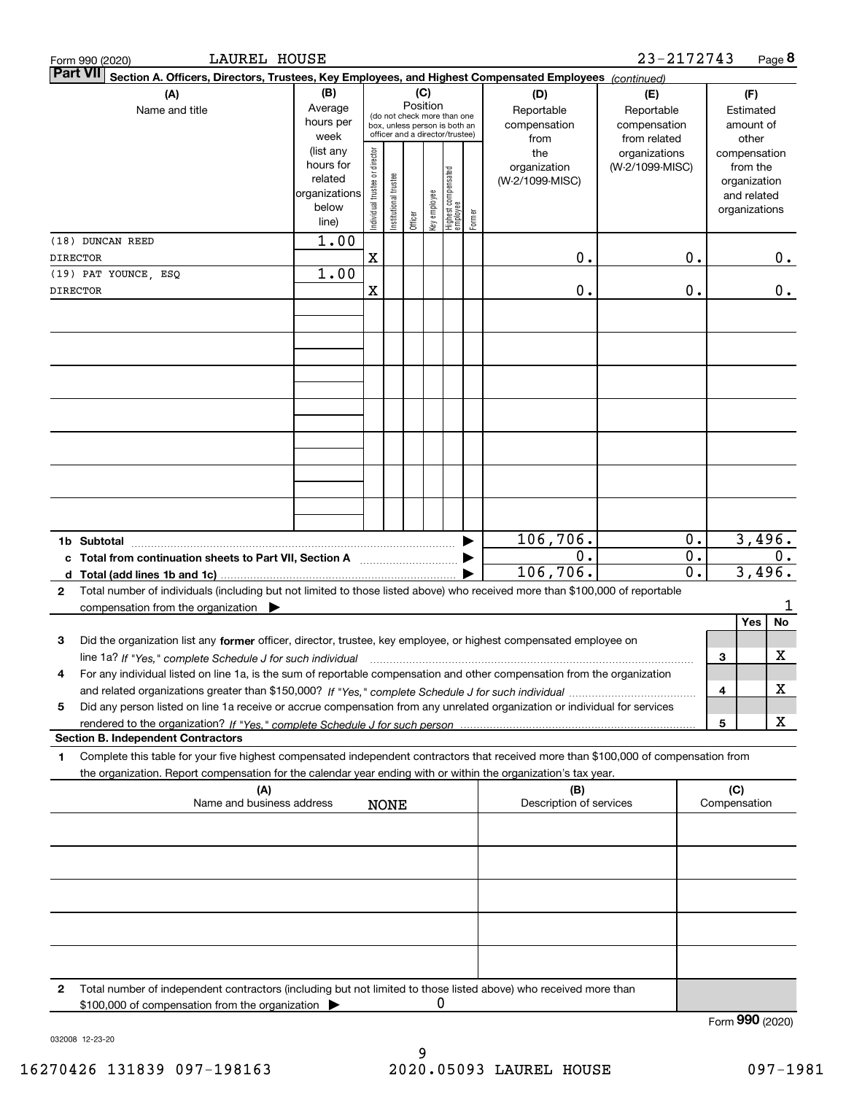|                                                                                                                                                                                                     | 23-2172743<br>LAUREL HOUSE<br>Page 8<br>Form 990 (2020)                                                                                                             |                                                                      |                               |                      |          |              |                                                                                                 |        |                                           |                                                   |                  |   |                                                                          |       |
|-----------------------------------------------------------------------------------------------------------------------------------------------------------------------------------------------------|---------------------------------------------------------------------------------------------------------------------------------------------------------------------|----------------------------------------------------------------------|-------------------------------|----------------------|----------|--------------|-------------------------------------------------------------------------------------------------|--------|-------------------------------------------|---------------------------------------------------|------------------|---|--------------------------------------------------------------------------|-------|
|                                                                                                                                                                                                     | <b>Part VII</b><br>Section A. Officers, Directors, Trustees, Key Employees, and Highest Compensated Employees (continued)                                           |                                                                      |                               |                      |          |              |                                                                                                 |        |                                           |                                                   |                  |   |                                                                          |       |
| (A)<br>Name and title                                                                                                                                                                               |                                                                                                                                                                     | (B)<br>Average<br>hours per<br>week                                  |                               |                      | Position | (C)          | (do not check more than one<br>box, unless person is both an<br>officer and a director/trustee) |        | (D)<br>Reportable<br>compensation<br>from | (E)<br>Reportable<br>compensation<br>from related |                  |   | (F)<br>Estimated<br>amount of<br>other                                   |       |
|                                                                                                                                                                                                     |                                                                                                                                                                     | (list any<br>hours for<br>related<br>organizations<br>below<br>line) | ndividual trustee or director | nstitutional trustee | Officer  | key employee | Highest compensated<br> employee                                                                | Former | the<br>organization<br>(W-2/1099-MISC)    | organizations<br>(W-2/1099-MISC)                  |                  |   | compensation<br>from the<br>organization<br>and related<br>organizations |       |
|                                                                                                                                                                                                     | (18) DUNCAN REED                                                                                                                                                    | 1.00                                                                 |                               |                      |          |              |                                                                                                 |        |                                           |                                                   |                  |   |                                                                          |       |
|                                                                                                                                                                                                     | <b>DIRECTOR</b>                                                                                                                                                     |                                                                      | $\mathbf X$                   |                      |          |              |                                                                                                 |        | 0.                                        |                                                   | 0.               |   |                                                                          | 0.    |
|                                                                                                                                                                                                     | (19) PAT YOUNCE, ESQ<br><b>DIRECTOR</b>                                                                                                                             | 1.00                                                                 | X                             |                      |          |              |                                                                                                 |        | 0.                                        |                                                   | 0.               |   |                                                                          | 0.    |
|                                                                                                                                                                                                     |                                                                                                                                                                     |                                                                      |                               |                      |          |              |                                                                                                 |        |                                           |                                                   |                  |   |                                                                          |       |
|                                                                                                                                                                                                     |                                                                                                                                                                     |                                                                      |                               |                      |          |              |                                                                                                 |        |                                           |                                                   |                  |   |                                                                          |       |
|                                                                                                                                                                                                     |                                                                                                                                                                     |                                                                      |                               |                      |          |              |                                                                                                 |        |                                           |                                                   |                  |   |                                                                          |       |
|                                                                                                                                                                                                     |                                                                                                                                                                     |                                                                      |                               |                      |          |              |                                                                                                 |        |                                           |                                                   |                  |   |                                                                          |       |
|                                                                                                                                                                                                     | 1b Subtotal<br>c Total from continuation sheets to Part VII, Section A                                                                                              |                                                                      |                               |                      |          |              |                                                                                                 |        | 106,706.<br>0.                            |                                                   | 0.<br>$0$ .      |   | 3,496.                                                                   | $0$ . |
| d<br>2                                                                                                                                                                                              | Total (add lines 1b and 1c)<br>Total number of individuals (including but not limited to those listed above) who received more than \$100,000 of reportable         |                                                                      |                               |                      |          |              |                                                                                                 |        | 106,706.                                  |                                                   | $\overline{0}$ . |   | 3,496.                                                                   |       |
|                                                                                                                                                                                                     | compensation from the organization $\blacktriangleright$                                                                                                            |                                                                      |                               |                      |          |              |                                                                                                 |        |                                           |                                                   |                  |   |                                                                          |       |
| 3                                                                                                                                                                                                   | Did the organization list any former officer, director, trustee, key employee, or highest compensated employee on                                                   |                                                                      |                               |                      |          |              |                                                                                                 |        |                                           |                                                   |                  |   | Yes                                                                      | No    |
|                                                                                                                                                                                                     | line 1a? If "Yes," complete Schedule J for such individual material content content to the content of the complete Schedule J for such individual                   |                                                                      |                               |                      |          |              |                                                                                                 |        |                                           |                                                   |                  | 3 |                                                                          | x     |
| 4                                                                                                                                                                                                   | For any individual listed on line 1a, is the sum of reportable compensation and other compensation from the organization                                            |                                                                      |                               |                      |          |              |                                                                                                 |        |                                           |                                                   |                  | 4 |                                                                          | x     |
| 5                                                                                                                                                                                                   | Did any person listed on line 1a receive or accrue compensation from any unrelated organization or individual for services                                          |                                                                      |                               |                      |          |              |                                                                                                 |        |                                           |                                                   |                  |   |                                                                          |       |
|                                                                                                                                                                                                     | <b>Section B. Independent Contractors</b>                                                                                                                           |                                                                      |                               |                      |          |              |                                                                                                 |        |                                           |                                                   |                  | 5 |                                                                          | x     |
| 1                                                                                                                                                                                                   | Complete this table for your five highest compensated independent contractors that received more than \$100,000 of compensation from                                |                                                                      |                               |                      |          |              |                                                                                                 |        |                                           |                                                   |                  |   |                                                                          |       |
| the organization. Report compensation for the calendar year ending with or within the organization's tax year.<br>(A)<br>(B)<br>Description of services<br>Name and business address<br><b>NONE</b> |                                                                                                                                                                     |                                                                      |                               |                      |          |              |                                                                                                 | (C)    | Compensation                              |                                                   |                  |   |                                                                          |       |
|                                                                                                                                                                                                     |                                                                                                                                                                     |                                                                      |                               |                      |          |              |                                                                                                 |        |                                           |                                                   |                  |   |                                                                          |       |
|                                                                                                                                                                                                     |                                                                                                                                                                     |                                                                      |                               |                      |          |              |                                                                                                 |        |                                           |                                                   |                  |   |                                                                          |       |
|                                                                                                                                                                                                     |                                                                                                                                                                     |                                                                      |                               |                      |          |              |                                                                                                 |        |                                           |                                                   |                  |   |                                                                          |       |
|                                                                                                                                                                                                     |                                                                                                                                                                     |                                                                      |                               |                      |          |              |                                                                                                 |        |                                           |                                                   |                  |   |                                                                          |       |
| 2                                                                                                                                                                                                   | Total number of independent contractors (including but not limited to those listed above) who received more than<br>\$100,000 of compensation from the organization |                                                                      |                               |                      |          | 0            |                                                                                                 |        |                                           |                                                   |                  |   |                                                                          |       |
|                                                                                                                                                                                                     |                                                                                                                                                                     |                                                                      |                               |                      |          |              |                                                                                                 |        |                                           |                                                   |                  |   | Form 990 (2020)                                                          |       |

032008 12-23-20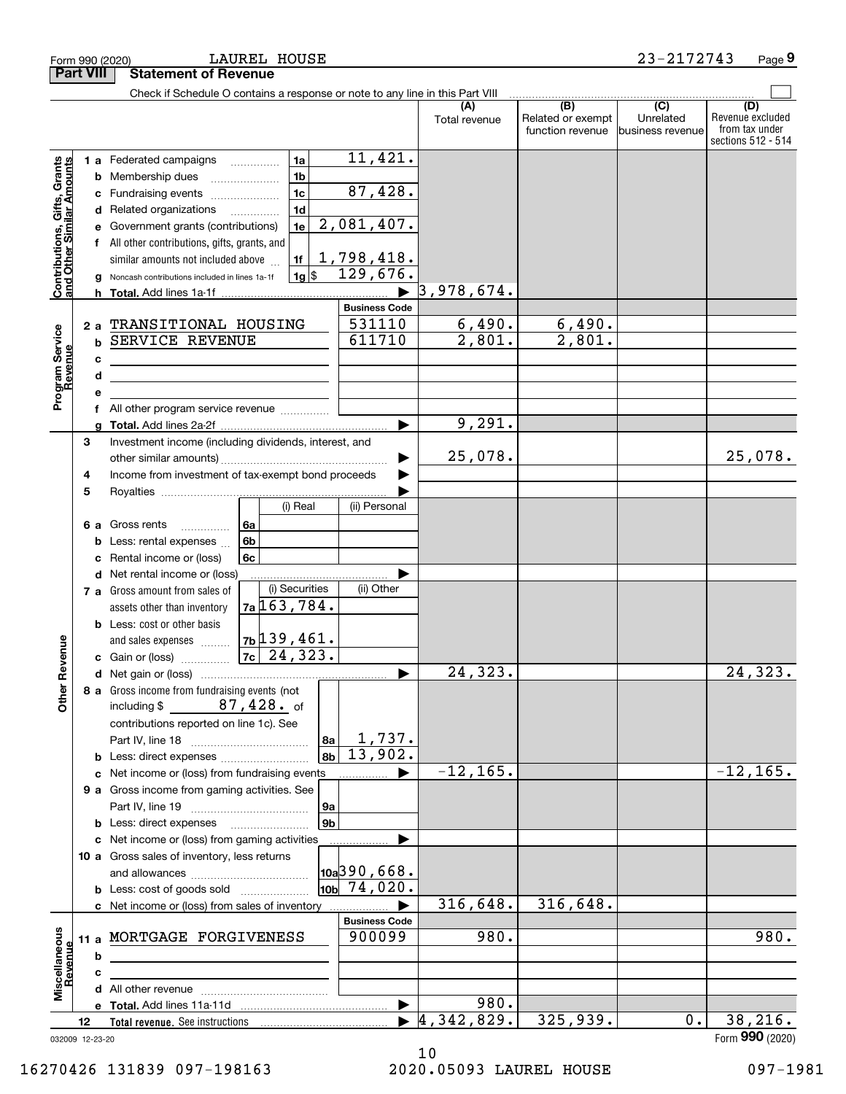|                                                           |                  | LAUREL HOUSE<br>Form 990 (2020)                                                                        |                              |                                  |                                       | 23-2172743                                      | Page 9                                                          |
|-----------------------------------------------------------|------------------|--------------------------------------------------------------------------------------------------------|------------------------------|----------------------------------|---------------------------------------|-------------------------------------------------|-----------------------------------------------------------------|
|                                                           | <b>Part VIII</b> | <b>Statement of Revenue</b>                                                                            |                              |                                  |                                       |                                                 |                                                                 |
|                                                           |                  | Check if Schedule O contains a response or note to any line in this Part VIII                          |                              |                                  | (B)                                   |                                                 |                                                                 |
|                                                           |                  |                                                                                                        |                              | (A)<br>Total revenue             | Related or exempt<br>function revenue | $\overline{C}$<br>Unrelated<br>business revenue | (D)<br>Revenue excluded<br>from tax under<br>sections 512 - 514 |
|                                                           |                  | 1a<br>1 a Federated campaigns                                                                          | 11,421.                      |                                  |                                       |                                                 |                                                                 |
|                                                           |                  | 1 <sub>b</sub><br>Membership dues<br>b                                                                 |                              |                                  |                                       |                                                 |                                                                 |
| Contributions, Gifts, Grants<br>and Other Similar Amounts |                  | 1 <sub>c</sub><br>Fundraising events<br>с                                                              | 87,428.                      |                                  |                                       |                                                 |                                                                 |
|                                                           |                  | 1 <sub>d</sub><br>Related organizations<br>d<br>$\overline{\phantom{a}}$                               |                              |                                  |                                       |                                                 |                                                                 |
|                                                           |                  | 1e<br>Government grants (contributions)<br>е                                                           | 2,081,407.                   |                                  |                                       |                                                 |                                                                 |
|                                                           |                  | f All other contributions, gifts, grants, and                                                          | <u>1,798,418.</u>            |                                  |                                       |                                                 |                                                                 |
|                                                           |                  | similar amounts not included above<br>1f<br>$ 1g $ \$<br>Noncash contributions included in lines 1a-1f | 129,676.                     |                                  |                                       |                                                 |                                                                 |
|                                                           |                  |                                                                                                        |                              | 3,978,674.                       |                                       |                                                 |                                                                 |
|                                                           |                  |                                                                                                        | <b>Business Code</b>         |                                  |                                       |                                                 |                                                                 |
|                                                           | 2a               | TRANSITIONAL HOUSING                                                                                   | 531110                       | 6,490.                           | 6,490.                                |                                                 |                                                                 |
| Program Service<br>Revenue                                | b                | SERVICE REVENUE                                                                                        | 611710                       | $\overline{2,801}$ .             | $\overline{2,801}$ .                  |                                                 |                                                                 |
|                                                           |                  | c                                                                                                      |                              |                                  |                                       |                                                 |                                                                 |
|                                                           |                  | d                                                                                                      |                              |                                  |                                       |                                                 |                                                                 |
|                                                           |                  | е                                                                                                      |                              |                                  |                                       |                                                 |                                                                 |
|                                                           | f                |                                                                                                        |                              |                                  |                                       |                                                 |                                                                 |
|                                                           |                  | g                                                                                                      |                              | 9,291.                           |                                       |                                                 |                                                                 |
|                                                           | 3                | Investment income (including dividends, interest, and                                                  |                              | 25,078.                          |                                       |                                                 | 25,078.                                                         |
|                                                           | 4                | Income from investment of tax-exempt bond proceeds                                                     |                              |                                  |                                       |                                                 |                                                                 |
|                                                           | 5                |                                                                                                        |                              |                                  |                                       |                                                 |                                                                 |
|                                                           |                  | (i) Real                                                                                               | (ii) Personal                |                                  |                                       |                                                 |                                                                 |
|                                                           | 6а               | Gross rents<br>6a<br>.                                                                                 |                              |                                  |                                       |                                                 |                                                                 |
|                                                           |                  | 6 <sub>b</sub><br>Less: rental expenses<br>b                                                           |                              |                                  |                                       |                                                 |                                                                 |
|                                                           |                  | 6c<br>Rental income or (loss)                                                                          |                              |                                  |                                       |                                                 |                                                                 |
|                                                           |                  | Net rental income or (loss)<br>d                                                                       |                              |                                  |                                       |                                                 |                                                                 |
|                                                           |                  | (i) Securities<br>7 a Gross amount from sales of                                                       | (ii) Other                   |                                  |                                       |                                                 |                                                                 |
|                                                           |                  | $7a$ 163, 784.<br>assets other than inventory                                                          |                              |                                  |                                       |                                                 |                                                                 |
|                                                           |                  | <b>b</b> Less: cost or other basis<br>$7b$ 139, 461.<br>and sales expenses                             |                              |                                  |                                       |                                                 |                                                                 |
| enueve                                                    |                  | $7c$ 24, 323.<br>c Gain or (loss)                                                                      |                              |                                  |                                       |                                                 |                                                                 |
|                                                           |                  |                                                                                                        |                              | $\overline{24,323}$ .            |                                       |                                                 | $\overline{24,323}$ .                                           |
| Other R                                                   |                  | 8 a Gross income from fundraising events (not                                                          |                              |                                  |                                       |                                                 |                                                                 |
|                                                           |                  | $87,428$ of<br>including \$                                                                            |                              |                                  |                                       |                                                 |                                                                 |
|                                                           |                  | contributions reported on line 1c). See                                                                |                              |                                  |                                       |                                                 |                                                                 |
|                                                           |                  | 8а                                                                                                     | <u>1,737.</u>                |                                  |                                       |                                                 |                                                                 |
|                                                           |                  | 8b<br><b>b</b> Less: direct expenses                                                                   | 13,902.                      |                                  |                                       |                                                 |                                                                 |
|                                                           |                  | Net income or (loss) from fundraising events<br>c                                                      |                              | $-12, 165.$                      |                                       |                                                 | $-12, 165.$                                                     |
|                                                           |                  | 9 a Gross income from gaming activities. See                                                           |                              |                                  |                                       |                                                 |                                                                 |
|                                                           |                  | 9а<br>9 <sub>b</sub>                                                                                   |                              |                                  |                                       |                                                 |                                                                 |
|                                                           |                  | c Net income or (loss) from gaming activities                                                          |                              |                                  |                                       |                                                 |                                                                 |
|                                                           |                  | 10 a Gross sales of inventory, less returns                                                            |                              |                                  |                                       |                                                 |                                                                 |
|                                                           |                  |                                                                                                        | $\vert$ 10a $\vert$ 390,668. |                                  |                                       |                                                 |                                                                 |
|                                                           |                  | <b>b</b> Less: cost of goods sold                                                                      | $10b$ 74,020.                |                                  |                                       |                                                 |                                                                 |
|                                                           |                  | c Net income or (loss) from sales of inventory                                                         |                              | 316,648.                         | 316,648.                              |                                                 |                                                                 |
|                                                           |                  |                                                                                                        | <b>Business Code</b>         |                                  |                                       |                                                 |                                                                 |
|                                                           | 11a              | MORTGAGE FORGIVENESS                                                                                   | 900099                       | 980.                             |                                       |                                                 | 980.                                                            |
|                                                           |                  | b                                                                                                      |                              |                                  |                                       |                                                 |                                                                 |
| Miscellaneous<br>Revenue                                  |                  | c                                                                                                      |                              |                                  |                                       |                                                 |                                                                 |
|                                                           |                  |                                                                                                        |                              | 980.                             |                                       |                                                 |                                                                 |
|                                                           | 12               | Total revenue. See instructions                                                                        |                              | $\blacktriangleright$ 4,342,829. | 325,939.                              | 0.                                              | 38, 216.                                                        |
|                                                           | 032009 12-23-20  |                                                                                                        |                              |                                  |                                       |                                                 | Form 990 (2020)                                                 |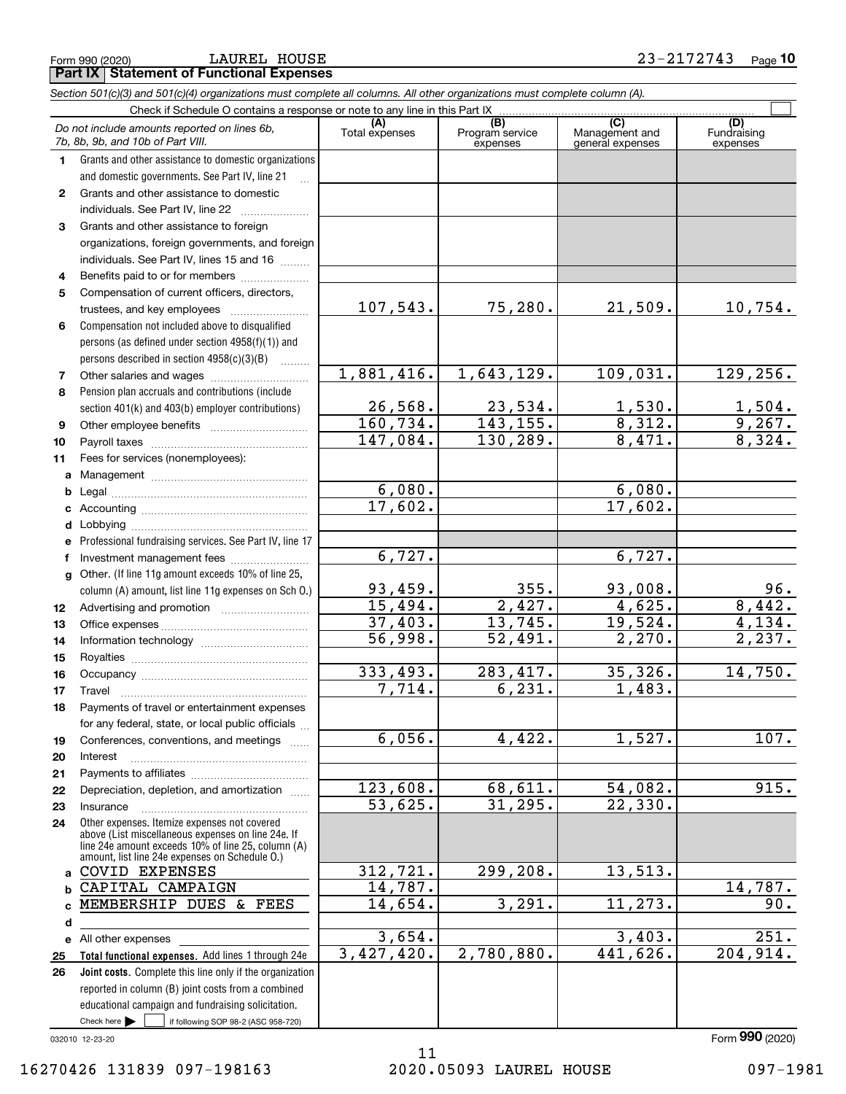**Part IX Statement of Functional Expenses** LAUREL HOUSE

|              | Section 501(c)(3) and 501(c)(4) organizations must complete all columns. All other organizations must complete column (A).                                                                                 |                       |                                    |                                           |                                |  |  |  |  |  |
|--------------|------------------------------------------------------------------------------------------------------------------------------------------------------------------------------------------------------------|-----------------------|------------------------------------|-------------------------------------------|--------------------------------|--|--|--|--|--|
|              | Check if Schedule O contains a response or note to any line in this Part IX                                                                                                                                |                       |                                    |                                           |                                |  |  |  |  |  |
|              | Do not include amounts reported on lines 6b,<br>7b, 8b, 9b, and 10b of Part VIII.                                                                                                                          | (A)<br>Total expenses | (B)<br>Program service<br>expenses | (C)<br>Management and<br>general expenses | (D)<br>Fundraising<br>expenses |  |  |  |  |  |
| 1.           | Grants and other assistance to domestic organizations                                                                                                                                                      |                       |                                    |                                           |                                |  |  |  |  |  |
|              | and domestic governments. See Part IV, line 21                                                                                                                                                             |                       |                                    |                                           |                                |  |  |  |  |  |
| $\mathbf{2}$ | Grants and other assistance to domestic                                                                                                                                                                    |                       |                                    |                                           |                                |  |  |  |  |  |
|              | individuals. See Part IV, line 22                                                                                                                                                                          |                       |                                    |                                           |                                |  |  |  |  |  |
| 3            | Grants and other assistance to foreign                                                                                                                                                                     |                       |                                    |                                           |                                |  |  |  |  |  |
|              | organizations, foreign governments, and foreign                                                                                                                                                            |                       |                                    |                                           |                                |  |  |  |  |  |
|              | individuals. See Part IV, lines 15 and 16                                                                                                                                                                  |                       |                                    |                                           |                                |  |  |  |  |  |
| 4            | Benefits paid to or for members                                                                                                                                                                            |                       |                                    |                                           |                                |  |  |  |  |  |
| 5            | Compensation of current officers, directors,                                                                                                                                                               |                       |                                    |                                           |                                |  |  |  |  |  |
|              | trustees, and key employees                                                                                                                                                                                | 107,543.              | 75,280.                            | 21,509.                                   | 10,754.                        |  |  |  |  |  |
| 6            | Compensation not included above to disqualified                                                                                                                                                            |                       |                                    |                                           |                                |  |  |  |  |  |
|              | persons (as defined under section 4958(f)(1)) and                                                                                                                                                          |                       |                                    |                                           |                                |  |  |  |  |  |
|              | persons described in section $4958(c)(3)(B)$                                                                                                                                                               |                       |                                    |                                           |                                |  |  |  |  |  |
| 7            | Other salaries and wages                                                                                                                                                                                   | 1,881,416.            | 1,643,129.                         | 109,031.                                  | 129, 256.                      |  |  |  |  |  |
| 8            | Pension plan accruals and contributions (include                                                                                                                                                           |                       |                                    |                                           |                                |  |  |  |  |  |
|              | section 401(k) and 403(b) employer contributions)                                                                                                                                                          | 26,568.               | $\frac{23,534}{143,155}$ .         | $\frac{1,530}{8,312}$                     | $\frac{1,504}{9,267}$          |  |  |  |  |  |
| 9            |                                                                                                                                                                                                            | 160, 734.             |                                    |                                           |                                |  |  |  |  |  |
| 10           |                                                                                                                                                                                                            | 147,084.              | 130, 289.                          | 8,471.                                    | 8,324.                         |  |  |  |  |  |
| 11           | Fees for services (nonemployees):                                                                                                                                                                          |                       |                                    |                                           |                                |  |  |  |  |  |
| a            |                                                                                                                                                                                                            |                       |                                    |                                           |                                |  |  |  |  |  |
| b            |                                                                                                                                                                                                            | 6,080.<br>17,602.     |                                    | 6,080.                                    |                                |  |  |  |  |  |
| c            |                                                                                                                                                                                                            |                       |                                    | 17,602.                                   |                                |  |  |  |  |  |
| d            |                                                                                                                                                                                                            |                       |                                    |                                           |                                |  |  |  |  |  |
| е            | Professional fundraising services. See Part IV, line 17                                                                                                                                                    |                       |                                    |                                           |                                |  |  |  |  |  |
| f            | Investment management fees                                                                                                                                                                                 | 6,727.                |                                    | 6,727.                                    |                                |  |  |  |  |  |
| g            | Other. (If line 11g amount exceeds 10% of line 25,                                                                                                                                                         | 93,459.               | 355.                               | 93,008.                                   |                                |  |  |  |  |  |
|              | column (A) amount, list line 11g expenses on Sch O.)                                                                                                                                                       | 15,494.               | 2,427.                             | 4,625.                                    | $\frac{96}{8,442}$ .           |  |  |  |  |  |
| 12           |                                                                                                                                                                                                            | 37,403.               | 13,745.                            | 19,524.                                   | 4,134.                         |  |  |  |  |  |
| 13           |                                                                                                                                                                                                            | 56,998.               | 52,491.                            | 2,270.                                    | 2,237.                         |  |  |  |  |  |
| 14           |                                                                                                                                                                                                            |                       |                                    |                                           |                                |  |  |  |  |  |
| 15           |                                                                                                                                                                                                            | 333,493.              | 283, 417.                          | 35,326.                                   | 14,750.                        |  |  |  |  |  |
| 16           |                                                                                                                                                                                                            | 7,714.                | 6, 231.                            | 1,483.                                    |                                |  |  |  |  |  |
| 17           | Payments of travel or entertainment expenses                                                                                                                                                               |                       |                                    |                                           |                                |  |  |  |  |  |
| 18           | for any federal, state, or local public officials                                                                                                                                                          |                       |                                    |                                           |                                |  |  |  |  |  |
| 19           | Conferences, conventions, and meetings                                                                                                                                                                     | 6,056.                | 4,422.                             | 1,527.                                    | 107.                           |  |  |  |  |  |
| 20           | Interest                                                                                                                                                                                                   |                       |                                    |                                           |                                |  |  |  |  |  |
| 21           |                                                                                                                                                                                                            |                       |                                    |                                           |                                |  |  |  |  |  |
| 22           | Depreciation, depletion, and amortization                                                                                                                                                                  | 123,608.              | 68,611.                            | 54,082.                                   | 915.                           |  |  |  |  |  |
| 23           | Insurance                                                                                                                                                                                                  | 53,625.               | 31, 295.                           | 22, 330.                                  |                                |  |  |  |  |  |
| 24           | Other expenses. Itemize expenses not covered<br>above (List miscellaneous expenses on line 24e. If<br>line 24e amount exceeds 10% of line 25, column (A)<br>amount, list line 24e expenses on Schedule O.) |                       |                                    |                                           |                                |  |  |  |  |  |
| a            | <b>COVID EXPENSES</b>                                                                                                                                                                                      | 312, 721.             | 299, 208.                          | 13,513.                                   |                                |  |  |  |  |  |
| b            | CAPITAL CAMPAIGN                                                                                                                                                                                           | 14,787.               |                                    |                                           | 14,787.                        |  |  |  |  |  |
| c            | MEMBERSHIP DUES & FEES                                                                                                                                                                                     | 14,654.               | 3,291.                             | 11, 273.                                  | 90.                            |  |  |  |  |  |
| d            |                                                                                                                                                                                                            |                       |                                    |                                           |                                |  |  |  |  |  |
|              | e All other expenses                                                                                                                                                                                       | 3,654.                |                                    | 3,403.                                    | 251.                           |  |  |  |  |  |
| 25           | Total functional expenses. Add lines 1 through 24e                                                                                                                                                         | 3,427,420.            | 2,780,880.                         | 441,626.                                  | 204,914.                       |  |  |  |  |  |
| 26           | Joint costs. Complete this line only if the organization                                                                                                                                                   |                       |                                    |                                           |                                |  |  |  |  |  |
|              | reported in column (B) joint costs from a combined                                                                                                                                                         |                       |                                    |                                           |                                |  |  |  |  |  |
|              | educational campaign and fundraising solicitation.                                                                                                                                                         |                       |                                    |                                           |                                |  |  |  |  |  |
|              | Check here $\blacktriangleright$<br>if following SOP 98-2 (ASC 958-720)                                                                                                                                    |                       |                                    |                                           |                                |  |  |  |  |  |

032010 12-23-20

Form (2020) **990**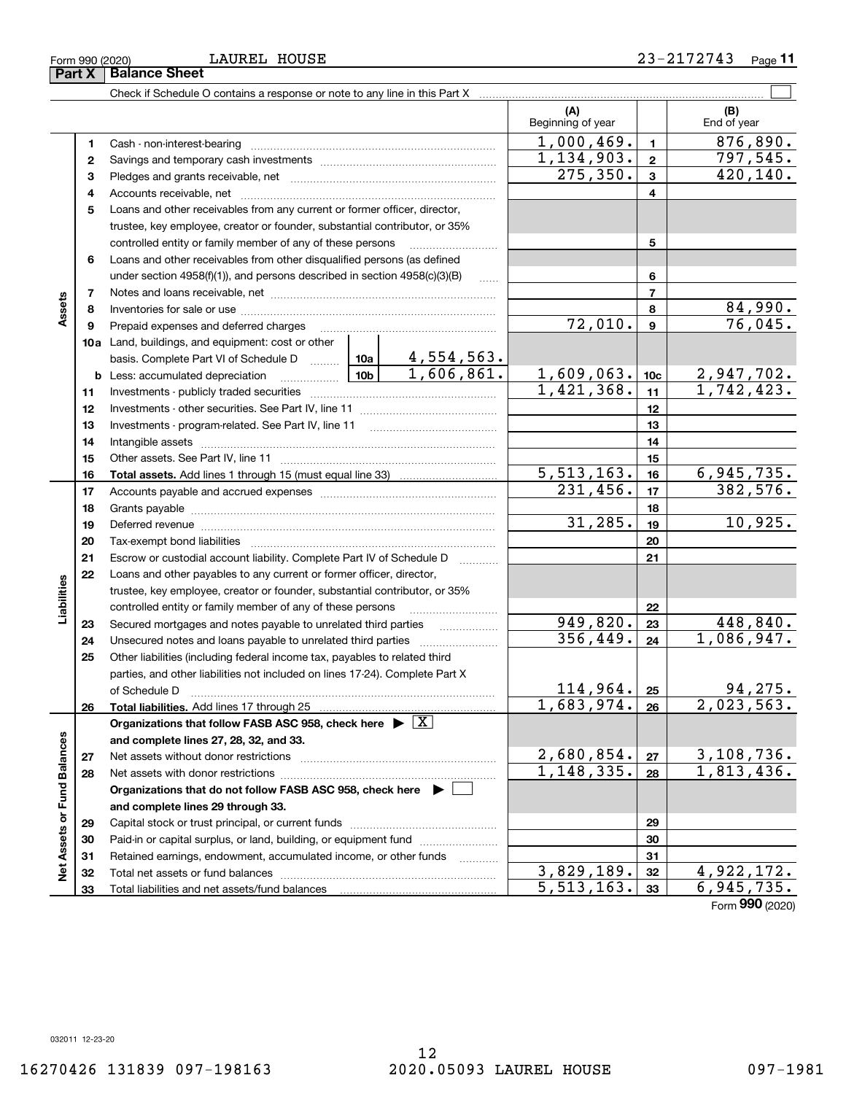LAUREL HOUSE

| (A)<br>(B)<br>Beginning of year<br>End of year<br>1,000,469.<br>876,890.<br>$\mathbf{1}$<br>1.<br>1,134,903.<br>797,545.<br>$\overline{\mathbf{2}}$<br>2<br>420,140.<br>275, 350.<br>$\mathbf{3}$<br>з<br>$\overline{\mathbf{4}}$<br>4<br>5<br>Loans and other receivables from any current or former officer, director,<br>trustee, key employee, creator or founder, substantial contributor, or 35%<br>controlled entity or family member of any of these persons<br>5<br>Loans and other receivables from other disqualified persons (as defined<br>6<br>6<br>under section $4958(f)(1)$ , and persons described in section $4958(c)(3)(B)$<br>$\ldots$<br>$\overline{7}$<br>7<br>Assets<br>$\frac{84,990}{76,045}$<br>8<br>8<br>72,010.<br>$\boldsymbol{9}$<br>9<br>Prepaid expenses and deferred charges<br>10a Land, buildings, and equipment: cost or other<br>4,554,563.<br>basis. Complete Part VI of Schedule D  10a<br>1,606,861.<br>1,609,063.<br>$2,947,702.$<br>1,742,423.<br><u>  1</u> 0b  <br>10 <sub>c</sub><br><b>b</b> Less: accumulated depreciation<br>1,421,368.<br>11<br>11<br>12<br>12<br>13<br>13<br>14<br>14<br>15<br>15<br>$\overline{5,513,163}$ .<br>6,945,735.<br>16<br>16<br>382,576.<br>$\overline{231}$ , 456.<br>17<br>17<br>18<br>18<br>10,925.<br>31, 285.<br>19<br>19<br>Deferred revenue manual contracts and contracts are all the manual contracts and contracts are the contracts of<br>20<br>20<br>21<br>Escrow or custodial account liability. Complete Part IV of Schedule D<br>21<br>Loans and other payables to any current or former officer, director,<br>22<br>Liabilities<br>trustee, key employee, creator or founder, substantial contributor, or 35%<br>22<br>controlled entity or family member of any of these persons<br>448,840.<br>949,820.<br>23<br>Secured mortgages and notes payable to unrelated third parties<br>23<br>356,449.<br>1,086,947.<br>24<br>Unsecured notes and loans payable to unrelated third parties<br>24<br>Other liabilities (including federal income tax, payables to related third<br>25<br>parties, and other liabilities not included on lines 17-24). Complete Part X<br>114,964.<br>94,275.<br>25<br>of Schedule D<br>2,023,563.<br>$1,683,974.$ 26<br>26<br>Organizations that follow FASB ASC 958, check here $\triangleright \lfloor X \rfloor$<br>Net Assets or Fund Balances<br>and complete lines 27, 28, 32, and 33.<br>2,680,854.<br>3,108,736.<br>27<br>27<br>$\overline{1,148,335}$ .<br>1,813,436.<br>28<br>28<br>Organizations that do not follow FASB ASC 958, check here $\blacktriangleright$<br>and complete lines 29 through 33.<br>29<br>29<br>Paid-in or capital surplus, or land, building, or equipment fund<br>30<br>30 | Check if Schedule O contains a response or note to any line in this Part X |  |  |  |  |  |                                             |  |
|------------------------------------------------------------------------------------------------------------------------------------------------------------------------------------------------------------------------------------------------------------------------------------------------------------------------------------------------------------------------------------------------------------------------------------------------------------------------------------------------------------------------------------------------------------------------------------------------------------------------------------------------------------------------------------------------------------------------------------------------------------------------------------------------------------------------------------------------------------------------------------------------------------------------------------------------------------------------------------------------------------------------------------------------------------------------------------------------------------------------------------------------------------------------------------------------------------------------------------------------------------------------------------------------------------------------------------------------------------------------------------------------------------------------------------------------------------------------------------------------------------------------------------------------------------------------------------------------------------------------------------------------------------------------------------------------------------------------------------------------------------------------------------------------------------------------------------------------------------------------------------------------------------------------------------------------------------------------------------------------------------------------------------------------------------------------------------------------------------------------------------------------------------------------------------------------------------------------------------------------------------------------------------------------------------------------------------------------------------------------------------------------------------------------------------------------------------------------------------------------------------------------------------------------------------------------------------------------------------------------------------------------------------------------------------------------------------------------------------------|----------------------------------------------------------------------------|--|--|--|--|--|---------------------------------------------|--|
|                                                                                                                                                                                                                                                                                                                                                                                                                                                                                                                                                                                                                                                                                                                                                                                                                                                                                                                                                                                                                                                                                                                                                                                                                                                                                                                                                                                                                                                                                                                                                                                                                                                                                                                                                                                                                                                                                                                                                                                                                                                                                                                                                                                                                                                                                                                                                                                                                                                                                                                                                                                                                                                                                                                                          |                                                                            |  |  |  |  |  |                                             |  |
|                                                                                                                                                                                                                                                                                                                                                                                                                                                                                                                                                                                                                                                                                                                                                                                                                                                                                                                                                                                                                                                                                                                                                                                                                                                                                                                                                                                                                                                                                                                                                                                                                                                                                                                                                                                                                                                                                                                                                                                                                                                                                                                                                                                                                                                                                                                                                                                                                                                                                                                                                                                                                                                                                                                                          |                                                                            |  |  |  |  |  |                                             |  |
|                                                                                                                                                                                                                                                                                                                                                                                                                                                                                                                                                                                                                                                                                                                                                                                                                                                                                                                                                                                                                                                                                                                                                                                                                                                                                                                                                                                                                                                                                                                                                                                                                                                                                                                                                                                                                                                                                                                                                                                                                                                                                                                                                                                                                                                                                                                                                                                                                                                                                                                                                                                                                                                                                                                                          |                                                                            |  |  |  |  |  |                                             |  |
|                                                                                                                                                                                                                                                                                                                                                                                                                                                                                                                                                                                                                                                                                                                                                                                                                                                                                                                                                                                                                                                                                                                                                                                                                                                                                                                                                                                                                                                                                                                                                                                                                                                                                                                                                                                                                                                                                                                                                                                                                                                                                                                                                                                                                                                                                                                                                                                                                                                                                                                                                                                                                                                                                                                                          |                                                                            |  |  |  |  |  |                                             |  |
|                                                                                                                                                                                                                                                                                                                                                                                                                                                                                                                                                                                                                                                                                                                                                                                                                                                                                                                                                                                                                                                                                                                                                                                                                                                                                                                                                                                                                                                                                                                                                                                                                                                                                                                                                                                                                                                                                                                                                                                                                                                                                                                                                                                                                                                                                                                                                                                                                                                                                                                                                                                                                                                                                                                                          |                                                                            |  |  |  |  |  |                                             |  |
|                                                                                                                                                                                                                                                                                                                                                                                                                                                                                                                                                                                                                                                                                                                                                                                                                                                                                                                                                                                                                                                                                                                                                                                                                                                                                                                                                                                                                                                                                                                                                                                                                                                                                                                                                                                                                                                                                                                                                                                                                                                                                                                                                                                                                                                                                                                                                                                                                                                                                                                                                                                                                                                                                                                                          |                                                                            |  |  |  |  |  |                                             |  |
|                                                                                                                                                                                                                                                                                                                                                                                                                                                                                                                                                                                                                                                                                                                                                                                                                                                                                                                                                                                                                                                                                                                                                                                                                                                                                                                                                                                                                                                                                                                                                                                                                                                                                                                                                                                                                                                                                                                                                                                                                                                                                                                                                                                                                                                                                                                                                                                                                                                                                                                                                                                                                                                                                                                                          |                                                                            |  |  |  |  |  |                                             |  |
|                                                                                                                                                                                                                                                                                                                                                                                                                                                                                                                                                                                                                                                                                                                                                                                                                                                                                                                                                                                                                                                                                                                                                                                                                                                                                                                                                                                                                                                                                                                                                                                                                                                                                                                                                                                                                                                                                                                                                                                                                                                                                                                                                                                                                                                                                                                                                                                                                                                                                                                                                                                                                                                                                                                                          |                                                                            |  |  |  |  |  |                                             |  |
|                                                                                                                                                                                                                                                                                                                                                                                                                                                                                                                                                                                                                                                                                                                                                                                                                                                                                                                                                                                                                                                                                                                                                                                                                                                                                                                                                                                                                                                                                                                                                                                                                                                                                                                                                                                                                                                                                                                                                                                                                                                                                                                                                                                                                                                                                                                                                                                                                                                                                                                                                                                                                                                                                                                                          |                                                                            |  |  |  |  |  |                                             |  |
|                                                                                                                                                                                                                                                                                                                                                                                                                                                                                                                                                                                                                                                                                                                                                                                                                                                                                                                                                                                                                                                                                                                                                                                                                                                                                                                                                                                                                                                                                                                                                                                                                                                                                                                                                                                                                                                                                                                                                                                                                                                                                                                                                                                                                                                                                                                                                                                                                                                                                                                                                                                                                                                                                                                                          |                                                                            |  |  |  |  |  |                                             |  |
|                                                                                                                                                                                                                                                                                                                                                                                                                                                                                                                                                                                                                                                                                                                                                                                                                                                                                                                                                                                                                                                                                                                                                                                                                                                                                                                                                                                                                                                                                                                                                                                                                                                                                                                                                                                                                                                                                                                                                                                                                                                                                                                                                                                                                                                                                                                                                                                                                                                                                                                                                                                                                                                                                                                                          |                                                                            |  |  |  |  |  |                                             |  |
|                                                                                                                                                                                                                                                                                                                                                                                                                                                                                                                                                                                                                                                                                                                                                                                                                                                                                                                                                                                                                                                                                                                                                                                                                                                                                                                                                                                                                                                                                                                                                                                                                                                                                                                                                                                                                                                                                                                                                                                                                                                                                                                                                                                                                                                                                                                                                                                                                                                                                                                                                                                                                                                                                                                                          |                                                                            |  |  |  |  |  |                                             |  |
|                                                                                                                                                                                                                                                                                                                                                                                                                                                                                                                                                                                                                                                                                                                                                                                                                                                                                                                                                                                                                                                                                                                                                                                                                                                                                                                                                                                                                                                                                                                                                                                                                                                                                                                                                                                                                                                                                                                                                                                                                                                                                                                                                                                                                                                                                                                                                                                                                                                                                                                                                                                                                                                                                                                                          |                                                                            |  |  |  |  |  |                                             |  |
|                                                                                                                                                                                                                                                                                                                                                                                                                                                                                                                                                                                                                                                                                                                                                                                                                                                                                                                                                                                                                                                                                                                                                                                                                                                                                                                                                                                                                                                                                                                                                                                                                                                                                                                                                                                                                                                                                                                                                                                                                                                                                                                                                                                                                                                                                                                                                                                                                                                                                                                                                                                                                                                                                                                                          |                                                                            |  |  |  |  |  |                                             |  |
|                                                                                                                                                                                                                                                                                                                                                                                                                                                                                                                                                                                                                                                                                                                                                                                                                                                                                                                                                                                                                                                                                                                                                                                                                                                                                                                                                                                                                                                                                                                                                                                                                                                                                                                                                                                                                                                                                                                                                                                                                                                                                                                                                                                                                                                                                                                                                                                                                                                                                                                                                                                                                                                                                                                                          |                                                                            |  |  |  |  |  |                                             |  |
|                                                                                                                                                                                                                                                                                                                                                                                                                                                                                                                                                                                                                                                                                                                                                                                                                                                                                                                                                                                                                                                                                                                                                                                                                                                                                                                                                                                                                                                                                                                                                                                                                                                                                                                                                                                                                                                                                                                                                                                                                                                                                                                                                                                                                                                                                                                                                                                                                                                                                                                                                                                                                                                                                                                                          |                                                                            |  |  |  |  |  |                                             |  |
|                                                                                                                                                                                                                                                                                                                                                                                                                                                                                                                                                                                                                                                                                                                                                                                                                                                                                                                                                                                                                                                                                                                                                                                                                                                                                                                                                                                                                                                                                                                                                                                                                                                                                                                                                                                                                                                                                                                                                                                                                                                                                                                                                                                                                                                                                                                                                                                                                                                                                                                                                                                                                                                                                                                                          |                                                                            |  |  |  |  |  |                                             |  |
|                                                                                                                                                                                                                                                                                                                                                                                                                                                                                                                                                                                                                                                                                                                                                                                                                                                                                                                                                                                                                                                                                                                                                                                                                                                                                                                                                                                                                                                                                                                                                                                                                                                                                                                                                                                                                                                                                                                                                                                                                                                                                                                                                                                                                                                                                                                                                                                                                                                                                                                                                                                                                                                                                                                                          |                                                                            |  |  |  |  |  |                                             |  |
|                                                                                                                                                                                                                                                                                                                                                                                                                                                                                                                                                                                                                                                                                                                                                                                                                                                                                                                                                                                                                                                                                                                                                                                                                                                                                                                                                                                                                                                                                                                                                                                                                                                                                                                                                                                                                                                                                                                                                                                                                                                                                                                                                                                                                                                                                                                                                                                                                                                                                                                                                                                                                                                                                                                                          |                                                                            |  |  |  |  |  |                                             |  |
|                                                                                                                                                                                                                                                                                                                                                                                                                                                                                                                                                                                                                                                                                                                                                                                                                                                                                                                                                                                                                                                                                                                                                                                                                                                                                                                                                                                                                                                                                                                                                                                                                                                                                                                                                                                                                                                                                                                                                                                                                                                                                                                                                                                                                                                                                                                                                                                                                                                                                                                                                                                                                                                                                                                                          |                                                                            |  |  |  |  |  |                                             |  |
|                                                                                                                                                                                                                                                                                                                                                                                                                                                                                                                                                                                                                                                                                                                                                                                                                                                                                                                                                                                                                                                                                                                                                                                                                                                                                                                                                                                                                                                                                                                                                                                                                                                                                                                                                                                                                                                                                                                                                                                                                                                                                                                                                                                                                                                                                                                                                                                                                                                                                                                                                                                                                                                                                                                                          |                                                                            |  |  |  |  |  |                                             |  |
|                                                                                                                                                                                                                                                                                                                                                                                                                                                                                                                                                                                                                                                                                                                                                                                                                                                                                                                                                                                                                                                                                                                                                                                                                                                                                                                                                                                                                                                                                                                                                                                                                                                                                                                                                                                                                                                                                                                                                                                                                                                                                                                                                                                                                                                                                                                                                                                                                                                                                                                                                                                                                                                                                                                                          |                                                                            |  |  |  |  |  |                                             |  |
|                                                                                                                                                                                                                                                                                                                                                                                                                                                                                                                                                                                                                                                                                                                                                                                                                                                                                                                                                                                                                                                                                                                                                                                                                                                                                                                                                                                                                                                                                                                                                                                                                                                                                                                                                                                                                                                                                                                                                                                                                                                                                                                                                                                                                                                                                                                                                                                                                                                                                                                                                                                                                                                                                                                                          |                                                                            |  |  |  |  |  |                                             |  |
|                                                                                                                                                                                                                                                                                                                                                                                                                                                                                                                                                                                                                                                                                                                                                                                                                                                                                                                                                                                                                                                                                                                                                                                                                                                                                                                                                                                                                                                                                                                                                                                                                                                                                                                                                                                                                                                                                                                                                                                                                                                                                                                                                                                                                                                                                                                                                                                                                                                                                                                                                                                                                                                                                                                                          |                                                                            |  |  |  |  |  |                                             |  |
|                                                                                                                                                                                                                                                                                                                                                                                                                                                                                                                                                                                                                                                                                                                                                                                                                                                                                                                                                                                                                                                                                                                                                                                                                                                                                                                                                                                                                                                                                                                                                                                                                                                                                                                                                                                                                                                                                                                                                                                                                                                                                                                                                                                                                                                                                                                                                                                                                                                                                                                                                                                                                                                                                                                                          |                                                                            |  |  |  |  |  |                                             |  |
|                                                                                                                                                                                                                                                                                                                                                                                                                                                                                                                                                                                                                                                                                                                                                                                                                                                                                                                                                                                                                                                                                                                                                                                                                                                                                                                                                                                                                                                                                                                                                                                                                                                                                                                                                                                                                                                                                                                                                                                                                                                                                                                                                                                                                                                                                                                                                                                                                                                                                                                                                                                                                                                                                                                                          |                                                                            |  |  |  |  |  |                                             |  |
|                                                                                                                                                                                                                                                                                                                                                                                                                                                                                                                                                                                                                                                                                                                                                                                                                                                                                                                                                                                                                                                                                                                                                                                                                                                                                                                                                                                                                                                                                                                                                                                                                                                                                                                                                                                                                                                                                                                                                                                                                                                                                                                                                                                                                                                                                                                                                                                                                                                                                                                                                                                                                                                                                                                                          |                                                                            |  |  |  |  |  |                                             |  |
|                                                                                                                                                                                                                                                                                                                                                                                                                                                                                                                                                                                                                                                                                                                                                                                                                                                                                                                                                                                                                                                                                                                                                                                                                                                                                                                                                                                                                                                                                                                                                                                                                                                                                                                                                                                                                                                                                                                                                                                                                                                                                                                                                                                                                                                                                                                                                                                                                                                                                                                                                                                                                                                                                                                                          |                                                                            |  |  |  |  |  |                                             |  |
|                                                                                                                                                                                                                                                                                                                                                                                                                                                                                                                                                                                                                                                                                                                                                                                                                                                                                                                                                                                                                                                                                                                                                                                                                                                                                                                                                                                                                                                                                                                                                                                                                                                                                                                                                                                                                                                                                                                                                                                                                                                                                                                                                                                                                                                                                                                                                                                                                                                                                                                                                                                                                                                                                                                                          |                                                                            |  |  |  |  |  |                                             |  |
|                                                                                                                                                                                                                                                                                                                                                                                                                                                                                                                                                                                                                                                                                                                                                                                                                                                                                                                                                                                                                                                                                                                                                                                                                                                                                                                                                                                                                                                                                                                                                                                                                                                                                                                                                                                                                                                                                                                                                                                                                                                                                                                                                                                                                                                                                                                                                                                                                                                                                                                                                                                                                                                                                                                                          |                                                                            |  |  |  |  |  |                                             |  |
|                                                                                                                                                                                                                                                                                                                                                                                                                                                                                                                                                                                                                                                                                                                                                                                                                                                                                                                                                                                                                                                                                                                                                                                                                                                                                                                                                                                                                                                                                                                                                                                                                                                                                                                                                                                                                                                                                                                                                                                                                                                                                                                                                                                                                                                                                                                                                                                                                                                                                                                                                                                                                                                                                                                                          |                                                                            |  |  |  |  |  |                                             |  |
|                                                                                                                                                                                                                                                                                                                                                                                                                                                                                                                                                                                                                                                                                                                                                                                                                                                                                                                                                                                                                                                                                                                                                                                                                                                                                                                                                                                                                                                                                                                                                                                                                                                                                                                                                                                                                                                                                                                                                                                                                                                                                                                                                                                                                                                                                                                                                                                                                                                                                                                                                                                                                                                                                                                                          |                                                                            |  |  |  |  |  |                                             |  |
|                                                                                                                                                                                                                                                                                                                                                                                                                                                                                                                                                                                                                                                                                                                                                                                                                                                                                                                                                                                                                                                                                                                                                                                                                                                                                                                                                                                                                                                                                                                                                                                                                                                                                                                                                                                                                                                                                                                                                                                                                                                                                                                                                                                                                                                                                                                                                                                                                                                                                                                                                                                                                                                                                                                                          |                                                                            |  |  |  |  |  |                                             |  |
|                                                                                                                                                                                                                                                                                                                                                                                                                                                                                                                                                                                                                                                                                                                                                                                                                                                                                                                                                                                                                                                                                                                                                                                                                                                                                                                                                                                                                                                                                                                                                                                                                                                                                                                                                                                                                                                                                                                                                                                                                                                                                                                                                                                                                                                                                                                                                                                                                                                                                                                                                                                                                                                                                                                                          |                                                                            |  |  |  |  |  |                                             |  |
|                                                                                                                                                                                                                                                                                                                                                                                                                                                                                                                                                                                                                                                                                                                                                                                                                                                                                                                                                                                                                                                                                                                                                                                                                                                                                                                                                                                                                                                                                                                                                                                                                                                                                                                                                                                                                                                                                                                                                                                                                                                                                                                                                                                                                                                                                                                                                                                                                                                                                                                                                                                                                                                                                                                                          |                                                                            |  |  |  |  |  |                                             |  |
|                                                                                                                                                                                                                                                                                                                                                                                                                                                                                                                                                                                                                                                                                                                                                                                                                                                                                                                                                                                                                                                                                                                                                                                                                                                                                                                                                                                                                                                                                                                                                                                                                                                                                                                                                                                                                                                                                                                                                                                                                                                                                                                                                                                                                                                                                                                                                                                                                                                                                                                                                                                                                                                                                                                                          |                                                                            |  |  |  |  |  |                                             |  |
|                                                                                                                                                                                                                                                                                                                                                                                                                                                                                                                                                                                                                                                                                                                                                                                                                                                                                                                                                                                                                                                                                                                                                                                                                                                                                                                                                                                                                                                                                                                                                                                                                                                                                                                                                                                                                                                                                                                                                                                                                                                                                                                                                                                                                                                                                                                                                                                                                                                                                                                                                                                                                                                                                                                                          |                                                                            |  |  |  |  |  |                                             |  |
|                                                                                                                                                                                                                                                                                                                                                                                                                                                                                                                                                                                                                                                                                                                                                                                                                                                                                                                                                                                                                                                                                                                                                                                                                                                                                                                                                                                                                                                                                                                                                                                                                                                                                                                                                                                                                                                                                                                                                                                                                                                                                                                                                                                                                                                                                                                                                                                                                                                                                                                                                                                                                                                                                                                                          |                                                                            |  |  |  |  |  |                                             |  |
|                                                                                                                                                                                                                                                                                                                                                                                                                                                                                                                                                                                                                                                                                                                                                                                                                                                                                                                                                                                                                                                                                                                                                                                                                                                                                                                                                                                                                                                                                                                                                                                                                                                                                                                                                                                                                                                                                                                                                                                                                                                                                                                                                                                                                                                                                                                                                                                                                                                                                                                                                                                                                                                                                                                                          |                                                                            |  |  |  |  |  |                                             |  |
|                                                                                                                                                                                                                                                                                                                                                                                                                                                                                                                                                                                                                                                                                                                                                                                                                                                                                                                                                                                                                                                                                                                                                                                                                                                                                                                                                                                                                                                                                                                                                                                                                                                                                                                                                                                                                                                                                                                                                                                                                                                                                                                                                                                                                                                                                                                                                                                                                                                                                                                                                                                                                                                                                                                                          |                                                                            |  |  |  |  |  |                                             |  |
|                                                                                                                                                                                                                                                                                                                                                                                                                                                                                                                                                                                                                                                                                                                                                                                                                                                                                                                                                                                                                                                                                                                                                                                                                                                                                                                                                                                                                                                                                                                                                                                                                                                                                                                                                                                                                                                                                                                                                                                                                                                                                                                                                                                                                                                                                                                                                                                                                                                                                                                                                                                                                                                                                                                                          |                                                                            |  |  |  |  |  |                                             |  |
|                                                                                                                                                                                                                                                                                                                                                                                                                                                                                                                                                                                                                                                                                                                                                                                                                                                                                                                                                                                                                                                                                                                                                                                                                                                                                                                                                                                                                                                                                                                                                                                                                                                                                                                                                                                                                                                                                                                                                                                                                                                                                                                                                                                                                                                                                                                                                                                                                                                                                                                                                                                                                                                                                                                                          |                                                                            |  |  |  |  |  |                                             |  |
|                                                                                                                                                                                                                                                                                                                                                                                                                                                                                                                                                                                                                                                                                                                                                                                                                                                                                                                                                                                                                                                                                                                                                                                                                                                                                                                                                                                                                                                                                                                                                                                                                                                                                                                                                                                                                                                                                                                                                                                                                                                                                                                                                                                                                                                                                                                                                                                                                                                                                                                                                                                                                                                                                                                                          |                                                                            |  |  |  |  |  |                                             |  |
| Retained earnings, endowment, accumulated income, or other funds<br>31<br>31                                                                                                                                                                                                                                                                                                                                                                                                                                                                                                                                                                                                                                                                                                                                                                                                                                                                                                                                                                                                                                                                                                                                                                                                                                                                                                                                                                                                                                                                                                                                                                                                                                                                                                                                                                                                                                                                                                                                                                                                                                                                                                                                                                                                                                                                                                                                                                                                                                                                                                                                                                                                                                                             |                                                                            |  |  |  |  |  |                                             |  |
| 3,829,189.<br>32<br>32                                                                                                                                                                                                                                                                                                                                                                                                                                                                                                                                                                                                                                                                                                                                                                                                                                                                                                                                                                                                                                                                                                                                                                                                                                                                                                                                                                                                                                                                                                                                                                                                                                                                                                                                                                                                                                                                                                                                                                                                                                                                                                                                                                                                                                                                                                                                                                                                                                                                                                                                                                                                                                                                                                                   |                                                                            |  |  |  |  |  | 4,922,172.                                  |  |
| $\overline{5,513,163}$ .<br>33<br>33                                                                                                                                                                                                                                                                                                                                                                                                                                                                                                                                                                                                                                                                                                                                                                                                                                                                                                                                                                                                                                                                                                                                                                                                                                                                                                                                                                                                                                                                                                                                                                                                                                                                                                                                                                                                                                                                                                                                                                                                                                                                                                                                                                                                                                                                                                                                                                                                                                                                                                                                                                                                                                                                                                     |                                                                            |  |  |  |  |  | 6,945,735.<br>$\mathsf{L}$ 000 $\mathsf{L}$ |  |

Form (2020) **990**

032011 12-23-20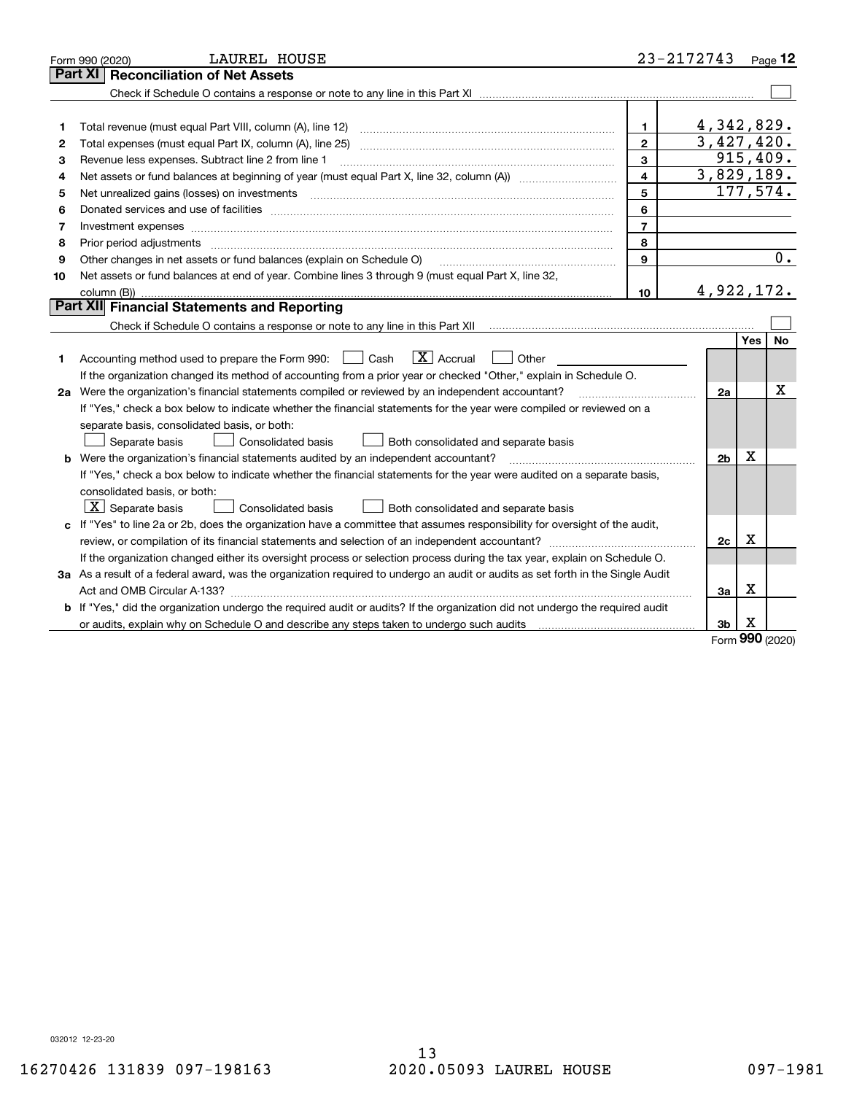|    | LAUREL HOUSE<br>Form 990 (2020)                                                                                                                                                                                                |                | 23-2172743     |                 | Page 12   |
|----|--------------------------------------------------------------------------------------------------------------------------------------------------------------------------------------------------------------------------------|----------------|----------------|-----------------|-----------|
|    | Part XI<br><b>Reconciliation of Net Assets</b>                                                                                                                                                                                 |                |                |                 |           |
|    |                                                                                                                                                                                                                                |                |                |                 |           |
|    |                                                                                                                                                                                                                                |                |                |                 |           |
| 1  |                                                                                                                                                                                                                                | 1.             | 4,342,829.     |                 |           |
| 2  |                                                                                                                                                                                                                                | $\mathbf{2}$   | 3,427,420.     |                 |           |
| з  | Revenue less expenses. Subtract line 2 from line 1                                                                                                                                                                             | 3              |                |                 | 915,409.  |
| 4  |                                                                                                                                                                                                                                | $\overline{4}$ | 3,829,189.     |                 |           |
| 5  | Net unrealized gains (losses) on investments [11] [11] non-manufactured manufactured manufactured manufactured manufactured manufactured manufactured manufactured manufactured manufactured manufactured manufactured manufac | 5              |                |                 | 177,574.  |
| 6  |                                                                                                                                                                                                                                | 6              |                |                 |           |
| 7  |                                                                                                                                                                                                                                | $\overline{7}$ |                |                 |           |
| 8  | Prior period adjustments                                                                                                                                                                                                       | 8              |                |                 |           |
| 9  | Other changes in net assets or fund balances (explain on Schedule O)                                                                                                                                                           | 9              |                |                 | 0.        |
| 10 | Net assets or fund balances at end of year. Combine lines 3 through 9 (must equal Part X, line 32,                                                                                                                             |                |                |                 |           |
|    |                                                                                                                                                                                                                                | 10             | 4,922,172.     |                 |           |
|    | Part XII Financial Statements and Reporting                                                                                                                                                                                    |                |                |                 |           |
|    |                                                                                                                                                                                                                                |                |                |                 |           |
|    |                                                                                                                                                                                                                                |                |                | <b>Yes</b>      | <b>No</b> |
| 1  | $\boxed{\text{X}}$ Accrual<br>Accounting method used to prepare the Form 990: <u>June</u> Cash<br>Other                                                                                                                        |                |                |                 |           |
|    | If the organization changed its method of accounting from a prior year or checked "Other," explain in Schedule O.                                                                                                              |                |                |                 |           |
|    | 2a Were the organization's financial statements compiled or reviewed by an independent accountant?                                                                                                                             |                | 2a             |                 | х         |
|    | If "Yes," check a box below to indicate whether the financial statements for the year were compiled or reviewed on a                                                                                                           |                |                |                 |           |
|    | separate basis, consolidated basis, or both:                                                                                                                                                                                   |                |                |                 |           |
|    | Separate basis<br>Consolidated basis<br>Both consolidated and separate basis                                                                                                                                                   |                |                |                 |           |
|    | <b>b</b> Were the organization's financial statements audited by an independent accountant?                                                                                                                                    |                | 2 <sub>b</sub> | х               |           |
|    | If "Yes," check a box below to indicate whether the financial statements for the year were audited on a separate basis,                                                                                                        |                |                |                 |           |
|    | consolidated basis, or both:                                                                                                                                                                                                   |                |                |                 |           |
|    | $\lfloor x \rfloor$ Separate basis<br>Consolidated basis<br>Both consolidated and separate basis                                                                                                                               |                |                |                 |           |
|    | c If "Yes" to line 2a or 2b, does the organization have a committee that assumes responsibility for oversight of the audit,                                                                                                    |                |                |                 |           |
|    |                                                                                                                                                                                                                                |                | 2c             | х               |           |
|    | If the organization changed either its oversight process or selection process during the tax year, explain on Schedule O.                                                                                                      |                |                |                 |           |
|    | 3a As a result of a federal award, was the organization required to undergo an audit or audits as set forth in the Single Audit                                                                                                |                |                |                 |           |
|    |                                                                                                                                                                                                                                |                | За             | х               |           |
|    | b If "Yes," did the organization undergo the required audit or audits? If the organization did not undergo the required audit                                                                                                  |                |                |                 |           |
|    |                                                                                                                                                                                                                                |                | 3b             | х<br><b>nnn</b> |           |

Form (2020) **990**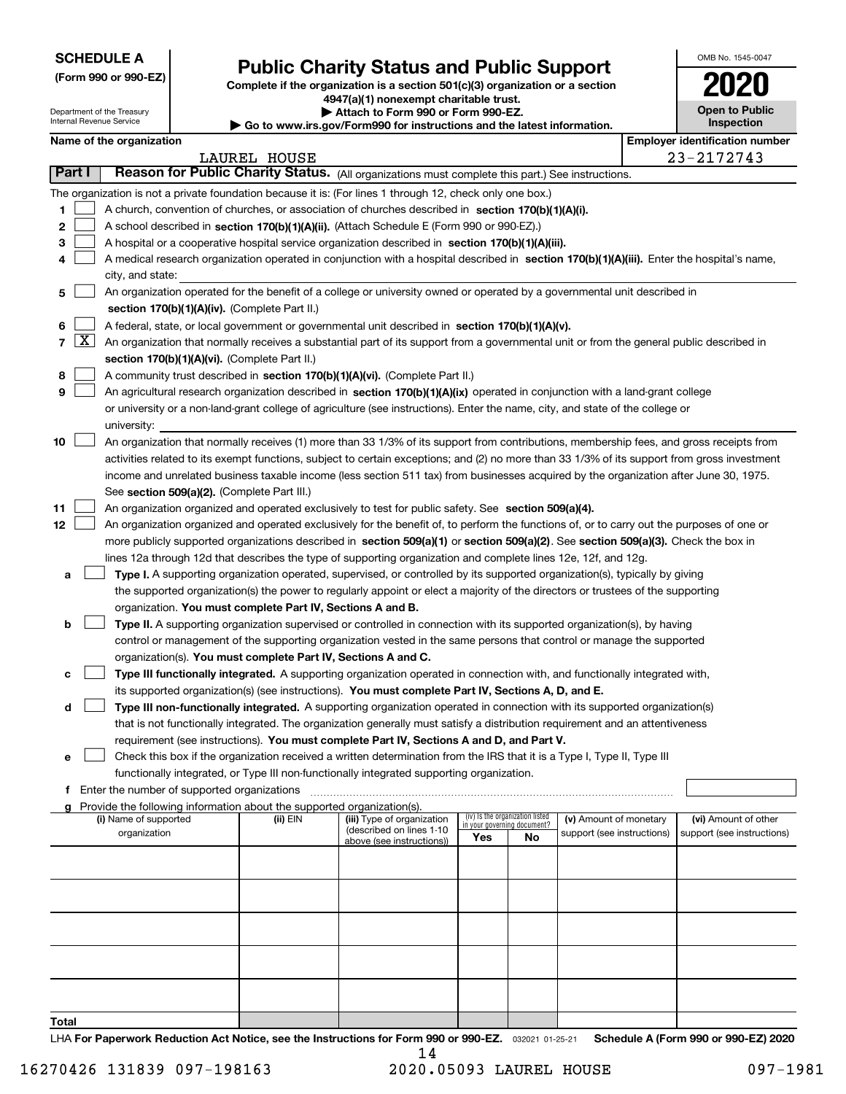| <b>SCHEDULE A</b> |
|-------------------|
|-------------------|

**(Form 990 or 990-EZ)**

# **Public Charity Status and Public Support**

**Complete if the organization is a section 501(c)(3) organization or a section 4947(a)(1) nonexempt charitable trust. | Attach to Form 990 or Form 990-EZ.** 

| www.irs.gov/Form990 for instructions and the latest information. |
|------------------------------------------------------------------|
|------------------------------------------------------------------|

| OMB No. 1545-0047                   |
|-------------------------------------|
| 120<br>0                            |
| <b>Open to Public</b><br>Inspection |

|                  |                     | Department of the Treasury<br>Internal Revenue Service |  |                                                                        | ▶ Attach to Form 990 or Form 990-EZ.<br>▶ Go to www.irs.gov/Form990 for instructions and the latest information.                                                                                                                                                                                                                                                                                                                                                                                                                                                   |     |                                                                |                            | <b>Open to Public</b><br><b>Inspection</b> |
|------------------|---------------------|--------------------------------------------------------|--|------------------------------------------------------------------------|--------------------------------------------------------------------------------------------------------------------------------------------------------------------------------------------------------------------------------------------------------------------------------------------------------------------------------------------------------------------------------------------------------------------------------------------------------------------------------------------------------------------------------------------------------------------|-----|----------------------------------------------------------------|----------------------------|--------------------------------------------|
|                  |                     | Name of the organization                               |  |                                                                        |                                                                                                                                                                                                                                                                                                                                                                                                                                                                                                                                                                    |     |                                                                |                            | <b>Employer identification number</b>      |
|                  |                     |                                                        |  | <b>LAUREL HOUSE</b>                                                    |                                                                                                                                                                                                                                                                                                                                                                                                                                                                                                                                                                    |     |                                                                |                            | 23-2172743                                 |
|                  | <b>Part I</b>       |                                                        |  |                                                                        | Reason for Public Charity Status. (All organizations must complete this part.) See instructions.                                                                                                                                                                                                                                                                                                                                                                                                                                                                   |     |                                                                |                            |                                            |
| 1<br>2<br>3<br>4 |                     |                                                        |  |                                                                        | The organization is not a private foundation because it is: (For lines 1 through 12, check only one box.)<br>A church, convention of churches, or association of churches described in section 170(b)(1)(A)(i).<br>A school described in section 170(b)(1)(A)(ii). (Attach Schedule E (Form 990 or 990-EZ).)<br>A hospital or a cooperative hospital service organization described in section $170(b)(1)(A)(iii)$ .<br>A medical research organization operated in conjunction with a hospital described in section 170(b)(1)(A)(iii). Enter the hospital's name, |     |                                                                |                            |                                            |
|                  |                     | city, and state:                                       |  |                                                                        | An organization operated for the benefit of a college or university owned or operated by a governmental unit described in                                                                                                                                                                                                                                                                                                                                                                                                                                          |     |                                                                |                            |                                            |
| 5                |                     |                                                        |  | section 170(b)(1)(A)(iv). (Complete Part II.)                          |                                                                                                                                                                                                                                                                                                                                                                                                                                                                                                                                                                    |     |                                                                |                            |                                            |
| 6                |                     |                                                        |  |                                                                        | A federal, state, or local government or governmental unit described in section 170(b)(1)(A)(v).                                                                                                                                                                                                                                                                                                                                                                                                                                                                   |     |                                                                |                            |                                            |
| 7                | $\lfloor x \rfloor$ |                                                        |  |                                                                        | An organization that normally receives a substantial part of its support from a governmental unit or from the general public described in                                                                                                                                                                                                                                                                                                                                                                                                                          |     |                                                                |                            |                                            |
|                  |                     |                                                        |  | section 170(b)(1)(A)(vi). (Complete Part II.)                          |                                                                                                                                                                                                                                                                                                                                                                                                                                                                                                                                                                    |     |                                                                |                            |                                            |
| 8                |                     |                                                        |  |                                                                        | A community trust described in section 170(b)(1)(A)(vi). (Complete Part II.)                                                                                                                                                                                                                                                                                                                                                                                                                                                                                       |     |                                                                |                            |                                            |
| 9                |                     |                                                        |  |                                                                        | An agricultural research organization described in section 170(b)(1)(A)(ix) operated in conjunction with a land-grant college                                                                                                                                                                                                                                                                                                                                                                                                                                      |     |                                                                |                            |                                            |
|                  |                     |                                                        |  |                                                                        | or university or a non-land-grant college of agriculture (see instructions). Enter the name, city, and state of the college or                                                                                                                                                                                                                                                                                                                                                                                                                                     |     |                                                                |                            |                                            |
|                  |                     | university:                                            |  |                                                                        |                                                                                                                                                                                                                                                                                                                                                                                                                                                                                                                                                                    |     |                                                                |                            |                                            |
| 10               |                     |                                                        |  |                                                                        | An organization that normally receives (1) more than 33 1/3% of its support from contributions, membership fees, and gross receipts from                                                                                                                                                                                                                                                                                                                                                                                                                           |     |                                                                |                            |                                            |
|                  |                     |                                                        |  |                                                                        | activities related to its exempt functions, subject to certain exceptions; and (2) no more than 33 1/3% of its support from gross investment                                                                                                                                                                                                                                                                                                                                                                                                                       |     |                                                                |                            |                                            |
|                  |                     |                                                        |  |                                                                        | income and unrelated business taxable income (less section 511 tax) from businesses acquired by the organization after June 30, 1975.                                                                                                                                                                                                                                                                                                                                                                                                                              |     |                                                                |                            |                                            |
| 11               |                     |                                                        |  | See section 509(a)(2). (Complete Part III.)                            | An organization organized and operated exclusively to test for public safety. See section 509(a)(4).                                                                                                                                                                                                                                                                                                                                                                                                                                                               |     |                                                                |                            |                                            |
| 12               |                     |                                                        |  |                                                                        | An organization organized and operated exclusively for the benefit of, to perform the functions of, or to carry out the purposes of one or                                                                                                                                                                                                                                                                                                                                                                                                                         |     |                                                                |                            |                                            |
|                  |                     |                                                        |  |                                                                        | more publicly supported organizations described in section 509(a)(1) or section 509(a)(2). See section 509(a)(3). Check the box in                                                                                                                                                                                                                                                                                                                                                                                                                                 |     |                                                                |                            |                                            |
|                  |                     |                                                        |  |                                                                        | lines 12a through 12d that describes the type of supporting organization and complete lines 12e, 12f, and 12g.                                                                                                                                                                                                                                                                                                                                                                                                                                                     |     |                                                                |                            |                                            |
| а                |                     |                                                        |  |                                                                        | Type I. A supporting organization operated, supervised, or controlled by its supported organization(s), typically by giving                                                                                                                                                                                                                                                                                                                                                                                                                                        |     |                                                                |                            |                                            |
|                  |                     |                                                        |  |                                                                        | the supported organization(s) the power to regularly appoint or elect a majority of the directors or trustees of the supporting                                                                                                                                                                                                                                                                                                                                                                                                                                    |     |                                                                |                            |                                            |
|                  |                     |                                                        |  | organization. You must complete Part IV, Sections A and B.             |                                                                                                                                                                                                                                                                                                                                                                                                                                                                                                                                                                    |     |                                                                |                            |                                            |
| b                |                     |                                                        |  |                                                                        | Type II. A supporting organization supervised or controlled in connection with its supported organization(s), by having                                                                                                                                                                                                                                                                                                                                                                                                                                            |     |                                                                |                            |                                            |
|                  |                     |                                                        |  |                                                                        | control or management of the supporting organization vested in the same persons that control or manage the supported                                                                                                                                                                                                                                                                                                                                                                                                                                               |     |                                                                |                            |                                            |
|                  |                     |                                                        |  |                                                                        | organization(s). You must complete Part IV, Sections A and C.                                                                                                                                                                                                                                                                                                                                                                                                                                                                                                      |     |                                                                |                            |                                            |
| с                |                     |                                                        |  |                                                                        | Type III functionally integrated. A supporting organization operated in connection with, and functionally integrated with,                                                                                                                                                                                                                                                                                                                                                                                                                                         |     |                                                                |                            |                                            |
|                  |                     |                                                        |  |                                                                        | its supported organization(s) (see instructions). You must complete Part IV, Sections A, D, and E.                                                                                                                                                                                                                                                                                                                                                                                                                                                                 |     |                                                                |                            |                                            |
| d                |                     |                                                        |  |                                                                        | Type III non-functionally integrated. A supporting organization operated in connection with its supported organization(s)                                                                                                                                                                                                                                                                                                                                                                                                                                          |     |                                                                |                            |                                            |
|                  |                     |                                                        |  |                                                                        | that is not functionally integrated. The organization generally must satisfy a distribution requirement and an attentiveness                                                                                                                                                                                                                                                                                                                                                                                                                                       |     |                                                                |                            |                                            |
| е                |                     |                                                        |  |                                                                        | requirement (see instructions). You must complete Part IV, Sections A and D, and Part V.<br>Check this box if the organization received a written determination from the IRS that it is a Type I, Type II, Type III                                                                                                                                                                                                                                                                                                                                                |     |                                                                |                            |                                            |
|                  |                     |                                                        |  |                                                                        | functionally integrated, or Type III non-functionally integrated supporting organization.                                                                                                                                                                                                                                                                                                                                                                                                                                                                          |     |                                                                |                            |                                            |
| f                |                     | Enter the number of supported organizations            |  |                                                                        |                                                                                                                                                                                                                                                                                                                                                                                                                                                                                                                                                                    |     |                                                                |                            |                                            |
|                  |                     |                                                        |  | Provide the following information about the supported organization(s). |                                                                                                                                                                                                                                                                                                                                                                                                                                                                                                                                                                    |     |                                                                |                            |                                            |
|                  |                     | (i) Name of supported                                  |  | (ii) EIN                                                               | (iii) Type of organization                                                                                                                                                                                                                                                                                                                                                                                                                                                                                                                                         |     | (iv) Is the organization listed<br>in your governing document? | (v) Amount of monetary     | (vi) Amount of other                       |
|                  |                     | organization                                           |  |                                                                        | (described on lines 1-10<br>above (see instructions))                                                                                                                                                                                                                                                                                                                                                                                                                                                                                                              | Yes | No                                                             | support (see instructions) | support (see instructions)                 |
|                  |                     |                                                        |  |                                                                        |                                                                                                                                                                                                                                                                                                                                                                                                                                                                                                                                                                    |     |                                                                |                            |                                            |
|                  |                     |                                                        |  |                                                                        |                                                                                                                                                                                                                                                                                                                                                                                                                                                                                                                                                                    |     |                                                                |                            |                                            |
|                  |                     |                                                        |  |                                                                        |                                                                                                                                                                                                                                                                                                                                                                                                                                                                                                                                                                    |     |                                                                |                            |                                            |
|                  |                     |                                                        |  |                                                                        |                                                                                                                                                                                                                                                                                                                                                                                                                                                                                                                                                                    |     |                                                                |                            |                                            |
|                  |                     |                                                        |  |                                                                        |                                                                                                                                                                                                                                                                                                                                                                                                                                                                                                                                                                    |     |                                                                |                            |                                            |
|                  |                     |                                                        |  |                                                                        |                                                                                                                                                                                                                                                                                                                                                                                                                                                                                                                                                                    |     |                                                                |                            |                                            |
|                  |                     |                                                        |  |                                                                        |                                                                                                                                                                                                                                                                                                                                                                                                                                                                                                                                                                    |     |                                                                |                            |                                            |
|                  |                     |                                                        |  |                                                                        |                                                                                                                                                                                                                                                                                                                                                                                                                                                                                                                                                                    |     |                                                                |                            |                                            |
|                  |                     |                                                        |  |                                                                        |                                                                                                                                                                                                                                                                                                                                                                                                                                                                                                                                                                    |     |                                                                |                            |                                            |
|                  |                     |                                                        |  |                                                                        |                                                                                                                                                                                                                                                                                                                                                                                                                                                                                                                                                                    |     |                                                                |                            |                                            |

**Total**

LHA For Paperwork Reduction Act Notice, see the Instructions for Form 990 or 990-EZ. <sub>032021</sub> o1-25-21 Schedule A (Form 990 or 990-EZ) 2020 14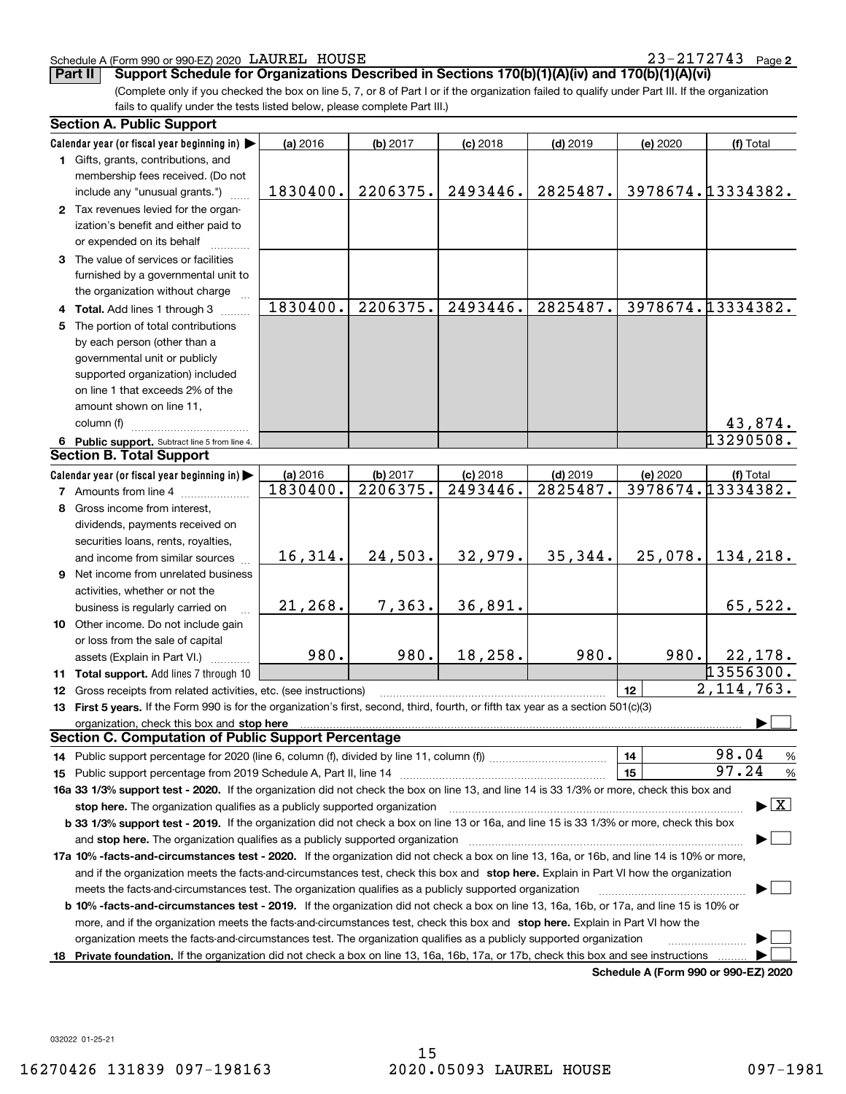#### Schedule A (Form 990 or 990-EZ) 2020 Page LAUREL HOUSE 23-2172743

**2**

(Complete only if you checked the box on line 5, 7, or 8 of Part I or if the organization failed to qualify under Part III. If the organization **Part II Support Schedule for Organizations Described in Sections 170(b)(1)(A)(iv) and 170(b)(1)(A)(vi)**

fails to qualify under the tests listed below, please complete Part III.)

|     | <b>Section A. Public Support</b>                                                                                                                                                                                               |          |          |            |            |          |                                          |  |  |
|-----|--------------------------------------------------------------------------------------------------------------------------------------------------------------------------------------------------------------------------------|----------|----------|------------|------------|----------|------------------------------------------|--|--|
|     | Calendar year (or fiscal year beginning in)                                                                                                                                                                                    | (a) 2016 | (b) 2017 | $(c)$ 2018 | $(d)$ 2019 | (e) 2020 | (f) Total                                |  |  |
|     | 1 Gifts, grants, contributions, and                                                                                                                                                                                            |          |          |            |            |          |                                          |  |  |
|     | membership fees received. (Do not                                                                                                                                                                                              |          |          |            |            |          |                                          |  |  |
|     | include any "unusual grants.")                                                                                                                                                                                                 | 1830400. | 2206375. | 2493446.   | 2825487.   |          | 3978674.13334382.                        |  |  |
|     | 2 Tax revenues levied for the organ-                                                                                                                                                                                           |          |          |            |            |          |                                          |  |  |
|     | ization's benefit and either paid to                                                                                                                                                                                           |          |          |            |            |          |                                          |  |  |
|     | or expended on its behalf                                                                                                                                                                                                      |          |          |            |            |          |                                          |  |  |
|     | 3 The value of services or facilities                                                                                                                                                                                          |          |          |            |            |          |                                          |  |  |
|     | furnished by a governmental unit to                                                                                                                                                                                            |          |          |            |            |          |                                          |  |  |
|     | the organization without charge                                                                                                                                                                                                |          |          |            |            |          |                                          |  |  |
|     | 4 Total. Add lines 1 through 3                                                                                                                                                                                                 | 1830400. | 2206375. | 2493446.   | 2825487.   |          | 3978674.13334382.                        |  |  |
| 5   | The portion of total contributions                                                                                                                                                                                             |          |          |            |            |          |                                          |  |  |
|     | by each person (other than a                                                                                                                                                                                                   |          |          |            |            |          |                                          |  |  |
|     | governmental unit or publicly                                                                                                                                                                                                  |          |          |            |            |          |                                          |  |  |
|     | supported organization) included                                                                                                                                                                                               |          |          |            |            |          |                                          |  |  |
|     | on line 1 that exceeds 2% of the                                                                                                                                                                                               |          |          |            |            |          |                                          |  |  |
|     | amount shown on line 11,                                                                                                                                                                                                       |          |          |            |            |          |                                          |  |  |
|     | column (f)                                                                                                                                                                                                                     |          |          |            |            |          | 43,874.                                  |  |  |
|     | 6 Public support. Subtract line 5 from line 4.                                                                                                                                                                                 |          |          |            |            |          | 13290508.                                |  |  |
|     | <b>Section B. Total Support</b>                                                                                                                                                                                                |          |          |            |            |          |                                          |  |  |
|     | Calendar year (or fiscal year beginning in)                                                                                                                                                                                    | (a) 2016 | (b) 2017 | $(c)$ 2018 | $(d)$ 2019 | (e) 2020 | (f) Total                                |  |  |
|     | <b>7</b> Amounts from line 4                                                                                                                                                                                                   | 1830400. | 2206375. | 2493446.   | 2825487.   |          | 3978674.13334382.                        |  |  |
| 8   | Gross income from interest,                                                                                                                                                                                                    |          |          |            |            |          |                                          |  |  |
|     | dividends, payments received on                                                                                                                                                                                                |          |          |            |            |          |                                          |  |  |
|     | securities loans, rents, royalties,                                                                                                                                                                                            |          |          |            |            |          |                                          |  |  |
|     | and income from similar sources                                                                                                                                                                                                | 16,314.  | 24,503.  | 32,979.    | 35,344.    | 25,078.  | 134,218.                                 |  |  |
|     | 9 Net income from unrelated business                                                                                                                                                                                           |          |          |            |            |          |                                          |  |  |
|     | activities, whether or not the                                                                                                                                                                                                 |          |          |            |            |          |                                          |  |  |
|     | business is regularly carried on                                                                                                                                                                                               | 21,268.  | 7,363.   | 36,891.    |            |          | 65,522.                                  |  |  |
|     | 10 Other income. Do not include gain                                                                                                                                                                                           |          |          |            |            |          |                                          |  |  |
|     | or loss from the sale of capital                                                                                                                                                                                               |          |          |            |            |          |                                          |  |  |
|     | assets (Explain in Part VI.)                                                                                                                                                                                                   | 980.     | 980.     | 18,258.    | 980.       | 980.     | 22,178.                                  |  |  |
|     | 11 Total support. Add lines 7 through 10                                                                                                                                                                                       |          |          |            |            |          | 13556300.                                |  |  |
|     | <b>12</b> Gross receipts from related activities, etc. (see instructions)                                                                                                                                                      |          |          |            |            | 12       | 2,114,763.                               |  |  |
|     | 13 First 5 years. If the Form 990 is for the organization's first, second, third, fourth, or fifth tax year as a section 501(c)(3)                                                                                             |          |          |            |            |          |                                          |  |  |
|     | organization, check this box and stop here manufactured and stop here and stop here are all the control of the state of the state of the control of the state of the state of the state of the state of the state of the state |          |          |            |            |          |                                          |  |  |
|     | <b>Section C. Computation of Public Support Percentage</b>                                                                                                                                                                     |          |          |            |            |          |                                          |  |  |
|     |                                                                                                                                                                                                                                |          |          |            |            | 14       | 98.04<br>%                               |  |  |
|     |                                                                                                                                                                                                                                |          |          |            |            | 15       | 97.24<br>$\%$                            |  |  |
|     | 16a 33 1/3% support test - 2020. If the organization did not check the box on line 13, and line 14 is 33 1/3% or more, check this box and                                                                                      |          |          |            |            |          |                                          |  |  |
|     | stop here. The organization qualifies as a publicly supported organization                                                                                                                                                     |          |          |            |            |          | $\blacktriangleright$ $\boxed{\text{X}}$ |  |  |
|     | b 33 1/3% support test - 2019. If the organization did not check a box on line 13 or 16a, and line 15 is 33 1/3% or more, check this box                                                                                       |          |          |            |            |          |                                          |  |  |
|     | and stop here. The organization qualifies as a publicly supported organization                                                                                                                                                 |          |          |            |            |          |                                          |  |  |
|     | 17a 10% -facts-and-circumstances test - 2020. If the organization did not check a box on line 13, 16a, or 16b, and line 14 is 10% or more,                                                                                     |          |          |            |            |          |                                          |  |  |
|     | and if the organization meets the facts-and-circumstances test, check this box and stop here. Explain in Part VI how the organization                                                                                          |          |          |            |            |          |                                          |  |  |
|     | meets the facts-and-circumstances test. The organization qualifies as a publicly supported organization                                                                                                                        |          |          |            |            |          |                                          |  |  |
|     | <b>b 10% -facts-and-circumstances test - 2019.</b> If the organization did not check a box on line 13, 16a, 16b, or 17a, and line 15 is 10% or                                                                                 |          |          |            |            |          |                                          |  |  |
|     | more, and if the organization meets the facts-and-circumstances test, check this box and stop here. Explain in Part VI how the                                                                                                 |          |          |            |            |          |                                          |  |  |
|     | organization meets the facts-and-circumstances test. The organization qualifies as a publicly supported organization                                                                                                           |          |          |            |            |          |                                          |  |  |
| 18. | Private foundation. If the organization did not check a box on line 13, 16a, 16b, 17a, or 17b, check this box and see instructions                                                                                             |          |          |            |            |          |                                          |  |  |
|     |                                                                                                                                                                                                                                |          |          |            |            |          | Schedule A (Form 990 or 990-EZ) 2020     |  |  |

032022 01-25-21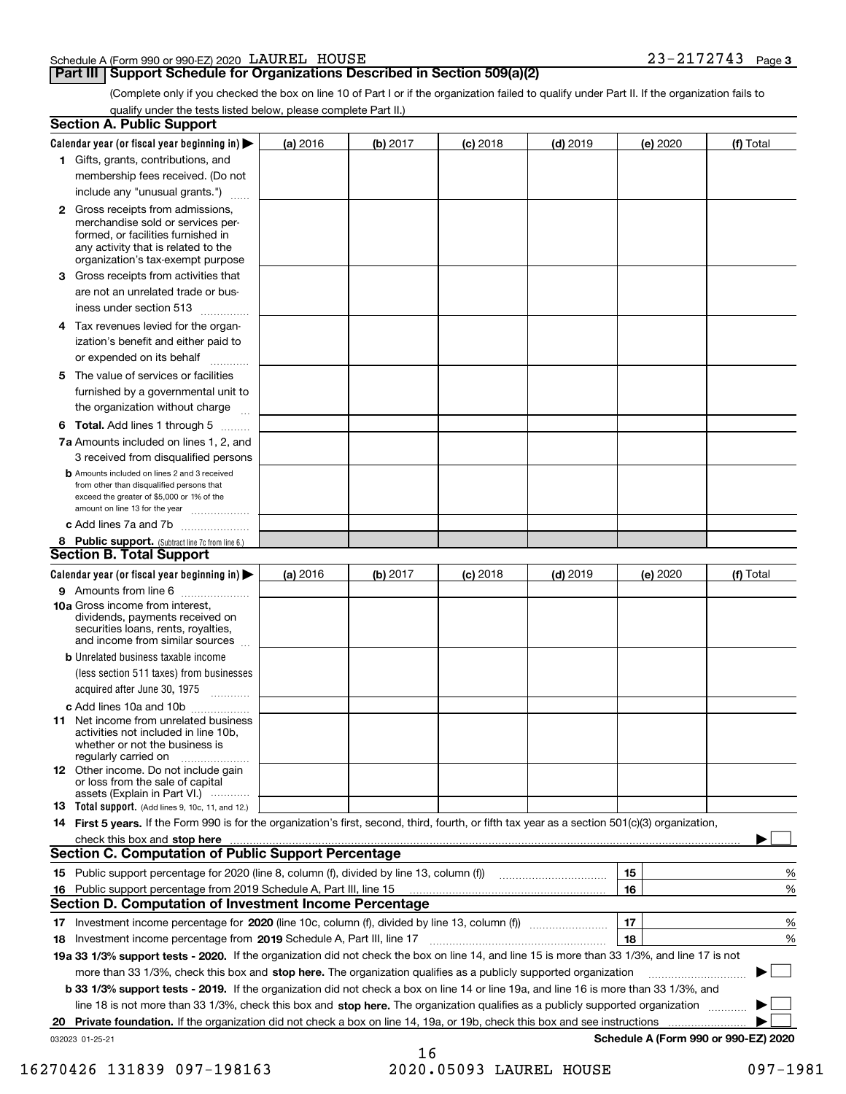#### Schedule A (Form 990 or 990-EZ) 2020 Page LAUREL HOUSE 23-2172743

# **Part III Support Schedule for Organizations Described in Section 509(a)(2)**

(Complete only if you checked the box on line 10 of Part I or if the organization failed to qualify under Part II. If the organization fails to qualify under the tests listed below, please complete Part II.)

|    | <b>Section A. Public Support</b>                                                                                                                                                                |          |          |            |            |          |                                      |
|----|-------------------------------------------------------------------------------------------------------------------------------------------------------------------------------------------------|----------|----------|------------|------------|----------|--------------------------------------|
|    | Calendar year (or fiscal year beginning in) $\blacktriangleright$                                                                                                                               | (a) 2016 | (b) 2017 | $(c)$ 2018 | $(d)$ 2019 | (e) 2020 | (f) Total                            |
|    | 1 Gifts, grants, contributions, and                                                                                                                                                             |          |          |            |            |          |                                      |
|    | membership fees received. (Do not                                                                                                                                                               |          |          |            |            |          |                                      |
|    | include any "unusual grants.")                                                                                                                                                                  |          |          |            |            |          |                                      |
|    | <b>2</b> Gross receipts from admissions,<br>merchandise sold or services per-<br>formed, or facilities furnished in<br>any activity that is related to the<br>organization's tax-exempt purpose |          |          |            |            |          |                                      |
|    | 3 Gross receipts from activities that<br>are not an unrelated trade or bus-                                                                                                                     |          |          |            |            |          |                                      |
|    | iness under section 513                                                                                                                                                                         |          |          |            |            |          |                                      |
|    | 4 Tax revenues levied for the organ-<br>ization's benefit and either paid to<br>or expended on its behalf<br>.                                                                                  |          |          |            |            |          |                                      |
|    | 5 The value of services or facilities<br>furnished by a governmental unit to<br>the organization without charge                                                                                 |          |          |            |            |          |                                      |
|    | <b>6 Total.</b> Add lines 1 through 5 $\dots$                                                                                                                                                   |          |          |            |            |          |                                      |
|    | 7a Amounts included on lines 1, 2, and<br>3 received from disqualified persons                                                                                                                  |          |          |            |            |          |                                      |
|    | <b>b</b> Amounts included on lines 2 and 3 received<br>from other than disqualified persons that<br>exceed the greater of \$5,000 or 1% of the<br>amount on line 13 for the year                |          |          |            |            |          |                                      |
|    | c Add lines 7a and 7b                                                                                                                                                                           |          |          |            |            |          |                                      |
|    | 8 Public support. (Subtract line 7c from line 6.)<br><b>Section B. Total Support</b>                                                                                                            |          |          |            |            |          |                                      |
|    | Calendar year (or fiscal year beginning in)                                                                                                                                                     |          | (b) 2017 |            | $(d)$ 2019 |          | (f) Total                            |
|    | 9 Amounts from line 6                                                                                                                                                                           | (a) 2016 |          | $(c)$ 2018 |            | (e) 2020 |                                      |
|    | 10a Gross income from interest,<br>dividends, payments received on<br>securities loans, rents, royalties,<br>and income from similar sources                                                    |          |          |            |            |          |                                      |
|    | <b>b</b> Unrelated business taxable income<br>(less section 511 taxes) from businesses<br>acquired after June 30, 1975 [10001]                                                                  |          |          |            |            |          |                                      |
|    | c Add lines 10a and 10b                                                                                                                                                                         |          |          |            |            |          |                                      |
|    | 11 Net income from unrelated business<br>activities not included in line 10b,<br>whether or not the business is<br>regularly carried on                                                         |          |          |            |            |          |                                      |
|    | <b>12</b> Other income. Do not include gain<br>or loss from the sale of capital<br>assets (Explain in Part VI.)                                                                                 |          |          |            |            |          |                                      |
|    | 13 Total support. (Add lines 9, 10c, 11, and 12.)                                                                                                                                               |          |          |            |            |          |                                      |
|    | 14 First 5 years. If the Form 990 is for the organization's first, second, third, fourth, or fifth tax year as a section 501(c)(3) organization,                                                |          |          |            |            |          |                                      |
|    |                                                                                                                                                                                                 |          |          |            |            |          |                                      |
|    | <b>Section C. Computation of Public Support Percentage</b>                                                                                                                                      |          |          |            |            |          |                                      |
|    | 15 Public support percentage for 2020 (line 8, column (f), divided by line 13, column (f))                                                                                                      |          |          |            |            | 15       | %                                    |
| 16 | Public support percentage from 2019 Schedule A, Part III, line 15<br><b>Section D. Computation of Investment Income Percentage</b>                                                              |          |          |            |            | 16       | %                                    |
|    | 17 Investment income percentage for 2020 (line 10c, column (f), divided by line 13, column (f))                                                                                                 |          |          |            |            | 17       | %                                    |
|    | 18 Investment income percentage from 2019 Schedule A, Part III, line 17                                                                                                                         |          |          |            |            | 18       | %                                    |
|    | 19a 33 1/3% support tests - 2020. If the organization did not check the box on line 14, and line 15 is more than 33 1/3%, and line 17 is not                                                    |          |          |            |            |          |                                      |
|    | more than 33 1/3%, check this box and stop here. The organization qualifies as a publicly supported organization                                                                                |          |          |            |            |          | $\sim$                               |
|    | b 33 1/3% support tests - 2019. If the organization did not check a box on line 14 or line 19a, and line 16 is more than 33 1/3%, and                                                           |          |          |            |            |          |                                      |
|    | line 18 is not more than 33 1/3%, check this box and stop here. The organization qualifies as a publicly supported organization                                                                 |          |          |            |            |          |                                      |
| 20 | Private foundation. If the organization did not check a box on line 14, 19a, or 19b, check this box and see instructions                                                                        |          |          |            |            |          |                                      |
|    | 032023 01-25-21                                                                                                                                                                                 |          |          |            |            |          | Schedule A (Form 990 or 990-EZ) 2020 |
|    |                                                                                                                                                                                                 |          | 16       |            |            |          |                                      |

 <sup>16270426 131839 097-198163 2020.05093</sup> LAUREL HOUSE 097-1981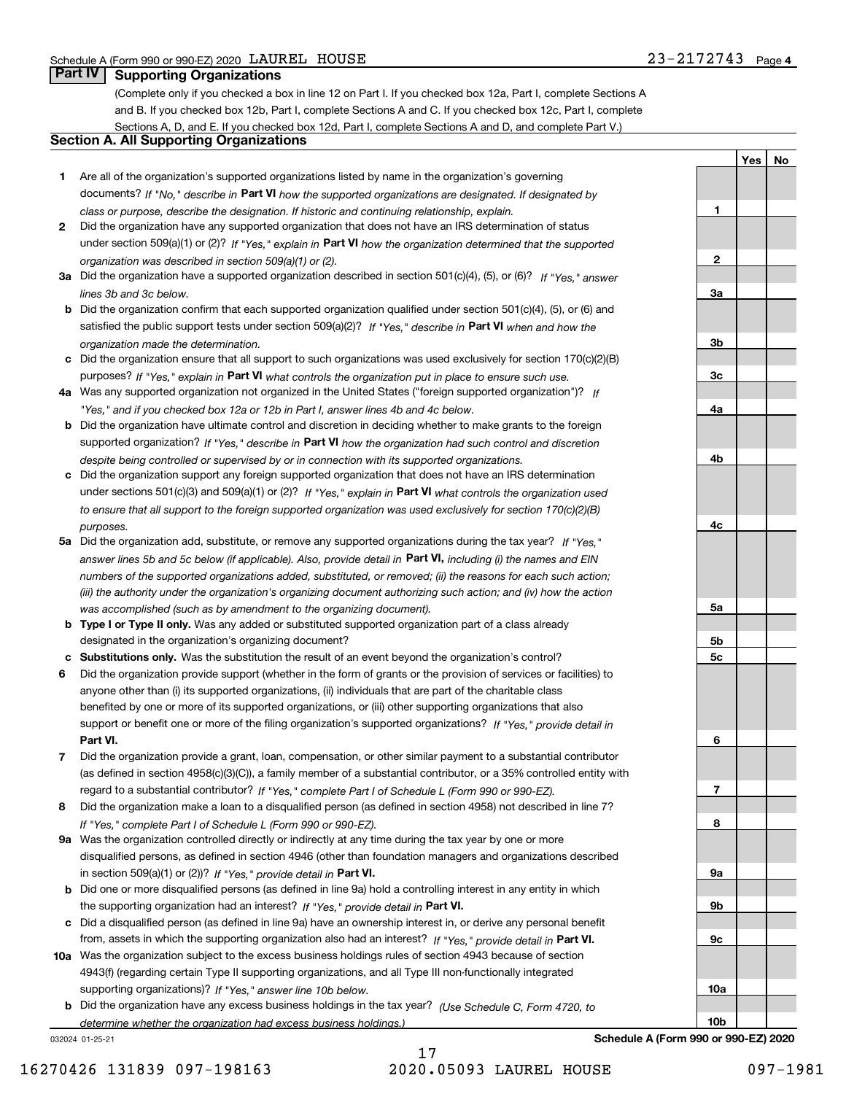**1**

**2**

**3a**

**3b**

**3c**

**4a**

**4b**

**4c**

**5a**

**5b5c**

**6**

**7**

**8**

**9a**

**9b**

**9c**

**10a**

**10b**

**YesNo**

# **Part IV Supporting Organizations**

(Complete only if you checked a box in line 12 on Part I. If you checked box 12a, Part I, complete Sections A and B. If you checked box 12b, Part I, complete Sections A and C. If you checked box 12c, Part I, complete Sections A, D, and E. If you checked box 12d, Part I, complete Sections A and D, and complete Part V.)

## **Section A. All Supporting Organizations**

- **1** Are all of the organization's supported organizations listed by name in the organization's governing documents? If "No," describe in **Part VI** how the supported organizations are designated. If designated by *class or purpose, describe the designation. If historic and continuing relationship, explain.*
- **2** Did the organization have any supported organization that does not have an IRS determination of status under section 509(a)(1) or (2)? If "Yes," explain in Part VI how the organization determined that the supported *organization was described in section 509(a)(1) or (2).*
- **3a** Did the organization have a supported organization described in section 501(c)(4), (5), or (6)? If "Yes," answer *lines 3b and 3c below.*
- **b** Did the organization confirm that each supported organization qualified under section 501(c)(4), (5), or (6) and satisfied the public support tests under section 509(a)(2)? If "Yes," describe in **Part VI** when and how the *organization made the determination.*
- **c**Did the organization ensure that all support to such organizations was used exclusively for section 170(c)(2)(B) purposes? If "Yes," explain in **Part VI** what controls the organization put in place to ensure such use.
- **4a***If* Was any supported organization not organized in the United States ("foreign supported organization")? *"Yes," and if you checked box 12a or 12b in Part I, answer lines 4b and 4c below.*
- **b** Did the organization have ultimate control and discretion in deciding whether to make grants to the foreign supported organization? If "Yes," describe in **Part VI** how the organization had such control and discretion *despite being controlled or supervised by or in connection with its supported organizations.*
- **c** Did the organization support any foreign supported organization that does not have an IRS determination under sections 501(c)(3) and 509(a)(1) or (2)? If "Yes," explain in **Part VI** what controls the organization used *to ensure that all support to the foreign supported organization was used exclusively for section 170(c)(2)(B) purposes.*
- **5a** Did the organization add, substitute, or remove any supported organizations during the tax year? If "Yes," answer lines 5b and 5c below (if applicable). Also, provide detail in **Part VI,** including (i) the names and EIN *numbers of the supported organizations added, substituted, or removed; (ii) the reasons for each such action; (iii) the authority under the organization's organizing document authorizing such action; and (iv) how the action was accomplished (such as by amendment to the organizing document).*
- **b** Type I or Type II only. Was any added or substituted supported organization part of a class already designated in the organization's organizing document?
- **cSubstitutions only.**  Was the substitution the result of an event beyond the organization's control?
- **6** Did the organization provide support (whether in the form of grants or the provision of services or facilities) to **Part VI.** *If "Yes," provide detail in* support or benefit one or more of the filing organization's supported organizations? anyone other than (i) its supported organizations, (ii) individuals that are part of the charitable class benefited by one or more of its supported organizations, or (iii) other supporting organizations that also
- **7**Did the organization provide a grant, loan, compensation, or other similar payment to a substantial contributor *If "Yes," complete Part I of Schedule L (Form 990 or 990-EZ).* regard to a substantial contributor? (as defined in section 4958(c)(3)(C)), a family member of a substantial contributor, or a 35% controlled entity with
- **8** Did the organization make a loan to a disqualified person (as defined in section 4958) not described in line 7? *If "Yes," complete Part I of Schedule L (Form 990 or 990-EZ).*
- **9a** Was the organization controlled directly or indirectly at any time during the tax year by one or more in section 509(a)(1) or (2))? If "Yes," *provide detail in* <code>Part VI.</code> disqualified persons, as defined in section 4946 (other than foundation managers and organizations described
- **b** Did one or more disqualified persons (as defined in line 9a) hold a controlling interest in any entity in which the supporting organization had an interest? If "Yes," provide detail in P**art VI**.
- **c**Did a disqualified person (as defined in line 9a) have an ownership interest in, or derive any personal benefit from, assets in which the supporting organization also had an interest? If "Yes," provide detail in P**art VI.**
- **10a** Was the organization subject to the excess business holdings rules of section 4943 because of section supporting organizations)? If "Yes," answer line 10b below. 4943(f) (regarding certain Type II supporting organizations, and all Type III non-functionally integrated
- **b** Did the organization have any excess business holdings in the tax year? (Use Schedule C, Form 4720, to *determine whether the organization had excess business holdings.)*

032024 01-25-21

17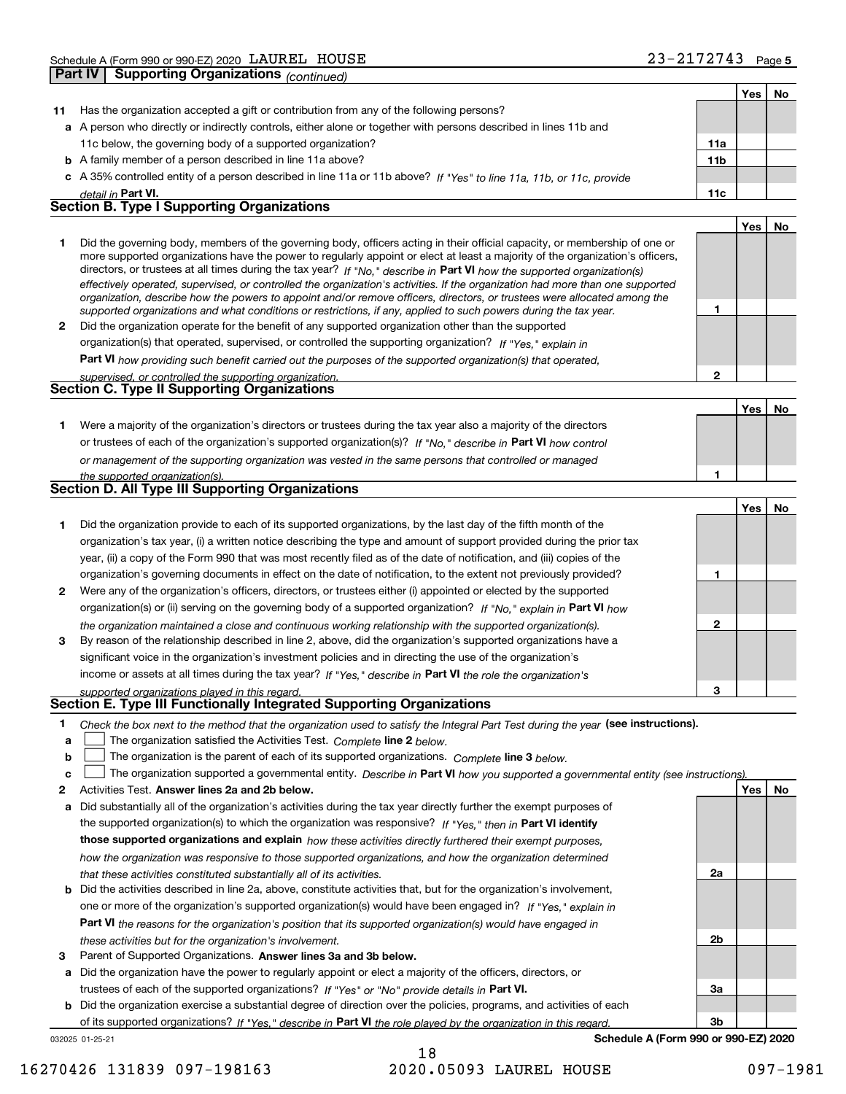|    |                                                                                                                                                                                                                                                           |                 | Yes | No |  |  |
|----|-----------------------------------------------------------------------------------------------------------------------------------------------------------------------------------------------------------------------------------------------------------|-----------------|-----|----|--|--|
| 11 | Has the organization accepted a gift or contribution from any of the following persons?                                                                                                                                                                   |                 |     |    |  |  |
|    | a A person who directly or indirectly controls, either alone or together with persons described in lines 11b and                                                                                                                                          |                 |     |    |  |  |
|    | 11c below, the governing body of a supported organization?                                                                                                                                                                                                | 11a             |     |    |  |  |
|    | <b>b</b> A family member of a person described in line 11a above?                                                                                                                                                                                         | 11 <sub>b</sub> |     |    |  |  |
|    | c A 35% controlled entity of a person described in line 11a or 11b above? If "Yes" to line 11a, 11b, or 11c, provide                                                                                                                                      |                 |     |    |  |  |
|    | detail in Part VI.                                                                                                                                                                                                                                        | 11c             |     |    |  |  |
|    | <b>Section B. Type I Supporting Organizations</b>                                                                                                                                                                                                         |                 |     |    |  |  |
|    |                                                                                                                                                                                                                                                           |                 | Yes | No |  |  |
| 1  | Did the governing body, members of the governing body, officers acting in their official capacity, or membership of one or                                                                                                                                |                 |     |    |  |  |
|    | more supported organizations have the power to regularly appoint or elect at least a majority of the organization's officers,                                                                                                                             |                 |     |    |  |  |
|    | directors, or trustees at all times during the tax year? If "No," describe in Part VI how the supported organization(s)<br>effectively operated, supervised, or controlled the organization's activities. If the organization had more than one supported |                 |     |    |  |  |
|    | organization, describe how the powers to appoint and/or remove officers, directors, or trustees were allocated among the                                                                                                                                  |                 |     |    |  |  |
|    | supported organizations and what conditions or restrictions, if any, applied to such powers during the tax year.                                                                                                                                          | 1               |     |    |  |  |
| 2  | Did the organization operate for the benefit of any supported organization other than the supported                                                                                                                                                       |                 |     |    |  |  |
|    | organization(s) that operated, supervised, or controlled the supporting organization? If "Yes," explain in                                                                                                                                                |                 |     |    |  |  |
|    | Part VI how providing such benefit carried out the purposes of the supported organization(s) that operated,                                                                                                                                               |                 |     |    |  |  |
|    | supervised, or controlled the supporting organization.                                                                                                                                                                                                    | 2               |     |    |  |  |
|    | <b>Section C. Type II Supporting Organizations</b>                                                                                                                                                                                                        |                 |     |    |  |  |
|    |                                                                                                                                                                                                                                                           |                 | Yes | No |  |  |
| 1. | Were a majority of the organization's directors or trustees during the tax year also a majority of the directors                                                                                                                                          |                 |     |    |  |  |
|    | or trustees of each of the organization's supported organization(s)? If "No." describe in Part VI how control                                                                                                                                             |                 |     |    |  |  |
|    | or management of the supporting organization was vested in the same persons that controlled or managed                                                                                                                                                    |                 |     |    |  |  |
|    | the supported organization(s).<br>Section D. All Type III Supporting Organizations                                                                                                                                                                        | 1               |     |    |  |  |
|    |                                                                                                                                                                                                                                                           |                 |     |    |  |  |
|    |                                                                                                                                                                                                                                                           |                 | Yes | No |  |  |
| 1  | Did the organization provide to each of its supported organizations, by the last day of the fifth month of the                                                                                                                                            |                 |     |    |  |  |
|    | organization's tax year, (i) a written notice describing the type and amount of support provided during the prior tax                                                                                                                                     |                 |     |    |  |  |
|    | year, (ii) a copy of the Form 990 that was most recently filed as of the date of notification, and (iii) copies of the                                                                                                                                    | 1               |     |    |  |  |
|    | organization's governing documents in effect on the date of notification, to the extent not previously provided?                                                                                                                                          |                 |     |    |  |  |
| 2  | Were any of the organization's officers, directors, or trustees either (i) appointed or elected by the supported                                                                                                                                          |                 |     |    |  |  |
|    | organization(s) or (ii) serving on the governing body of a supported organization? If "No," explain in Part VI how                                                                                                                                        | $\mathbf{2}$    |     |    |  |  |
| 3  | the organization maintained a close and continuous working relationship with the supported organization(s).                                                                                                                                               |                 |     |    |  |  |
|    | By reason of the relationship described in line 2, above, did the organization's supported organizations have a<br>significant voice in the organization's investment policies and in directing the use of the organization's                             |                 |     |    |  |  |
|    | income or assets at all times during the tax year? If "Yes," describe in Part VI the role the organization's                                                                                                                                              |                 |     |    |  |  |
|    |                                                                                                                                                                                                                                                           | 3               |     |    |  |  |
|    | supported organizations played in this regard.<br>Section E. Type III Functionally Integrated Supporting Organizations                                                                                                                                    |                 |     |    |  |  |
| 1  | Check the box next to the method that the organization used to satisfy the Integral Part Test during the year (see instructions).                                                                                                                         |                 |     |    |  |  |
| a  | The organization satisfied the Activities Test. Complete line 2 below.                                                                                                                                                                                    |                 |     |    |  |  |
| b  | The organization is the parent of each of its supported organizations. Complete line 3 below.                                                                                                                                                             |                 |     |    |  |  |
| c  | The organization supported a governmental entity. Describe in Part VI how you supported a governmental entity (see instructions)                                                                                                                          |                 |     |    |  |  |
| 2  | Activities Test. Answer lines 2a and 2b below.                                                                                                                                                                                                            |                 | Yes | No |  |  |
| а  | Did substantially all of the organization's activities during the tax year directly further the exempt purposes of                                                                                                                                        |                 |     |    |  |  |
|    | the supported organization(s) to which the organization was responsive? If "Yes," then in Part VI identify                                                                                                                                                |                 |     |    |  |  |
|    | those supported organizations and explain how these activities directly furthered their exempt purposes,                                                                                                                                                  |                 |     |    |  |  |
|    | how the organization was responsive to those supported organizations, and how the organization determined                                                                                                                                                 |                 |     |    |  |  |
|    | that these activities constituted substantially all of its activities.                                                                                                                                                                                    | 2a              |     |    |  |  |
| b  | Did the activities described in line 2a, above, constitute activities that, but for the organization's involvement,                                                                                                                                       |                 |     |    |  |  |
|    | one or more of the organization's supported organization(s) would have been engaged in? If "Yes," explain in                                                                                                                                              |                 |     |    |  |  |
|    | Part VI the reasons for the organization's position that its supported organization(s) would have engaged in                                                                                                                                              |                 |     |    |  |  |
|    | these activities but for the organization's involvement.                                                                                                                                                                                                  | 2b              |     |    |  |  |
| 3  | Parent of Supported Organizations. Answer lines 3a and 3b below.                                                                                                                                                                                          |                 |     |    |  |  |
| а  | Did the organization have the power to regularly appoint or elect a majority of the officers, directors, or                                                                                                                                               |                 |     |    |  |  |

trustees of each of the supported organizations? If "Yes" or "No" provide details in **Part VI.** 

**b** Did the organization exercise a substantial degree of direction over the policies, programs, and activities of each of its supported organizations? If "Yes," describe in Part VI the role played by the organization in this regard.

032025 01-25-21

**Schedule A (Form 990 or 990-EZ) 2020**

**3a**

**3b**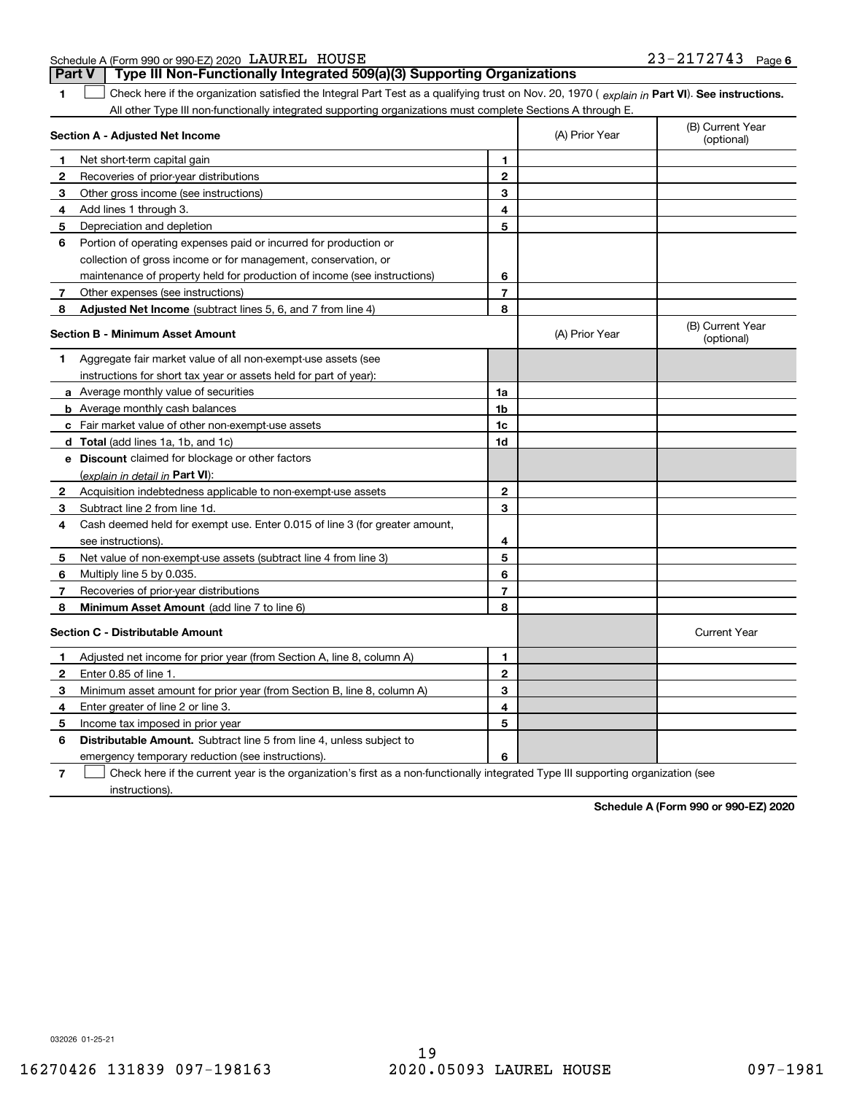|  | Schedule A (Form 990 or 990-EZ) 2020 LAUREL HOUSE |                                                                                       | 23-2172743 Page 6 |  |
|--|---------------------------------------------------|---------------------------------------------------------------------------------------|-------------------|--|
|  |                                                   | <b>Part V</b> Type III Non-Functionally Integrated 509(a)(3) Supporting Organizations |                   |  |

| 1 Check here if the organization satisfied the Integral Part Test as a qualifying trust on Nov. 20, 1970 (explain in Part VI). See instructions. |
|--------------------------------------------------------------------------------------------------------------------------------------------------|
| All other Type III non-functionally integrated supporting organizations must complete Sections A through E.                                      |

|              | Section A - Adjusted Net Income                                             | (A) Prior Year | (B) Current Year<br>(optional) |                                |
|--------------|-----------------------------------------------------------------------------|----------------|--------------------------------|--------------------------------|
| 1            | Net short-term capital gain                                                 | 1              |                                |                                |
| 2            | Recoveries of prior-year distributions                                      | $\mathbf{2}$   |                                |                                |
| 3            | Other gross income (see instructions)                                       | 3              |                                |                                |
| 4            | Add lines 1 through 3.                                                      | 4              |                                |                                |
| 5            | Depreciation and depletion                                                  | 5              |                                |                                |
| 6            | Portion of operating expenses paid or incurred for production or            |                |                                |                                |
|              | collection of gross income or for management, conservation, or              |                |                                |                                |
|              | maintenance of property held for production of income (see instructions)    | 6              |                                |                                |
| 7            | Other expenses (see instructions)                                           | $\overline{7}$ |                                |                                |
| 8            | Adjusted Net Income (subtract lines 5, 6, and 7 from line 4)                | 8              |                                |                                |
|              | <b>Section B - Minimum Asset Amount</b>                                     |                | (A) Prior Year                 | (B) Current Year<br>(optional) |
| 1            | Aggregate fair market value of all non-exempt-use assets (see               |                |                                |                                |
|              | instructions for short tax year or assets held for part of year):           |                |                                |                                |
|              | a Average monthly value of securities                                       | 1a             |                                |                                |
|              | <b>b</b> Average monthly cash balances                                      | 1b             |                                |                                |
|              | <b>c</b> Fair market value of other non-exempt-use assets                   | 1c             |                                |                                |
|              | d Total (add lines 1a, 1b, and 1c)                                          | 1d             |                                |                                |
|              | <b>e</b> Discount claimed for blockage or other factors                     |                |                                |                                |
|              | (explain in detail in Part VI):                                             |                |                                |                                |
| 2            | Acquisition indebtedness applicable to non-exempt-use assets                | $\mathbf{2}$   |                                |                                |
| 3            | Subtract line 2 from line 1d.                                               | 3              |                                |                                |
| 4            | Cash deemed held for exempt use. Enter 0.015 of line 3 (for greater amount, |                |                                |                                |
|              | see instructions).                                                          | 4              |                                |                                |
| 5            | Net value of non-exempt-use assets (subtract line 4 from line 3)            | 5              |                                |                                |
| 6            | Multiply line 5 by 0.035                                                    | 6              |                                |                                |
| 7            | Recoveries of prior-year distributions                                      | $\overline{7}$ |                                |                                |
| 8            | Minimum Asset Amount (add line 7 to line 6)                                 | 8              |                                |                                |
|              | <b>Section C - Distributable Amount</b>                                     |                |                                | <b>Current Year</b>            |
| 1            | Adjusted net income for prior year (from Section A, line 8, column A)       | 1              |                                |                                |
| $\mathbf{2}$ | Enter 0.85 of line 1.                                                       | $\overline{2}$ |                                |                                |
| 3            | Minimum asset amount for prior year (from Section B, line 8, column A)      | 3              |                                |                                |
| 4            | Enter greater of line 2 or line 3.                                          | 4              |                                |                                |
| 5            | Income tax imposed in prior year                                            | 5              |                                |                                |
| 6            | Distributable Amount. Subtract line 5 from line 4, unless subject to        |                |                                |                                |
|              | emergency temporary reduction (see instructions).                           | 6              |                                |                                |
|              |                                                                             |                |                                |                                |

**7** Check here if the current year is the organization's first as a non-functionally integrated Type III supporting organization (see instructions).

**Schedule A (Form 990 or 990-EZ) 2020**

032026 01-25-21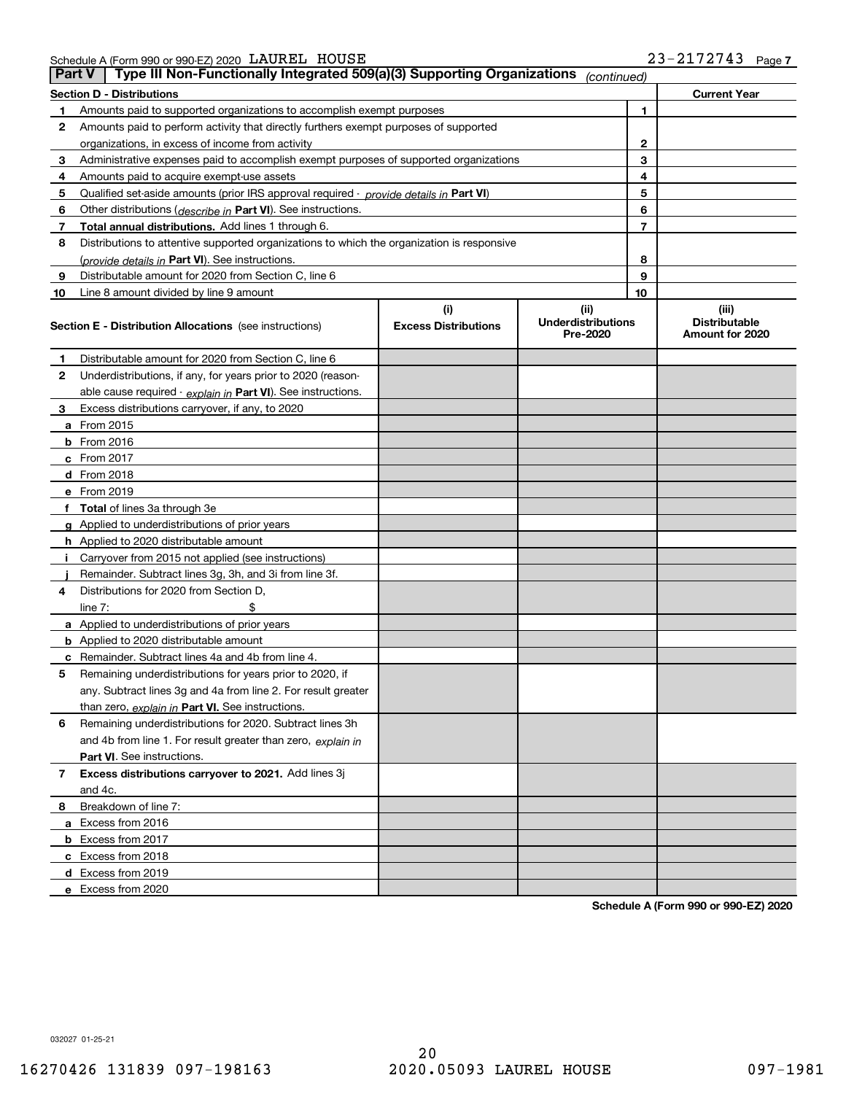Schedule A (Form 990 or 990-EZ) 2020 Page LAUREL HOUSE 23-2172743

| <b>Part V</b> | Type III Non-Functionally Integrated 509(a)(3) Supporting Organizations                    |                             | (continued)                           |                                         |
|---------------|--------------------------------------------------------------------------------------------|-----------------------------|---------------------------------------|-----------------------------------------|
|               | <b>Section D - Distributions</b>                                                           |                             |                                       | <b>Current Year</b>                     |
| 1             | Amounts paid to supported organizations to accomplish exempt purposes                      |                             | 1                                     |                                         |
| 2             | Amounts paid to perform activity that directly furthers exempt purposes of supported       |                             |                                       |                                         |
|               | organizations, in excess of income from activity                                           | $\mathbf{2}$                |                                       |                                         |
| 3             | Administrative expenses paid to accomplish exempt purposes of supported organizations      | 3                           |                                       |                                         |
| 4             | Amounts paid to acquire exempt-use assets                                                  | 4                           |                                       |                                         |
| 5             | Qualified set-aside amounts (prior IRS approval required - provide details in Part VI)     |                             | 5                                     |                                         |
| 6             | Other distributions ( <i>describe in</i> Part VI). See instructions.                       |                             | 6                                     |                                         |
| 7             | Total annual distributions. Add lines 1 through 6.                                         |                             | $\overline{7}$                        |                                         |
| 8             | Distributions to attentive supported organizations to which the organization is responsive |                             |                                       |                                         |
|               | (provide details in Part VI). See instructions.                                            |                             | 8                                     |                                         |
| 9             | Distributable amount for 2020 from Section C, line 6                                       |                             | 9                                     |                                         |
| 10            | Line 8 amount divided by line 9 amount                                                     |                             | 10                                    |                                         |
|               |                                                                                            | (i)                         | (ii)                                  | (iii)                                   |
|               | <b>Section E - Distribution Allocations</b> (see instructions)                             | <b>Excess Distributions</b> | <b>Underdistributions</b><br>Pre-2020 | <b>Distributable</b><br>Amount for 2020 |
| 1             | Distributable amount for 2020 from Section C, line 6                                       |                             |                                       |                                         |
| 2             | Underdistributions, if any, for years prior to 2020 (reason-                               |                             |                                       |                                         |
|               | able cause required - explain in Part VI). See instructions.                               |                             |                                       |                                         |
| 3             | Excess distributions carryover, if any, to 2020                                            |                             |                                       |                                         |
|               | a From 2015                                                                                |                             |                                       |                                         |
|               | <b>b</b> From 2016                                                                         |                             |                                       |                                         |
|               | $c$ From 2017                                                                              |                             |                                       |                                         |
|               | d From 2018                                                                                |                             |                                       |                                         |
|               | e From 2019                                                                                |                             |                                       |                                         |
|               | f Total of lines 3a through 3e                                                             |                             |                                       |                                         |
|               | g Applied to underdistributions of prior years                                             |                             |                                       |                                         |
|               | <b>h</b> Applied to 2020 distributable amount                                              |                             |                                       |                                         |
|               | Carryover from 2015 not applied (see instructions)                                         |                             |                                       |                                         |
|               | Remainder. Subtract lines 3g, 3h, and 3i from line 3f.                                     |                             |                                       |                                         |
| 4             | Distributions for 2020 from Section D,                                                     |                             |                                       |                                         |
|               | line $7:$                                                                                  |                             |                                       |                                         |
|               | a Applied to underdistributions of prior years                                             |                             |                                       |                                         |
|               | <b>b</b> Applied to 2020 distributable amount                                              |                             |                                       |                                         |
|               | c Remainder. Subtract lines 4a and 4b from line 4.                                         |                             |                                       |                                         |
| 5.            | Remaining underdistributions for years prior to 2020, if                                   |                             |                                       |                                         |
|               | any. Subtract lines 3g and 4a from line 2. For result greater                              |                             |                                       |                                         |
|               | than zero, explain in Part VI. See instructions.                                           |                             |                                       |                                         |
| 6             | Remaining underdistributions for 2020. Subtract lines 3h                                   |                             |                                       |                                         |
|               | and 4b from line 1. For result greater than zero, explain in                               |                             |                                       |                                         |
|               | Part VI. See instructions.                                                                 |                             |                                       |                                         |
| 7             | Excess distributions carryover to 2021. Add lines 3j                                       |                             |                                       |                                         |
|               | and 4c.                                                                                    |                             |                                       |                                         |
| 8             | Breakdown of line 7:                                                                       |                             |                                       |                                         |
|               | a Excess from 2016                                                                         |                             |                                       |                                         |
|               | <b>b</b> Excess from 2017                                                                  |                             |                                       |                                         |
|               | c Excess from 2018                                                                         |                             |                                       |                                         |
|               | d Excess from 2019                                                                         |                             |                                       |                                         |
|               | e Excess from 2020                                                                         |                             |                                       |                                         |

**Schedule A (Form 990 or 990-EZ) 2020**

032027 01-25-21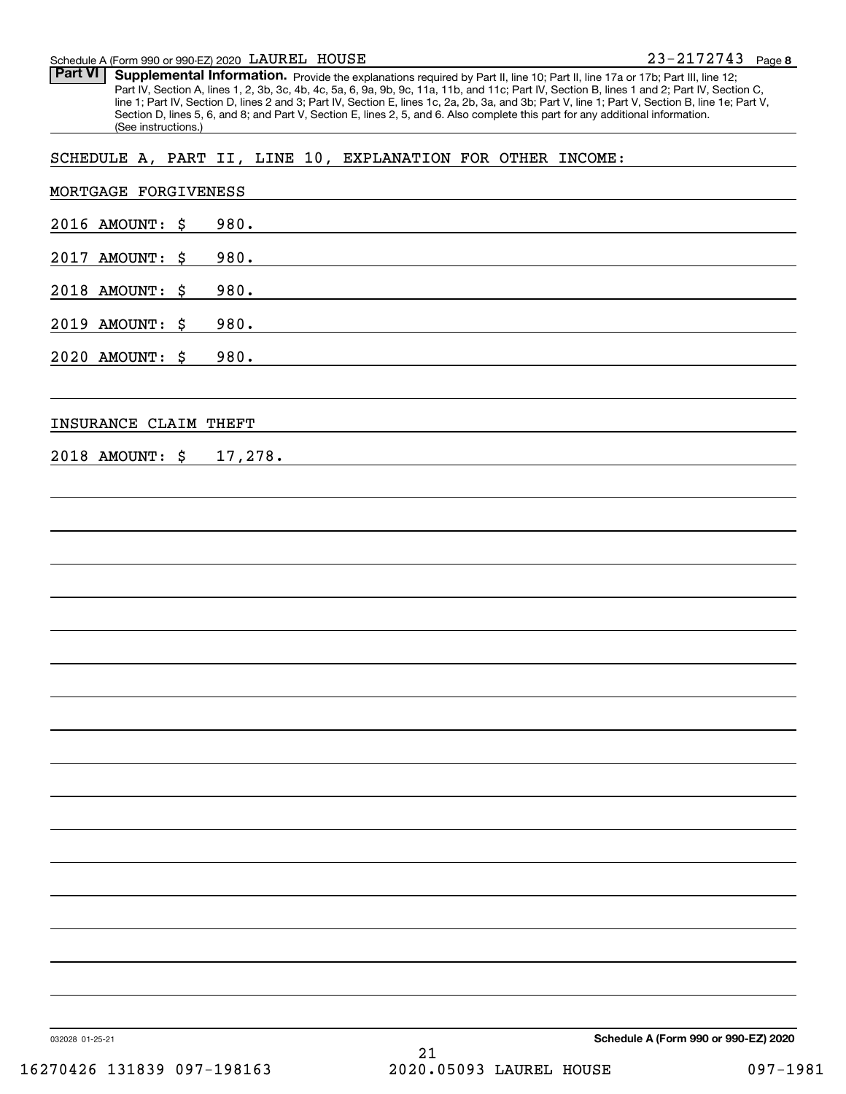#### Schedule A (Form 990 or 990-EZ) 2020 Page LAUREL HOUSE

Part VI | Supplemental Information. Provide the explanations required by Part II, line 10; Part II, line 17a or 17b; Part III, line 12; Part IV, Section A, lines 1, 2, 3b, 3c, 4b, 4c, 5a, 6, 9a, 9b, 9c, 11a, 11b, and 11c; Part IV, Section B, lines 1 and 2; Part IV, Section C, line 1; Part IV, Section D, lines 2 and 3; Part IV, Section E, lines 1c, 2a, 2b, 3a, and 3b; Part V, line 1; Part V, Section B, line 1e; Part V, Section D, lines 5, 6, and 8; and Part V, Section E, lines 2, 5, and 6. Also complete this part for any additional information. (See instructions.)

# SCHEDULE A, PART II, LINE 10, EXPLANATION FOR OTHER INCOME:

|                         | 21                                                                                                                                                                                                                            |                                      |
|-------------------------|-------------------------------------------------------------------------------------------------------------------------------------------------------------------------------------------------------------------------------|--------------------------------------|
| 032028 01-25-21         |                                                                                                                                                                                                                               | Schedule A (Form 990 or 990-EZ) 2020 |
|                         |                                                                                                                                                                                                                               |                                      |
|                         |                                                                                                                                                                                                                               |                                      |
|                         |                                                                                                                                                                                                                               |                                      |
|                         |                                                                                                                                                                                                                               |                                      |
|                         |                                                                                                                                                                                                                               |                                      |
|                         |                                                                                                                                                                                                                               |                                      |
|                         |                                                                                                                                                                                                                               |                                      |
|                         |                                                                                                                                                                                                                               |                                      |
|                         |                                                                                                                                                                                                                               |                                      |
|                         |                                                                                                                                                                                                                               |                                      |
|                         |                                                                                                                                                                                                                               |                                      |
|                         |                                                                                                                                                                                                                               |                                      |
|                         |                                                                                                                                                                                                                               |                                      |
|                         |                                                                                                                                                                                                                               |                                      |
|                         |                                                                                                                                                                                                                               |                                      |
|                         |                                                                                                                                                                                                                               |                                      |
|                         | 2018 AMOUNT: \$ 17,278.                                                                                                                                                                                                       |                                      |
|                         | ,我们也不会有什么。""我们的人,我们也不会有什么?""我们的人,我们也不会有什么?""我们的人,我们也不会有什么?""我们的人,我们也不会有什么?""我们的人                                                                                                                                              |                                      |
| INSURANCE CLAIM THEFT   |                                                                                                                                                                                                                               |                                      |
| 2020 AMOUNT: \$<br>980. | the control of the control of the control of the control of the control of the control of the control of the control of the control of the control of the control of the control of the control of the control of the control |                                      |
| 2019 AMOUNT: \$<br>980. |                                                                                                                                                                                                                               |                                      |
| 2018 AMOUNT: \$<br>980. | <u> Andreas Andreas Andreas Andreas Andreas Andreas Andreas Andreas Andreas Andreas Andreas Andreas Andreas Andr</u>                                                                                                          |                                      |
| 2017 AMOUNT: \$<br>980. | <u> 1989 - Andrea State Barbara, amerikan personal di sebagai personal di sebagai personal di sebagai personal d</u>                                                                                                          |                                      |
| 2016 AMOUNT: \$         |                                                                                                                                                                                                                               |                                      |
|                         |                                                                                                                                                                                                                               |                                      |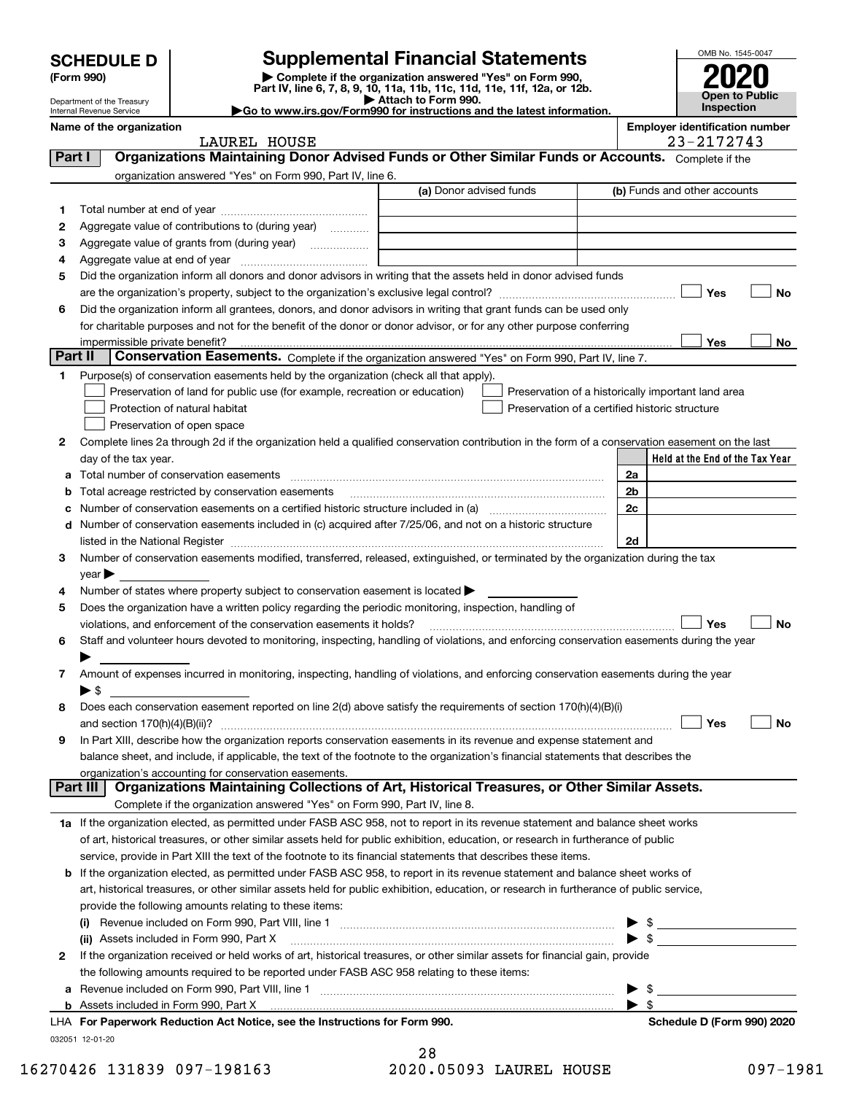| <b>SCHEDULE D</b> |  |
|-------------------|--|
|-------------------|--|

Department of the Treasury Internal Revenue Service

| (Form 990) |  |
|------------|--|
|------------|--|

# **SCHEDULE D Supplemental Financial Statements**

(Form 990)<br>
Pepartment of the Treasury<br>
Department of the Treasury<br>
Department of the Treasury<br>
Department of the Treasury<br> **Co to www.irs.gov/Form990 for instructions and the latest information.**<br> **Co to www.irs.gov/Form9** 



|  |  | Name of the organization |
|--|--|--------------------------|
|--|--|--------------------------|

LAUREL HOUSE 23-2172743

**Name of the oriental conducts of the oriental conducts of the oriental conducts**  $\mathbf{P}$  **Employer identification number** 

| Part I  | Organizations Maintaining Donor Advised Funds or Other Similar Funds or Accounts. Complete if the                                                                 |                         |                                                    |
|---------|-------------------------------------------------------------------------------------------------------------------------------------------------------------------|-------------------------|----------------------------------------------------|
|         | organization answered "Yes" on Form 990, Part IV, line 6.                                                                                                         |                         |                                                    |
|         |                                                                                                                                                                   | (a) Donor advised funds | (b) Funds and other accounts                       |
| 1       |                                                                                                                                                                   |                         |                                                    |
| 2       | Aggregate value of contributions to (during year)                                                                                                                 |                         |                                                    |
| з       | Aggregate value of grants from (during year)                                                                                                                      |                         |                                                    |
| 4       |                                                                                                                                                                   |                         |                                                    |
| 5       | Did the organization inform all donors and donor advisors in writing that the assets held in donor advised funds                                                  |                         |                                                    |
|         |                                                                                                                                                                   |                         | Yes<br>No                                          |
| 6       | Did the organization inform all grantees, donors, and donor advisors in writing that grant funds can be used only                                                 |                         |                                                    |
|         | for charitable purposes and not for the benefit of the donor or donor advisor, or for any other purpose conferring                                                |                         |                                                    |
|         | impermissible private benefit?                                                                                                                                    |                         | Yes<br>No                                          |
| Part II | Conservation Easements. Complete if the organization answered "Yes" on Form 990, Part IV, line 7.                                                                 |                         |                                                    |
| 1.      | Purpose(s) of conservation easements held by the organization (check all that apply).                                                                             |                         |                                                    |
|         | Preservation of land for public use (for example, recreation or education)                                                                                        |                         | Preservation of a historically important land area |
|         | Protection of natural habitat                                                                                                                                     |                         | Preservation of a certified historic structure     |
|         | Preservation of open space                                                                                                                                        |                         |                                                    |
| 2       | Complete lines 2a through 2d if the organization held a qualified conservation contribution in the form of a conservation easement on the last                    |                         |                                                    |
|         | day of the tax year.                                                                                                                                              |                         | Held at the End of the Tax Year                    |
|         |                                                                                                                                                                   |                         | 2a                                                 |
|         | Total acreage restricted by conservation easements                                                                                                                |                         | 2b                                                 |
|         | Number of conservation easements on a certified historic structure included in (a) manufacture included in (a)                                                    |                         | 2c                                                 |
|         | d Number of conservation easements included in (c) acquired after 7/25/06, and not on a historic structure                                                        |                         |                                                    |
|         |                                                                                                                                                                   |                         | 2d                                                 |
| з       | Number of conservation easements modified, transferred, released, extinguished, or terminated by the organization during the tax                                  |                         |                                                    |
|         | year                                                                                                                                                              |                         |                                                    |
| 4       | Number of states where property subject to conservation easement is located >                                                                                     |                         |                                                    |
| 5       | Does the organization have a written policy regarding the periodic monitoring, inspection, handling of                                                            |                         |                                                    |
|         | violations, and enforcement of the conservation easements it holds?                                                                                               |                         | Yes<br>No                                          |
| 6       | Staff and volunteer hours devoted to monitoring, inspecting, handling of violations, and enforcing conservation easements during the year                         |                         |                                                    |
|         |                                                                                                                                                                   |                         |                                                    |
| 7       | Amount of expenses incurred in monitoring, inspecting, handling of violations, and enforcing conservation easements during the year                               |                         |                                                    |
|         | ▶ \$                                                                                                                                                              |                         |                                                    |
| 8       | Does each conservation easement reported on line 2(d) above satisfy the requirements of section 170(h)(4)(B)(i)                                                   |                         |                                                    |
|         | and section $170(h)(4)(B)(ii)?$                                                                                                                                   |                         | Yes<br>No                                          |
| 9       | In Part XIII, describe how the organization reports conservation easements in its revenue and expense statement and                                               |                         |                                                    |
|         | balance sheet, and include, if applicable, the text of the footnote to the organization's financial statements that describes the                                 |                         |                                                    |
|         | organization's accounting for conservation easements.<br>Organizations Maintaining Collections of Art, Historical Treasures, or Other Similar Assets.<br>Part III |                         |                                                    |
|         | Complete if the organization answered "Yes" on Form 990, Part IV, line 8.                                                                                         |                         |                                                    |
|         | 1a If the organization elected, as permitted under FASB ASC 958, not to report in its revenue statement and balance sheet works                                   |                         |                                                    |
|         | of art, historical treasures, or other similar assets held for public exhibition, education, or research in furtherance of public                                 |                         |                                                    |
|         | service, provide in Part XIII the text of the footnote to its financial statements that describes these items.                                                    |                         |                                                    |
|         | <b>b</b> If the organization elected, as permitted under FASB ASC 958, to report in its revenue statement and balance sheet works of                              |                         |                                                    |
|         | art, historical treasures, or other similar assets held for public exhibition, education, or research in furtherance of public service,                           |                         |                                                    |
|         | provide the following amounts relating to these items:                                                                                                            |                         |                                                    |
|         |                                                                                                                                                                   |                         | $\frac{1}{2}$                                      |
|         | (ii) Assets included in Form 990, Part X                                                                                                                          |                         | $\triangleright$ \$                                |
| 2       | If the organization received or held works of art, historical treasures, or other similar assets for financial gain, provide                                      |                         |                                                    |
|         | the following amounts required to be reported under FASB ASC 958 relating to these items:                                                                         |                         |                                                    |
| а       |                                                                                                                                                                   |                         | \$                                                 |
|         |                                                                                                                                                                   |                         | $\blacktriangleright$ \$                           |
|         | LHA For Paperwork Reduction Act Notice, see the Instructions for Form 990.                                                                                        |                         | Schedule D (Form 990) 2020                         |
|         | 032051 12-01-20                                                                                                                                                   |                         |                                                    |

| 28                      |  |
|-------------------------|--|
| 2020.05093 LAUREL HOUSI |  |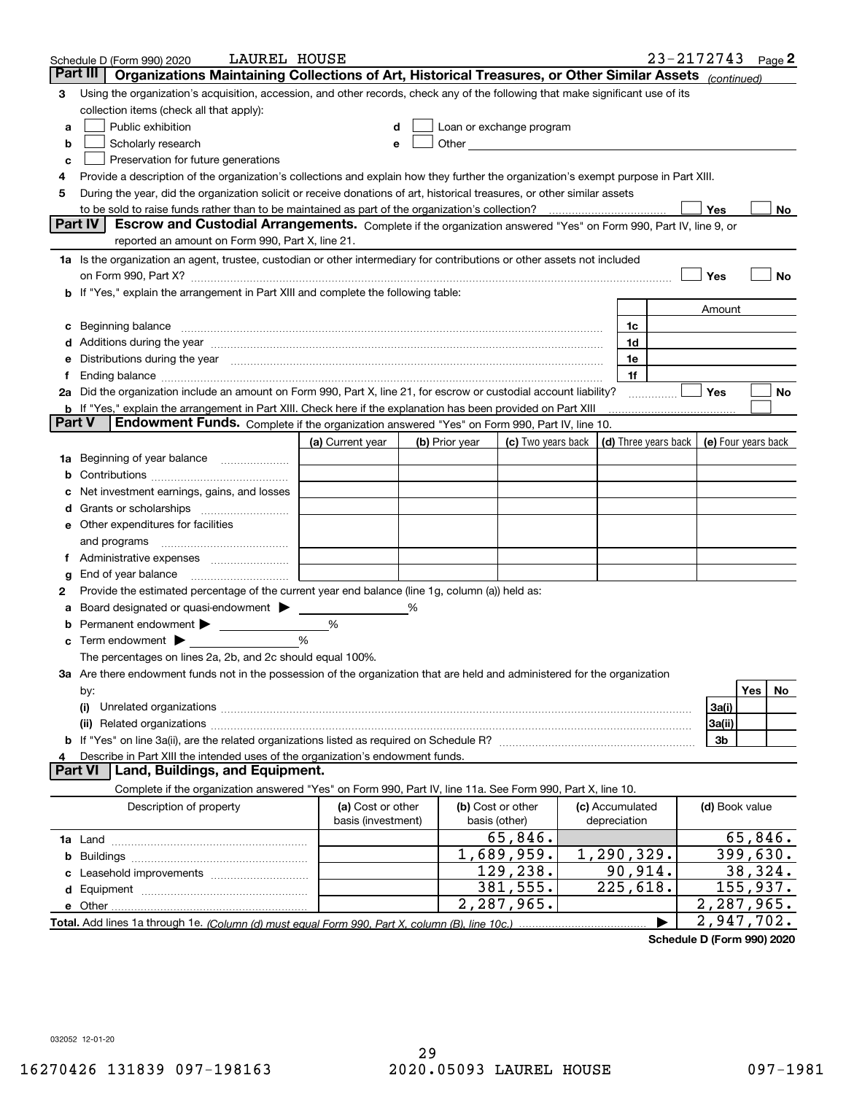|    | LAUREL HOUSE<br>Schedule D (Form 990) 2020                                                                                                                                                                                     |                    |   |                |                                                                                                                                                                                                                                |                 | 23-2172743           |                | Page 2                  |
|----|--------------------------------------------------------------------------------------------------------------------------------------------------------------------------------------------------------------------------------|--------------------|---|----------------|--------------------------------------------------------------------------------------------------------------------------------------------------------------------------------------------------------------------------------|-----------------|----------------------|----------------|-------------------------|
|    | Organizations Maintaining Collections of Art, Historical Treasures, or Other Similar Assets (continued)<br>Part III                                                                                                            |                    |   |                |                                                                                                                                                                                                                                |                 |                      |                |                         |
| 3  | Using the organization's acquisition, accession, and other records, check any of the following that make significant use of its                                                                                                |                    |   |                |                                                                                                                                                                                                                                |                 |                      |                |                         |
|    | collection items (check all that apply):                                                                                                                                                                                       |                    |   |                |                                                                                                                                                                                                                                |                 |                      |                |                         |
| a  | Public exhibition                                                                                                                                                                                                              |                    |   |                | Loan or exchange program                                                                                                                                                                                                       |                 |                      |                |                         |
| b  | Scholarly research                                                                                                                                                                                                             | е                  |   |                | Other and the control of the control of the control of the control of the control of the control of the control of the control of the control of the control of the control of the control of the control of the control of th |                 |                      |                |                         |
| c  | Preservation for future generations                                                                                                                                                                                            |                    |   |                |                                                                                                                                                                                                                                |                 |                      |                |                         |
| 4  | Provide a description of the organization's collections and explain how they further the organization's exempt purpose in Part XIII.                                                                                           |                    |   |                |                                                                                                                                                                                                                                |                 |                      |                |                         |
| 5  | During the year, did the organization solicit or receive donations of art, historical treasures, or other similar assets                                                                                                       |                    |   |                |                                                                                                                                                                                                                                |                 |                      |                |                         |
|    | to be sold to raise funds rather than to be maintained as part of the organization's collection?                                                                                                                               |                    |   |                |                                                                                                                                                                                                                                |                 |                      | Yes            | No                      |
|    | <b>Part IV</b><br>Escrow and Custodial Arrangements. Complete if the organization answered "Yes" on Form 990, Part IV, line 9, or                                                                                              |                    |   |                |                                                                                                                                                                                                                                |                 |                      |                |                         |
|    | reported an amount on Form 990, Part X, line 21.                                                                                                                                                                               |                    |   |                |                                                                                                                                                                                                                                |                 |                      |                |                         |
|    | 1a Is the organization an agent, trustee, custodian or other intermediary for contributions or other assets not included                                                                                                       |                    |   |                |                                                                                                                                                                                                                                |                 |                      |                |                         |
|    | on Form 990, Part X? [11] matter and the contract of the contract of the contract of the contract of the contract of the contract of the contract of the contract of the contract of the contract of the contract of the contr |                    |   |                |                                                                                                                                                                                                                                |                 |                      | Yes            | No                      |
|    | b If "Yes," explain the arrangement in Part XIII and complete the following table:                                                                                                                                             |                    |   |                |                                                                                                                                                                                                                                |                 |                      |                |                         |
|    |                                                                                                                                                                                                                                |                    |   |                |                                                                                                                                                                                                                                |                 |                      | Amount         |                         |
|    | Beginning balance                                                                                                                                                                                                              |                    |   |                |                                                                                                                                                                                                                                | 1c              |                      |                |                         |
|    | Additions during the year manufactured and an anti-manufactured and the year manufactured and all the year manufactured and all the year manufactured and all the year manufactured and all the year manufactured and all the  |                    |   |                |                                                                                                                                                                                                                                | 1d              |                      |                |                         |
|    | Distributions during the year manufactured and continuum and contact the year manufactured and contact the year                                                                                                                |                    |   |                |                                                                                                                                                                                                                                | 1e              |                      |                |                         |
|    |                                                                                                                                                                                                                                |                    |   |                |                                                                                                                                                                                                                                | 1f              |                      |                |                         |
|    | 2a Did the organization include an amount on Form 990, Part X, line 21, for escrow or custodial account liability?                                                                                                             |                    |   |                |                                                                                                                                                                                                                                |                 |                      | Yes            | No                      |
|    | <b>b</b> If "Yes," explain the arrangement in Part XIII. Check here if the explanation has been provided on Part XIII                                                                                                          |                    |   |                |                                                                                                                                                                                                                                |                 |                      |                |                         |
|    | Part V<br>Endowment Funds. Complete if the organization answered "Yes" on Form 990, Part IV, line 10.                                                                                                                          |                    |   |                |                                                                                                                                                                                                                                |                 |                      |                |                         |
|    |                                                                                                                                                                                                                                | (a) Current year   |   | (b) Prior year | (c) Two years back                                                                                                                                                                                                             |                 | (d) Three years back |                | (e) Four years back     |
| 1a | Beginning of year balance                                                                                                                                                                                                      |                    |   |                |                                                                                                                                                                                                                                |                 |                      |                |                         |
|    |                                                                                                                                                                                                                                |                    |   |                |                                                                                                                                                                                                                                |                 |                      |                |                         |
|    | Net investment earnings, gains, and losses                                                                                                                                                                                     |                    |   |                |                                                                                                                                                                                                                                |                 |                      |                |                         |
|    |                                                                                                                                                                                                                                |                    |   |                |                                                                                                                                                                                                                                |                 |                      |                |                         |
| е  | Other expenditures for facilities                                                                                                                                                                                              |                    |   |                |                                                                                                                                                                                                                                |                 |                      |                |                         |
|    | and programs                                                                                                                                                                                                                   |                    |   |                |                                                                                                                                                                                                                                |                 |                      |                |                         |
|    |                                                                                                                                                                                                                                |                    |   |                |                                                                                                                                                                                                                                |                 |                      |                |                         |
| g  | End of year balance                                                                                                                                                                                                            |                    |   |                |                                                                                                                                                                                                                                |                 |                      |                |                         |
| 2  | Provide the estimated percentage of the current year end balance (line 1g, column (a)) held as:                                                                                                                                |                    |   |                |                                                                                                                                                                                                                                |                 |                      |                |                         |
|    | Board designated or quasi-endowment                                                                                                                                                                                            |                    | % |                |                                                                                                                                                                                                                                |                 |                      |                |                         |
|    | Permanent endowment                                                                                                                                                                                                            | %                  |   |                |                                                                                                                                                                                                                                |                 |                      |                |                         |
| с  | Term endowment >                                                                                                                                                                                                               | %                  |   |                |                                                                                                                                                                                                                                |                 |                      |                |                         |
|    | The percentages on lines 2a, 2b, and 2c should equal 100%.                                                                                                                                                                     |                    |   |                |                                                                                                                                                                                                                                |                 |                      |                |                         |
|    | 3a Are there endowment funds not in the possession of the organization that are held and administered for the organization                                                                                                     |                    |   |                |                                                                                                                                                                                                                                |                 |                      |                | Yes                     |
|    | by:                                                                                                                                                                                                                            |                    |   |                |                                                                                                                                                                                                                                |                 |                      |                | No                      |
|    | (i)                                                                                                                                                                                                                            |                    |   |                |                                                                                                                                                                                                                                |                 |                      | 3a(i)          |                         |
|    |                                                                                                                                                                                                                                |                    |   |                |                                                                                                                                                                                                                                |                 |                      | 3a(ii)<br>3b   |                         |
|    | Describe in Part XIII the intended uses of the organization's endowment funds.                                                                                                                                                 |                    |   |                |                                                                                                                                                                                                                                |                 |                      |                |                         |
|    | Land, Buildings, and Equipment.<br>Part VI                                                                                                                                                                                     |                    |   |                |                                                                                                                                                                                                                                |                 |                      |                |                         |
|    | Complete if the organization answered "Yes" on Form 990, Part IV, line 11a. See Form 990, Part X, line 10.                                                                                                                     |                    |   |                |                                                                                                                                                                                                                                |                 |                      |                |                         |
|    | Description of property                                                                                                                                                                                                        | (a) Cost or other  |   |                | (b) Cost or other                                                                                                                                                                                                              | (c) Accumulated |                      | (d) Book value |                         |
|    |                                                                                                                                                                                                                                | basis (investment) |   |                | basis (other)                                                                                                                                                                                                                  | depreciation    |                      |                |                         |
|    |                                                                                                                                                                                                                                |                    |   |                | 65,846.                                                                                                                                                                                                                        |                 |                      |                | 65,846.                 |
| b  |                                                                                                                                                                                                                                |                    |   |                | 1,689,959.                                                                                                                                                                                                                     | 1,290,329.      |                      |                | $\overline{399}$ , 630. |
|    |                                                                                                                                                                                                                                |                    |   |                | 129,238.                                                                                                                                                                                                                       | 90,914.         |                      |                | 38,324.                 |
| d  |                                                                                                                                                                                                                                |                    |   |                | 381,555.                                                                                                                                                                                                                       | 225,618.        |                      |                | 155,937.                |
|    |                                                                                                                                                                                                                                |                    |   |                | 2,287,965.                                                                                                                                                                                                                     |                 |                      |                | 2,287,965.              |
|    |                                                                                                                                                                                                                                |                    |   |                |                                                                                                                                                                                                                                |                 |                      |                | 2,947,702.              |

**Schedule D (Form 990) 2020**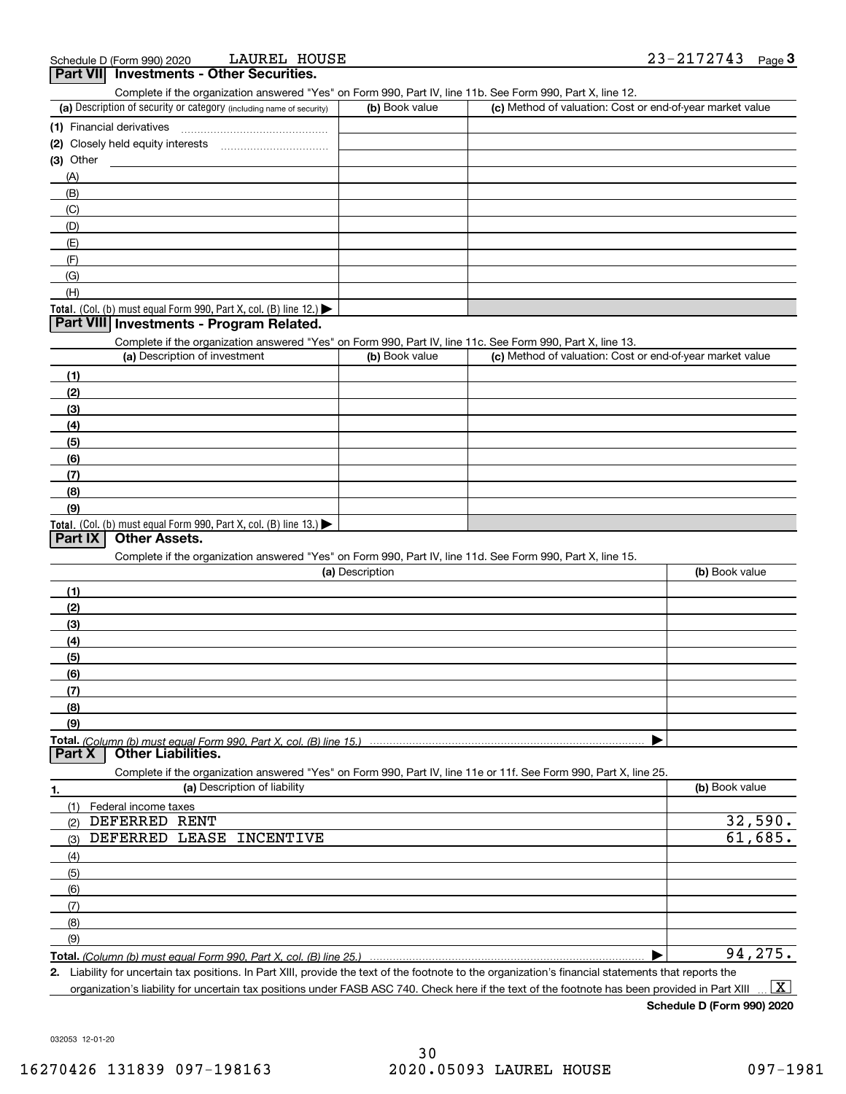| $1$ are viii<br><b>THE SUBSTEP OF STREET SECTIONS.</b><br>Complete if the organization answered "Yes" on Form 990, Part IV, line 11b. See Form 990, Part X, line 12. |                 |                                                           |                |
|----------------------------------------------------------------------------------------------------------------------------------------------------------------------|-----------------|-----------------------------------------------------------|----------------|
| (a) Description of security or category (including name of security)                                                                                                 | (b) Book value  | (c) Method of valuation: Cost or end-of-year market value |                |
| (1) Financial derivatives                                                                                                                                            |                 |                                                           |                |
|                                                                                                                                                                      |                 |                                                           |                |
| (3) Other                                                                                                                                                            |                 |                                                           |                |
| (A)                                                                                                                                                                  |                 |                                                           |                |
| (B)                                                                                                                                                                  |                 |                                                           |                |
| (C)                                                                                                                                                                  |                 |                                                           |                |
| (D)                                                                                                                                                                  |                 |                                                           |                |
| (E)                                                                                                                                                                  |                 |                                                           |                |
| (F)                                                                                                                                                                  |                 |                                                           |                |
| (G)                                                                                                                                                                  |                 |                                                           |                |
| (H)                                                                                                                                                                  |                 |                                                           |                |
| Total. (Col. (b) must equal Form 990, Part X, col. (B) line 12.)                                                                                                     |                 |                                                           |                |
| Part VIII Investments - Program Related.                                                                                                                             |                 |                                                           |                |
| Complete if the organization answered "Yes" on Form 990, Part IV, line 11c. See Form 990, Part X, line 13.                                                           |                 |                                                           |                |
| (a) Description of investment                                                                                                                                        | (b) Book value  | (c) Method of valuation: Cost or end-of-year market value |                |
| (1)                                                                                                                                                                  |                 |                                                           |                |
| (2)                                                                                                                                                                  |                 |                                                           |                |
| (3)                                                                                                                                                                  |                 |                                                           |                |
| (4)                                                                                                                                                                  |                 |                                                           |                |
| (5)                                                                                                                                                                  |                 |                                                           |                |
| (6)                                                                                                                                                                  |                 |                                                           |                |
| (7)                                                                                                                                                                  |                 |                                                           |                |
| (8)                                                                                                                                                                  |                 |                                                           |                |
| (9)                                                                                                                                                                  |                 |                                                           |                |
| Total. (Col. (b) must equal Form 990, Part X, col. (B) line 13.)                                                                                                     |                 |                                                           |                |
| Part IX<br><b>Other Assets.</b>                                                                                                                                      |                 |                                                           |                |
| Complete if the organization answered "Yes" on Form 990, Part IV, line 11d. See Form 990, Part X, line 15.                                                           |                 |                                                           |                |
|                                                                                                                                                                      | (a) Description |                                                           | (b) Book value |
| (1)                                                                                                                                                                  |                 |                                                           |                |
| (2)                                                                                                                                                                  |                 |                                                           |                |
| (3)                                                                                                                                                                  |                 |                                                           |                |
| (4)                                                                                                                                                                  |                 |                                                           |                |
| (5)                                                                                                                                                                  |                 |                                                           |                |
| (6)                                                                                                                                                                  |                 |                                                           |                |
| (7)                                                                                                                                                                  |                 |                                                           |                |
| (8)                                                                                                                                                                  |                 |                                                           |                |
| (9)                                                                                                                                                                  |                 |                                                           |                |
|                                                                                                                                                                      |                 |                                                           |                |
| Total. (Column (b) must equal Form 990. Part X, col. (B) line 15.)<br><b>Other Liabilities.</b><br>Part X                                                            |                 |                                                           |                |
| Complete if the organization answered "Yes" on Form 990, Part IV, line 11e or 11f. See Form 990, Part X, line 25.                                                    |                 |                                                           |                |
| (a) Description of liability<br>1.                                                                                                                                   |                 |                                                           | (b) Book value |
| Federal income taxes<br>(1)                                                                                                                                          |                 |                                                           |                |
| DEFERRED RENT<br>(2)                                                                                                                                                 |                 |                                                           | 32,590.        |
| DEFERRED LEASE INCENTIVE                                                                                                                                             |                 |                                                           | 61,685.        |
| (3)                                                                                                                                                                  |                 |                                                           |                |
| (4)                                                                                                                                                                  |                 |                                                           |                |
| (5)                                                                                                                                                                  |                 |                                                           |                |
| (6)                                                                                                                                                                  |                 |                                                           |                |
| (7)                                                                                                                                                                  |                 |                                                           |                |
| (8)                                                                                                                                                                  |                 |                                                           |                |
| (9)                                                                                                                                                                  |                 |                                                           |                |
| Total. (Column (b) must equal Form 990, Part X, col. (B) line 25.)                                                                                                   |                 |                                                           | 94,275.        |

**2.** Liability for uncertain tax positions. In Part XIII, provide the text of the footnote to the organization's financial statements that reports the organization's liability for uncertain tax positions under FASB ASC 740. Check here if the text of the footnote has been provided in Part XIII  $\boxed{\text{X}}$ 

**Schedule D (Form 990) 2020**

032053 12-01-20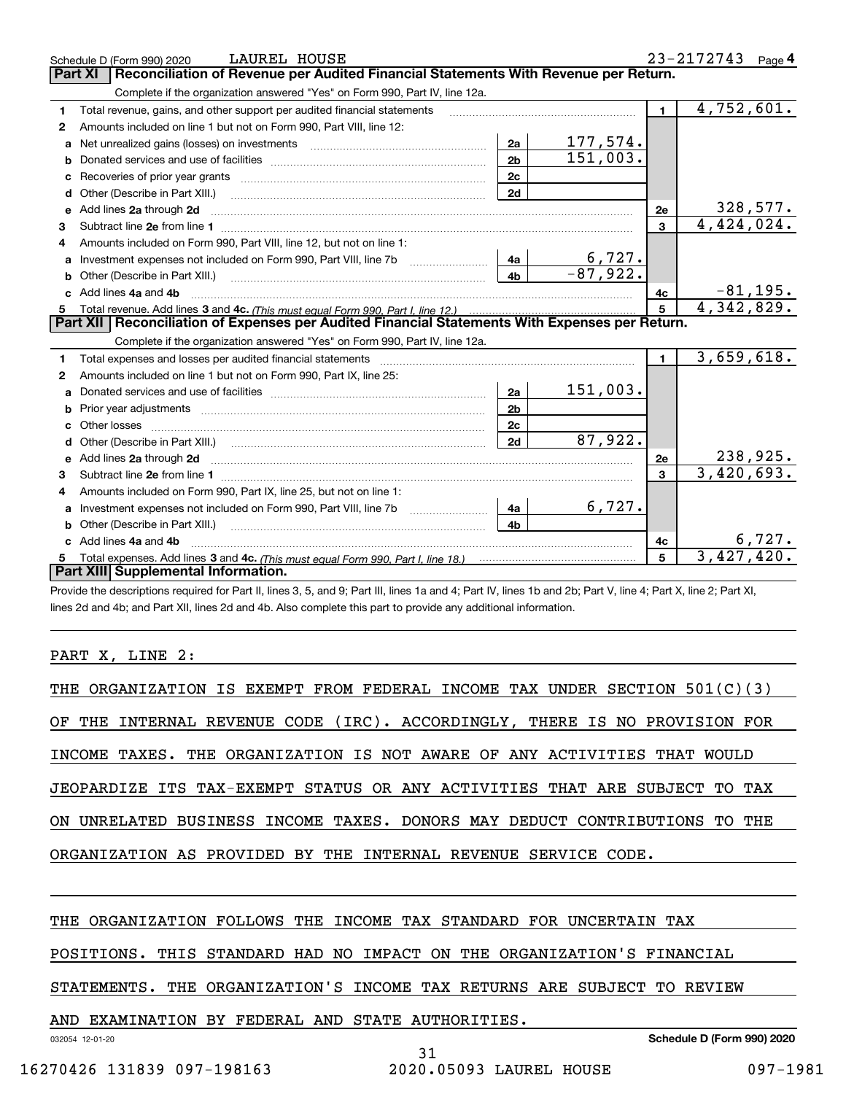|    | LAUREL HOUSE<br>Schedule D (Form 990) 2020                                                                        |                |                  |                | $23 - 2172743$ Page 4 |
|----|-------------------------------------------------------------------------------------------------------------------|----------------|------------------|----------------|-----------------------|
|    | Reconciliation of Revenue per Audited Financial Statements With Revenue per Return.<br><b>Part XI</b>             |                |                  |                |                       |
|    | Complete if the organization answered "Yes" on Form 990, Part IV, line 12a.                                       |                |                  |                |                       |
| 1  | Total revenue, gains, and other support per audited financial statements                                          |                |                  | $\blacksquare$ | 4,752,601.            |
| 2  | Amounts included on line 1 but not on Form 990, Part VIII, line 12:                                               |                |                  |                |                       |
| a  |                                                                                                                   | 2a             | <u> 177,574.</u> |                |                       |
| b  |                                                                                                                   | 2 <sub>b</sub> | 151,003.         |                |                       |
| c  | Recoveries of prior year grants [11,111] Recoveries of prior year grants [11,111] Recoveries of prior year grants | 2c             |                  |                |                       |
| d  | Other (Describe in Part XIII.)                                                                                    | 2d             |                  |                |                       |
| е  | Add lines 2a through 2d                                                                                           |                |                  | 2e             | 328,577.              |
| 3  |                                                                                                                   |                |                  | 3              | 4,424,024.            |
| 4  | Amounts included on Form 990. Part VIII. line 12, but not on line 1:                                              |                |                  |                |                       |
|    |                                                                                                                   | - 4a l         | 6,727.           |                |                       |
| b  |                                                                                                                   | 4 <sub>b</sub> | $-87,922.$       |                |                       |
| c. | Add lines 4a and 4b                                                                                               |                |                  | 4c             | $-81, 195.$           |
|    |                                                                                                                   |                |                  | 5              | 4,342,829.            |
| 5  |                                                                                                                   |                |                  |                |                       |
|    | Part XII   Reconciliation of Expenses per Audited Financial Statements With Expenses per Return.                  |                |                  |                |                       |
|    | Complete if the organization answered "Yes" on Form 990, Part IV, line 12a.                                       |                |                  |                |                       |
| 1  |                                                                                                                   |                |                  | $\blacksquare$ | 3,659,618.            |
| 2  | Amounts included on line 1 but not on Form 990, Part IX, line 25:                                                 |                |                  |                |                       |
| a  |                                                                                                                   | 2a             | 151,003.         |                |                       |
| b  |                                                                                                                   | 2 <sub>b</sub> |                  |                |                       |
| c  |                                                                                                                   | 2c             |                  |                |                       |
| d  |                                                                                                                   | 2d             | 87,922.          |                |                       |
|    |                                                                                                                   |                |                  | 2e             | 238,925.              |
| 3  |                                                                                                                   |                |                  | $\mathbf{R}$   | 3,420,693.            |
| 4  | Amounts included on Form 990, Part IX, line 25, but not on line 1:                                                |                |                  |                |                       |
| a  | Investment expenses not included on Form 990, Part VIII, line 7b [100] [100] [100] [100] [100] [100] [100] [10    | 4a             | 6,727.           |                |                       |
| b  |                                                                                                                   | 4h             |                  |                |                       |
|    | Add lines 4a and 4b                                                                                               |                |                  | 4c             | 6,727.                |
|    | Part XIII Supplemental Information.                                                                               |                |                  | 5              | 3,427,420.            |

Provide the descriptions required for Part II, lines 3, 5, and 9; Part III, lines 1a and 4; Part IV, lines 1b and 2b; Part V, line 4; Part X, line 2; Part XI, lines 2d and 4b; and Part XII, lines 2d and 4b. Also complete this part to provide any additional information.

## PART X, LINE 2:

| THE ORGANIZATION IS EXEMPT FROM FEDERAL INCOME TAX UNDER SECTION 501(C)(3) |
|----------------------------------------------------------------------------|
| OF THE INTERNAL REVENUE CODE (IRC). ACCORDINGLY, THERE IS NO PROVISION FOR |
|                                                                            |
| INCOME TAXES. THE ORGANIZATION IS NOT AWARE OF ANY ACTIVITIES THAT WOULD   |
| JEOPARDIZE ITS TAX-EXEMPT STATUS OR ANY ACTIVITIES THAT ARE SUBJECT TO TAX |
| ON UNRELATED BUSINESS INCOME TAXES. DONORS MAY DEDUCT CONTRIBUTIONS TO THE |
| ORGANIZATION AS PROVIDED BY THE INTERNAL REVENUE SERVICE CODE.             |

#### THE ORGANIZATION FOLLOWS THE INCOME TAX STANDARD FOR UNCERTAIN TAX

POSITIONS. THIS STANDARD HAD NO IMPACT ON THE ORGANIZATION'S FINANCIAL

STATEMENTS. THE ORGANIZATION'S INCOME TAX RETURNS ARE SUBJECT TO REVIEW

31

AND EXAMINATION BY FEDERAL AND STATE AUTHORITIES.

032054 12-01-20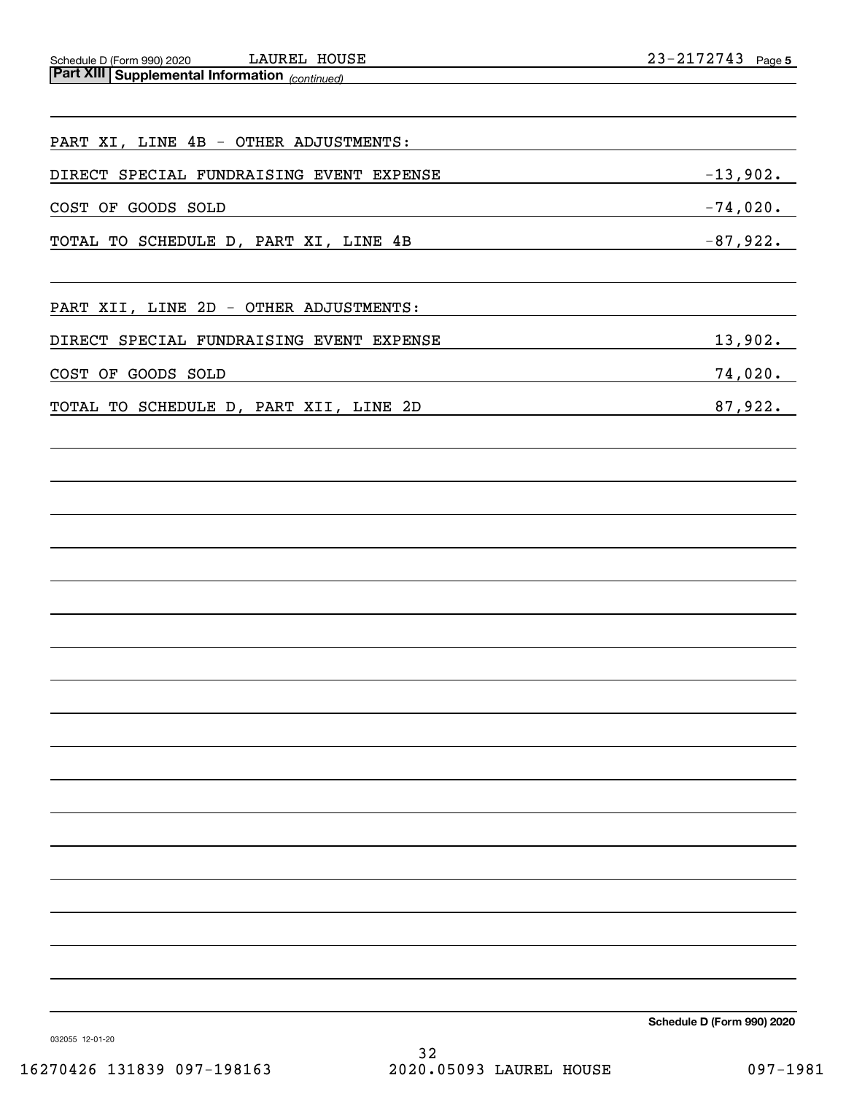*(continued)* Schedule D (Form 990) 2020 LAUKEL HOUSE Z 3~Z I 7 Z 7 4 3 Page **Part XIII Supplemental Information**  LAUREL HOUSE

| PART XI, LINE 4B - OTHER ADJUSTMENTS:                                                                                                  |             |
|----------------------------------------------------------------------------------------------------------------------------------------|-------------|
| DIRECT SPECIAL FUNDRAISING EVENT EXPENSE                                                                                               | $-13,902.$  |
| COST OF GOODS SOLD<br>and the control of the control of the control of the control of the control of the control of the control of the | $-74,020$ . |
| TOTAL TO SCHEDULE D, PART XI, LINE 4B                                                                                                  | $-87,922.$  |
| PART XII, LINE 2D - OTHER ADJUSTMENTS:                                                                                                 |             |
| DIRECT SPECIAL FUNDRAISING EVENT EXPENSE                                                                                               | 13,902.     |
| COST OF GOODS SOLD                                                                                                                     | 74,020.     |
| TOTAL TO SCHEDULE D, PART XII, LINE 2D                                                                                                 | 87,922.     |
|                                                                                                                                        |             |
|                                                                                                                                        |             |
|                                                                                                                                        |             |
|                                                                                                                                        |             |
|                                                                                                                                        |             |
|                                                                                                                                        |             |
|                                                                                                                                        |             |
|                                                                                                                                        |             |
|                                                                                                                                        |             |
|                                                                                                                                        |             |
|                                                                                                                                        |             |
|                                                                                                                                        |             |
|                                                                                                                                        |             |
|                                                                                                                                        |             |
|                                                                                                                                        |             |
|                                                                                                                                        |             |
|                                                                                                                                        |             |

**Schedule D (Form 990) 2020**

032055 12-01-20

32 16270426 131839 097-198163 2020.05093 LAUREL HOUSE 097-1981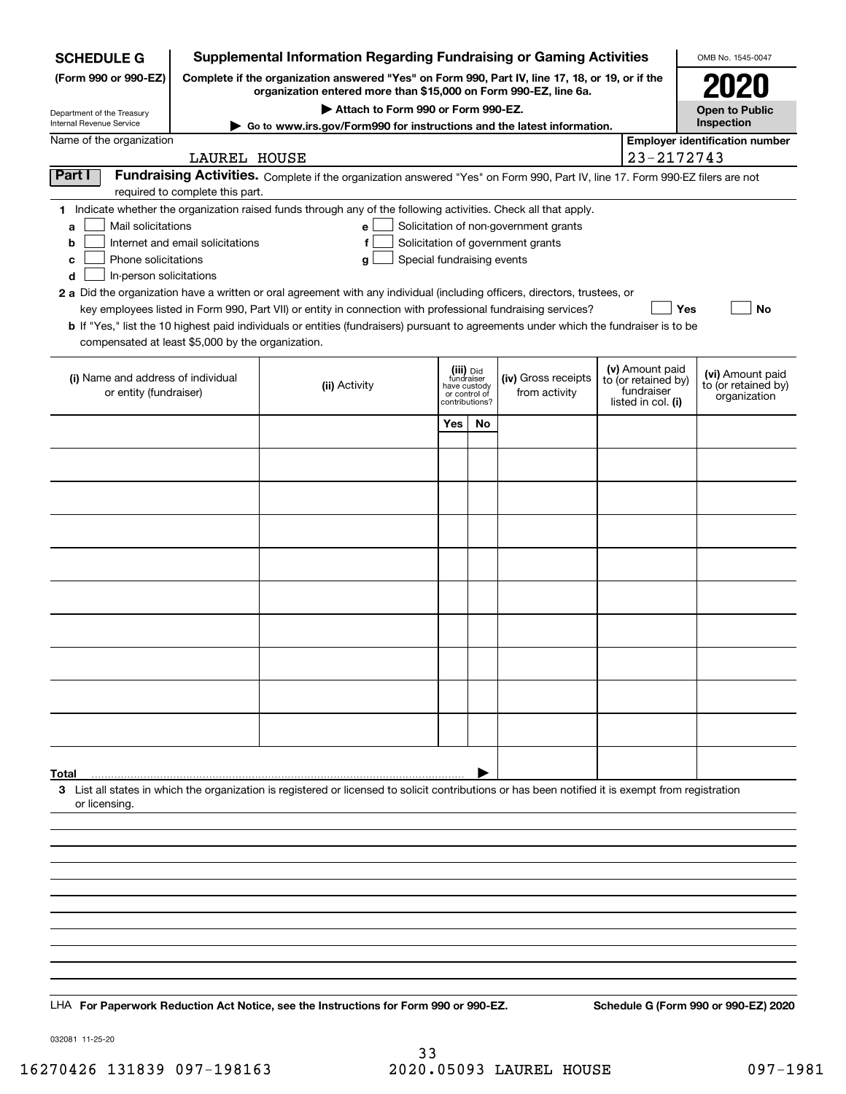| <b>Supplemental Information Regarding Fundraising or Gaming Activities</b><br><b>SCHEDULE G</b><br>OMB No. 1545-0047                          |                                                                                                                                                                     |                                                                                                                                                                                                                                                                                                                                                                                                                                                                                                                                                    |                                                                            |           |                                                                            |  |                                                                            |                                                         |
|-----------------------------------------------------------------------------------------------------------------------------------------------|---------------------------------------------------------------------------------------------------------------------------------------------------------------------|----------------------------------------------------------------------------------------------------------------------------------------------------------------------------------------------------------------------------------------------------------------------------------------------------------------------------------------------------------------------------------------------------------------------------------------------------------------------------------------------------------------------------------------------------|----------------------------------------------------------------------------|-----------|----------------------------------------------------------------------------|--|----------------------------------------------------------------------------|---------------------------------------------------------|
| (Form 990 or 990-EZ)                                                                                                                          | Complete if the organization answered "Yes" on Form 990, Part IV, line 17, 18, or 19, or if the<br>organization entered more than \$15,000 on Form 990-EZ, line 6a. |                                                                                                                                                                                                                                                                                                                                                                                                                                                                                                                                                    |                                                                            |           |                                                                            |  |                                                                            |                                                         |
| Department of the Treasury<br>Internal Revenue Service                                                                                        |                                                                                                                                                                     | Attach to Form 990 or Form 990-EZ.                                                                                                                                                                                                                                                                                                                                                                                                                                                                                                                 |                                                                            |           |                                                                            |  |                                                                            | <b>Open to Public</b><br>Inspection                     |
| Name of the organization                                                                                                                      |                                                                                                                                                                     | ► Go to www.irs.gov/Form990 for instructions and the latest information.                                                                                                                                                                                                                                                                                                                                                                                                                                                                           |                                                                            |           |                                                                            |  |                                                                            | <b>Employer identification number</b>                   |
|                                                                                                                                               | LAUREL HOUSE                                                                                                                                                        |                                                                                                                                                                                                                                                                                                                                                                                                                                                                                                                                                    |                                                                            |           |                                                                            |  | 23-2172743                                                                 |                                                         |
| Part I                                                                                                                                        | required to complete this part.                                                                                                                                     | Fundraising Activities. Complete if the organization answered "Yes" on Form 990, Part IV, line 17. Form 990-EZ filers are not                                                                                                                                                                                                                                                                                                                                                                                                                      |                                                                            |           |                                                                            |  |                                                                            |                                                         |
| Mail solicitations<br>a<br>b<br>Phone solicitations<br>с<br>In-person solicitations<br>d<br>compensated at least \$5,000 by the organization. | Internet and email solicitations                                                                                                                                    | 1 Indicate whether the organization raised funds through any of the following activities. Check all that apply.<br>е<br>f<br>Special fundraising events<br>g<br>2 a Did the organization have a written or oral agreement with any individual (including officers, directors, trustees, or<br>key employees listed in Form 990, Part VII) or entity in connection with professional fundraising services?<br>b If "Yes," list the 10 highest paid individuals or entities (fundraisers) pursuant to agreements under which the fundraiser is to be |                                                                            |           | Solicitation of non-government grants<br>Solicitation of government grants |  | Yes                                                                        | <b>No</b>                                               |
| (i) Name and address of individual<br>or entity (fundraiser)                                                                                  |                                                                                                                                                                     | (ii) Activity                                                                                                                                                                                                                                                                                                                                                                                                                                                                                                                                      | (iii) Did<br>fundraiser<br>have custody<br>or control of<br>contributions? |           | (iv) Gross receipts<br>from activity                                       |  | (v) Amount paid<br>to (or retained by)<br>fundraiser<br>listed in col. (i) | (vi) Amount paid<br>to (or retained by)<br>organization |
|                                                                                                                                               |                                                                                                                                                                     |                                                                                                                                                                                                                                                                                                                                                                                                                                                                                                                                                    | Yes                                                                        | <b>No</b> |                                                                            |  |                                                                            |                                                         |
|                                                                                                                                               |                                                                                                                                                                     |                                                                                                                                                                                                                                                                                                                                                                                                                                                                                                                                                    |                                                                            |           |                                                                            |  |                                                                            |                                                         |
|                                                                                                                                               |                                                                                                                                                                     |                                                                                                                                                                                                                                                                                                                                                                                                                                                                                                                                                    |                                                                            |           |                                                                            |  |                                                                            |                                                         |
|                                                                                                                                               |                                                                                                                                                                     |                                                                                                                                                                                                                                                                                                                                                                                                                                                                                                                                                    |                                                                            |           |                                                                            |  |                                                                            |                                                         |
|                                                                                                                                               |                                                                                                                                                                     |                                                                                                                                                                                                                                                                                                                                                                                                                                                                                                                                                    |                                                                            |           |                                                                            |  |                                                                            |                                                         |
|                                                                                                                                               |                                                                                                                                                                     |                                                                                                                                                                                                                                                                                                                                                                                                                                                                                                                                                    |                                                                            |           |                                                                            |  |                                                                            |                                                         |
|                                                                                                                                               |                                                                                                                                                                     |                                                                                                                                                                                                                                                                                                                                                                                                                                                                                                                                                    |                                                                            |           |                                                                            |  |                                                                            |                                                         |
|                                                                                                                                               |                                                                                                                                                                     |                                                                                                                                                                                                                                                                                                                                                                                                                                                                                                                                                    |                                                                            |           |                                                                            |  |                                                                            |                                                         |
|                                                                                                                                               |                                                                                                                                                                     |                                                                                                                                                                                                                                                                                                                                                                                                                                                                                                                                                    |                                                                            |           |                                                                            |  |                                                                            |                                                         |
|                                                                                                                                               |                                                                                                                                                                     |                                                                                                                                                                                                                                                                                                                                                                                                                                                                                                                                                    |                                                                            |           |                                                                            |  |                                                                            |                                                         |
|                                                                                                                                               |                                                                                                                                                                     |                                                                                                                                                                                                                                                                                                                                                                                                                                                                                                                                                    |                                                                            |           |                                                                            |  |                                                                            |                                                         |
|                                                                                                                                               |                                                                                                                                                                     |                                                                                                                                                                                                                                                                                                                                                                                                                                                                                                                                                    |                                                                            |           |                                                                            |  |                                                                            |                                                         |
|                                                                                                                                               |                                                                                                                                                                     |                                                                                                                                                                                                                                                                                                                                                                                                                                                                                                                                                    |                                                                            |           |                                                                            |  |                                                                            |                                                         |
|                                                                                                                                               |                                                                                                                                                                     |                                                                                                                                                                                                                                                                                                                                                                                                                                                                                                                                                    |                                                                            |           |                                                                            |  |                                                                            |                                                         |
|                                                                                                                                               |                                                                                                                                                                     |                                                                                                                                                                                                                                                                                                                                                                                                                                                                                                                                                    |                                                                            |           |                                                                            |  |                                                                            |                                                         |
| Total<br>or licensing.                                                                                                                        |                                                                                                                                                                     | 3 List all states in which the organization is registered or licensed to solicit contributions or has been notified it is exempt from registration                                                                                                                                                                                                                                                                                                                                                                                                 |                                                                            |           |                                                                            |  |                                                                            |                                                         |
|                                                                                                                                               |                                                                                                                                                                     |                                                                                                                                                                                                                                                                                                                                                                                                                                                                                                                                                    |                                                                            |           |                                                                            |  |                                                                            |                                                         |
|                                                                                                                                               |                                                                                                                                                                     |                                                                                                                                                                                                                                                                                                                                                                                                                                                                                                                                                    |                                                                            |           |                                                                            |  |                                                                            |                                                         |
|                                                                                                                                               |                                                                                                                                                                     |                                                                                                                                                                                                                                                                                                                                                                                                                                                                                                                                                    |                                                                            |           |                                                                            |  |                                                                            |                                                         |
|                                                                                                                                               |                                                                                                                                                                     |                                                                                                                                                                                                                                                                                                                                                                                                                                                                                                                                                    |                                                                            |           |                                                                            |  |                                                                            |                                                         |
|                                                                                                                                               |                                                                                                                                                                     |                                                                                                                                                                                                                                                                                                                                                                                                                                                                                                                                                    |                                                                            |           |                                                                            |  |                                                                            |                                                         |
|                                                                                                                                               |                                                                                                                                                                     |                                                                                                                                                                                                                                                                                                                                                                                                                                                                                                                                                    |                                                                            |           |                                                                            |  |                                                                            |                                                         |
|                                                                                                                                               |                                                                                                                                                                     |                                                                                                                                                                                                                                                                                                                                                                                                                                                                                                                                                    |                                                                            |           |                                                                            |  |                                                                            |                                                         |
|                                                                                                                                               |                                                                                                                                                                     |                                                                                                                                                                                                                                                                                                                                                                                                                                                                                                                                                    |                                                                            |           |                                                                            |  |                                                                            |                                                         |
|                                                                                                                                               | LHA For Paperwork Reduction Act Notice, see the Instructions for Form 990 or 990-EZ.<br>Schedule G (Form 990 or 990-EZ) 2020                                        |                                                                                                                                                                                                                                                                                                                                                                                                                                                                                                                                                    |                                                                            |           |                                                                            |  |                                                                            |                                                         |

032081 11-25-20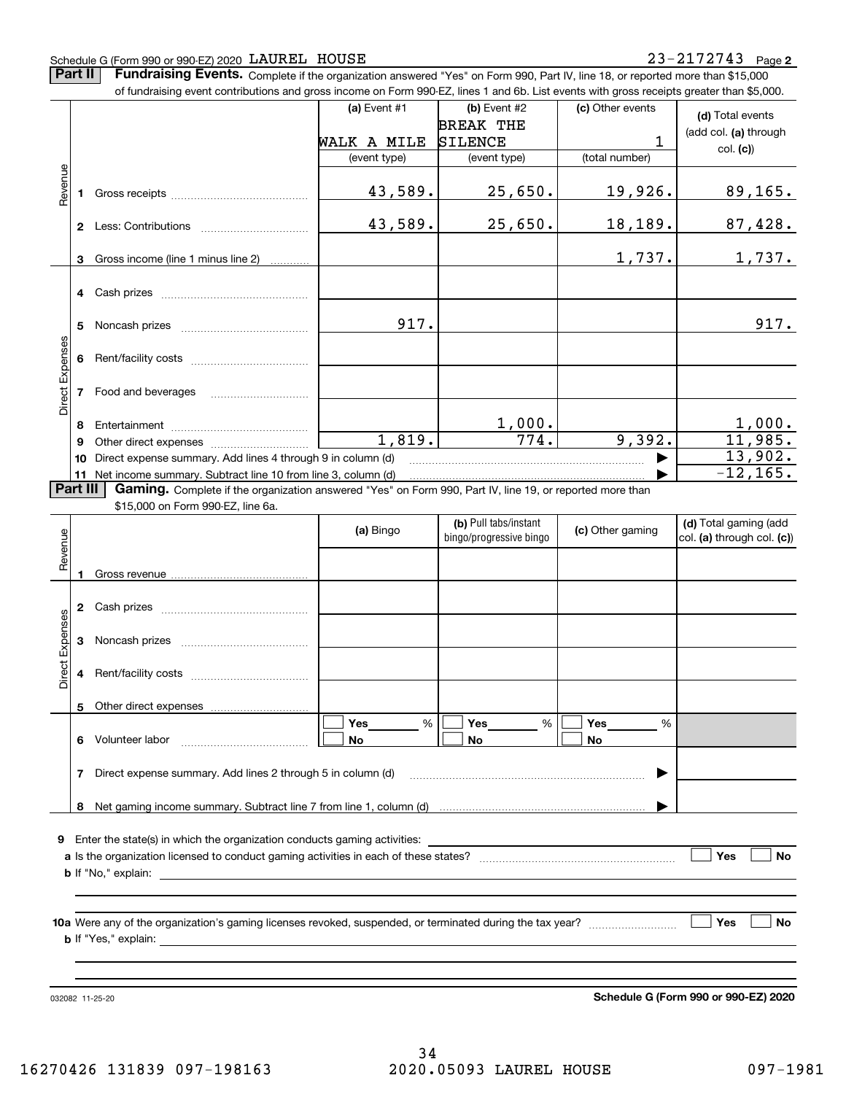#### Schedule G (Form 990 or 990-EZ) 2020 Page LAUREL HOUSE 23-2172743

**Part II** | Fundraising Events. Complete if the organization answered "Yes" on Form 990, Part IV, line 18, or reported more than \$15,000

|                 |              | of fundraising event contributions and gross income on Form 990-EZ, lines 1 and 6b. List events with gross receipts greater than \$5,000. |              |                         |                  |                            |
|-----------------|--------------|-------------------------------------------------------------------------------------------------------------------------------------------|--------------|-------------------------|------------------|----------------------------|
|                 |              |                                                                                                                                           | (a) Event #1 | $(b)$ Event #2          | (c) Other events | (d) Total events           |
|                 |              |                                                                                                                                           |              | <b>BREAK THE</b>        |                  | (add col. (a) through      |
|                 |              |                                                                                                                                           | WALK A MILE  | <b>SILENCE</b>          | 1                | col. (c)                   |
|                 |              |                                                                                                                                           | (event type) | (event type)            | (total number)   |                            |
| Revenue         |              |                                                                                                                                           |              |                         |                  |                            |
|                 | 1.           |                                                                                                                                           | 43,589.      | 25,650.                 | 19,926.          | <u>89,165.</u>             |
|                 |              |                                                                                                                                           |              |                         |                  |                            |
|                 |              |                                                                                                                                           | 43,589.      | 25,650.                 | 18,189.          | 87,428.                    |
|                 |              |                                                                                                                                           |              |                         |                  |                            |
|                 | 3            | Gross income (line 1 minus line 2)                                                                                                        |              |                         | 1,737.           | 1,737.                     |
|                 |              |                                                                                                                                           |              |                         |                  |                            |
|                 |              |                                                                                                                                           |              |                         |                  |                            |
|                 |              |                                                                                                                                           |              |                         |                  |                            |
|                 | 5            |                                                                                                                                           | 917.         |                         |                  | 917.                       |
|                 |              |                                                                                                                                           |              |                         |                  |                            |
| Direct Expenses | 6            |                                                                                                                                           |              |                         |                  |                            |
|                 |              |                                                                                                                                           |              |                         |                  |                            |
|                 | 7            | Food and beverages                                                                                                                        |              |                         |                  |                            |
|                 |              |                                                                                                                                           |              |                         |                  |                            |
|                 | 8            |                                                                                                                                           |              |                         |                  |                            |
|                 | 9            |                                                                                                                                           | 1,819.       | $\frac{1,000}{774}$ .   | 9,392.           | $\frac{1,000}{11,985}$     |
|                 | 10           | Direct expense summary. Add lines 4 through 9 in column (d)                                                                               |              |                         |                  | 13,902.                    |
|                 |              | 11 Net income summary. Subtract line 10 from line 3, column (d)                                                                           |              |                         |                  | $-12, 165.$                |
| <b>Part III</b> |              | Gaming. Complete if the organization answered "Yes" on Form 990, Part IV, line 19, or reported more than                                  |              |                         |                  |                            |
|                 |              | \$15,000 on Form 990-EZ, line 6a.                                                                                                         |              |                         |                  |                            |
|                 |              |                                                                                                                                           |              | (b) Pull tabs/instant   |                  | (d) Total gaming (add      |
|                 |              |                                                                                                                                           | (a) Bingo    | bingo/progressive bingo | (c) Other gaming | col. (a) through col. (c)) |
| Revenue         |              |                                                                                                                                           |              |                         |                  |                            |
|                 |              |                                                                                                                                           |              |                         |                  |                            |
|                 |              |                                                                                                                                           |              |                         |                  |                            |
|                 | $\mathbf{2}$ |                                                                                                                                           |              |                         |                  |                            |
|                 |              |                                                                                                                                           |              |                         |                  |                            |
| Expenses        | 3            |                                                                                                                                           |              |                         |                  |                            |
|                 |              |                                                                                                                                           |              |                         |                  |                            |
| <b>Direct</b>   | 4            |                                                                                                                                           |              |                         |                  |                            |
|                 |              |                                                                                                                                           |              |                         |                  |                            |
|                 |              | 5 Other direct expenses                                                                                                                   |              |                         |                  |                            |
|                 |              |                                                                                                                                           | %<br>Yes     | %<br>Yes                | Yes<br>%         |                            |
|                 |              | 6 Volunteer labor                                                                                                                         | No           | No                      | No               |                            |
|                 |              |                                                                                                                                           |              |                         |                  |                            |
|                 | 7            | Direct expense summary. Add lines 2 through 5 in column (d)                                                                               |              |                         | ▶                |                            |
|                 |              |                                                                                                                                           |              |                         |                  |                            |
|                 |              |                                                                                                                                           |              |                         |                  |                            |
|                 |              |                                                                                                                                           |              |                         |                  |                            |
|                 |              | <b>9</b> Enter the state(s) in which the organization conducts gaming activities:                                                         |              |                         |                  |                            |
|                 |              |                                                                                                                                           |              |                         |                  | Yes<br>No                  |
|                 |              |                                                                                                                                           |              |                         |                  |                            |
|                 |              |                                                                                                                                           |              |                         |                  |                            |
|                 |              |                                                                                                                                           |              |                         |                  |                            |
|                 |              |                                                                                                                                           |              |                         |                  | Yes<br>No                  |
|                 |              |                                                                                                                                           |              |                         |                  |                            |
|                 |              |                                                                                                                                           |              |                         |                  |                            |
|                 |              |                                                                                                                                           |              |                         |                  |                            |
|                 |              |                                                                                                                                           |              |                         |                  |                            |

032082 11-25-20

**Schedule G (Form 990 or 990-EZ) 2020**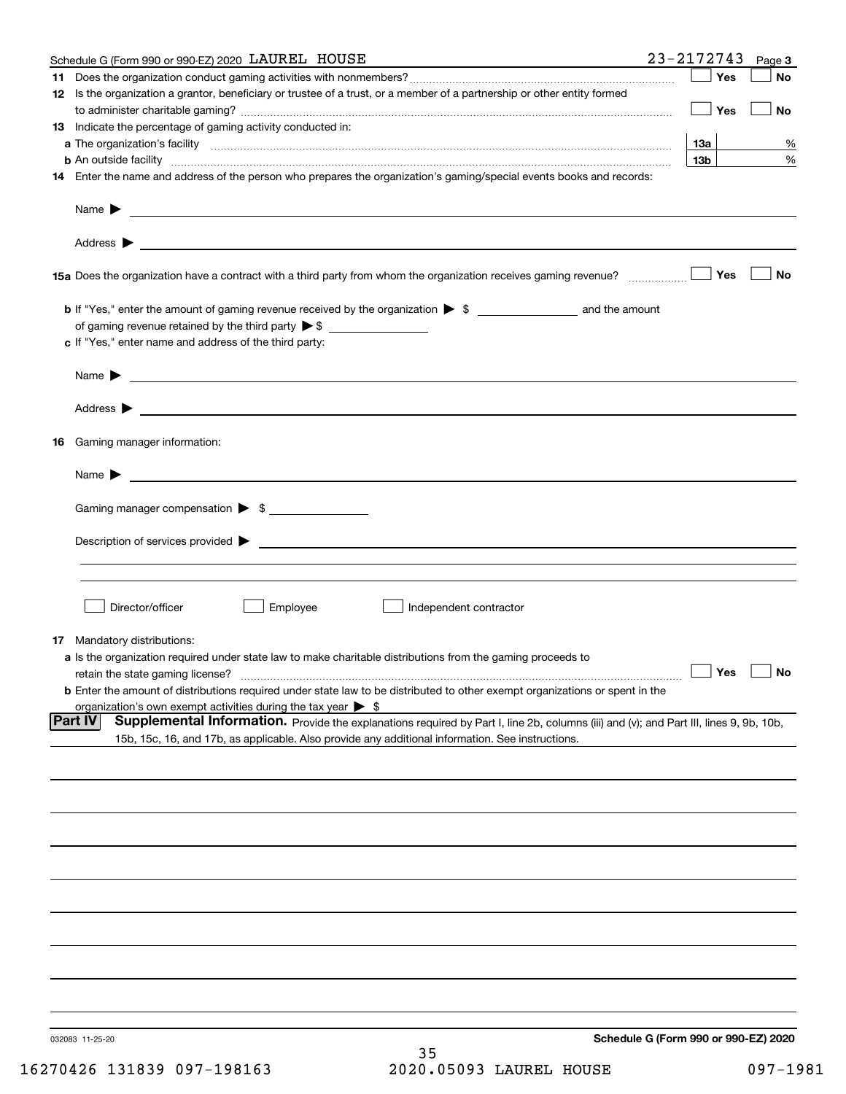|    | Schedule G (Form 990 or 990-EZ) 2020 LAUREL HOUSE                                                                                                                                                                                                            | 23-2172743      | Page 3                               |
|----|--------------------------------------------------------------------------------------------------------------------------------------------------------------------------------------------------------------------------------------------------------------|-----------------|--------------------------------------|
|    |                                                                                                                                                                                                                                                              | Yes             | No                                   |
|    | 12 Is the organization a grantor, beneficiary or trustee of a trust, or a member of a partnership or other entity formed                                                                                                                                     | Yes             | No                                   |
|    | <b>13</b> Indicate the percentage of gaming activity conducted in:                                                                                                                                                                                           |                 |                                      |
|    |                                                                                                                                                                                                                                                              | 13а             | %                                    |
|    | <b>b</b> An outside facility <b>contained an according to the contract of the contract of the contract of the contract of the contract of the contract of the contract of the contract of the contract of the contract of the contrac</b>                    | 13 <sub>b</sub> | %                                    |
|    | 14 Enter the name and address of the person who prepares the organization's gaming/special events books and records:                                                                                                                                         |                 |                                      |
|    |                                                                                                                                                                                                                                                              |                 |                                      |
|    |                                                                                                                                                                                                                                                              |                 |                                      |
|    |                                                                                                                                                                                                                                                              | Yes             | No                                   |
|    | of gaming revenue retained by the third party $\triangleright$ \$                                                                                                                                                                                            |                 |                                      |
|    | c If "Yes," enter name and address of the third party:                                                                                                                                                                                                       |                 |                                      |
|    | <u> 1989 - Andrea Stadt Britain, amerikansk politiker (d. 1989)</u><br>Name $\blacktriangleright$                                                                                                                                                            |                 |                                      |
|    |                                                                                                                                                                                                                                                              |                 |                                      |
| 16 | Gaming manager information:                                                                                                                                                                                                                                  |                 |                                      |
|    | $Name \rightarrow$                                                                                                                                                                                                                                           |                 |                                      |
|    | Gaming manager compensation > \$                                                                                                                                                                                                                             |                 |                                      |
|    |                                                                                                                                                                                                                                                              |                 |                                      |
|    |                                                                                                                                                                                                                                                              |                 |                                      |
|    | Director/officer<br>Employee<br>Independent contractor                                                                                                                                                                                                       |                 |                                      |
|    |                                                                                                                                                                                                                                                              |                 |                                      |
|    | <b>17</b> Mandatory distributions:                                                                                                                                                                                                                           |                 |                                      |
|    | a Is the organization required under state law to make charitable distributions from the gaming proceeds to<br>retain the state gaming license?                                                                                                              | $\Box$ Yes      | $\Box$ No                            |
|    | <b>b</b> Enter the amount of distributions required under state law to be distributed to other exempt organizations or spent in the                                                                                                                          |                 |                                      |
|    | organization's own exempt activities during the tax year $\triangleright$ \$                                                                                                                                                                                 |                 |                                      |
|    | <b>Part IV</b><br>Supplemental Information. Provide the explanations required by Part I, line 2b, columns (iii) and (v); and Part III, lines 9, 9b, 10b,<br>15b, 15c, 16, and 17b, as applicable. Also provide any additional information. See instructions. |                 |                                      |
|    |                                                                                                                                                                                                                                                              |                 |                                      |
|    |                                                                                                                                                                                                                                                              |                 |                                      |
|    |                                                                                                                                                                                                                                                              |                 |                                      |
|    |                                                                                                                                                                                                                                                              |                 |                                      |
|    |                                                                                                                                                                                                                                                              |                 |                                      |
|    |                                                                                                                                                                                                                                                              |                 |                                      |
|    |                                                                                                                                                                                                                                                              |                 |                                      |
|    |                                                                                                                                                                                                                                                              |                 |                                      |
|    |                                                                                                                                                                                                                                                              |                 |                                      |
|    | 032083 11-25-20<br>つに                                                                                                                                                                                                                                        |                 | Schedule G (Form 990 or 990-EZ) 2020 |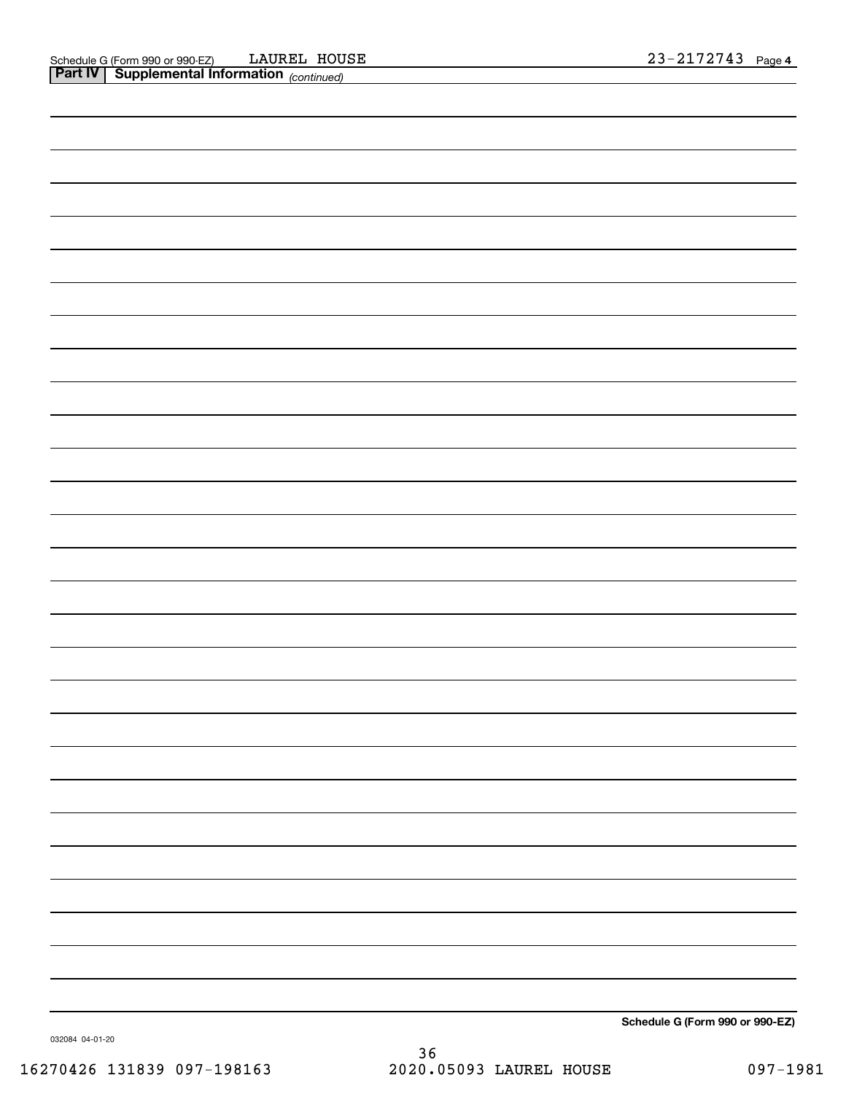| -                                    |
|--------------------------------------|
|                                      |
|                                      |
|                                      |
|                                      |
| $\cdots$<br>$- - -$<br>$\sim$ $\sim$ |

**Schedule G (Form 990 or 990-EZ)**

032084 04-01-20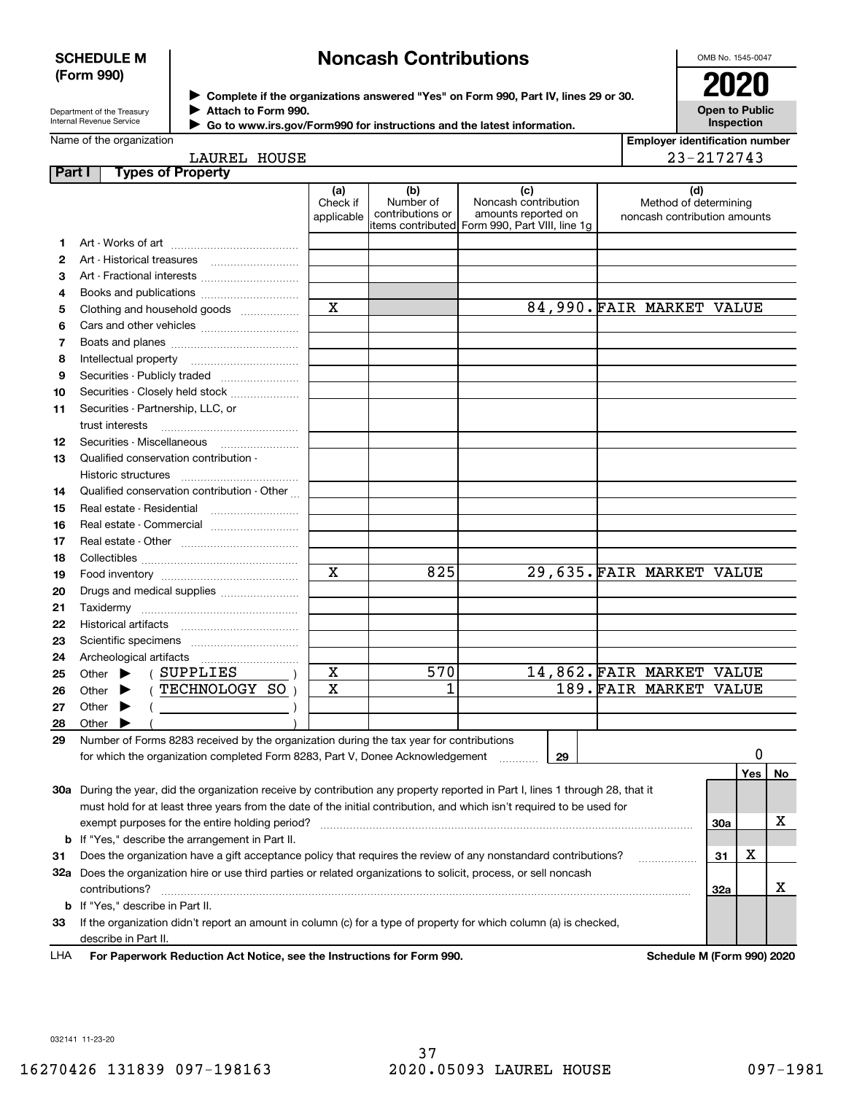#### **SCHEDULE M (Form 990)**

# **Noncash Contributions**

OMB No. 1545-0047

Department of the Treasury Internal Revenue Service

**Complete if the organizations answered "Yes" on Form 990, Part IV, lines 29 or 30.** <sup>J</sup>**2020 Attach to Form 990.** J

**Open to Public Inspection**

| Internal Revenue Service | $\blacktriangleright$ Go |  |
|--------------------------|--------------------------|--|
| Name of the organization |                          |  |

| Go to www.irs.gov/Form990 for instructions and the latest information. |
|------------------------------------------------------------------------|

| <b>Employer identification number</b> |
|---------------------------------------|
| 23-2172743                            |

# LAUREL HOUSE

| Part I |                             | <b>Types of Property</b>                                                                                                                                                                                                                                                                                                                                                                                                                                                                                                                                                           |                               |                                      |                                                                                                      |    |                                                              |     |     |    |
|--------|-----------------------------|------------------------------------------------------------------------------------------------------------------------------------------------------------------------------------------------------------------------------------------------------------------------------------------------------------------------------------------------------------------------------------------------------------------------------------------------------------------------------------------------------------------------------------------------------------------------------------|-------------------------------|--------------------------------------|------------------------------------------------------------------------------------------------------|----|--------------------------------------------------------------|-----|-----|----|
|        |                             |                                                                                                                                                                                                                                                                                                                                                                                                                                                                                                                                                                                    | (a)<br>Check if<br>applicable | (b)<br>Number of<br>contributions or | (c)<br>Noncash contribution<br>amounts reported on<br>items contributed Form 990, Part VIII, line 1g |    | (d)<br>Method of determining<br>noncash contribution amounts |     |     |    |
| 1.     |                             |                                                                                                                                                                                                                                                                                                                                                                                                                                                                                                                                                                                    |                               |                                      |                                                                                                      |    |                                                              |     |     |    |
| 2      |                             |                                                                                                                                                                                                                                                                                                                                                                                                                                                                                                                                                                                    |                               |                                      |                                                                                                      |    |                                                              |     |     |    |
| З      |                             | Art - Fractional interests                                                                                                                                                                                                                                                                                                                                                                                                                                                                                                                                                         |                               |                                      |                                                                                                      |    |                                                              |     |     |    |
| 4      |                             | Books and publications                                                                                                                                                                                                                                                                                                                                                                                                                                                                                                                                                             |                               |                                      |                                                                                                      |    |                                                              |     |     |    |
| 5      |                             | Clothing and household goods                                                                                                                                                                                                                                                                                                                                                                                                                                                                                                                                                       | $\mathbf x$                   |                                      |                                                                                                      |    | 84,990. FAIR MARKET VALUE                                    |     |     |    |
| 6      |                             |                                                                                                                                                                                                                                                                                                                                                                                                                                                                                                                                                                                    |                               |                                      |                                                                                                      |    |                                                              |     |     |    |
| 7      |                             |                                                                                                                                                                                                                                                                                                                                                                                                                                                                                                                                                                                    |                               |                                      |                                                                                                      |    |                                                              |     |     |    |
| 8      |                             | Intellectual property                                                                                                                                                                                                                                                                                                                                                                                                                                                                                                                                                              |                               |                                      |                                                                                                      |    |                                                              |     |     |    |
| 9      |                             |                                                                                                                                                                                                                                                                                                                                                                                                                                                                                                                                                                                    |                               |                                      |                                                                                                      |    |                                                              |     |     |    |
| 10     |                             | Securities - Closely held stock                                                                                                                                                                                                                                                                                                                                                                                                                                                                                                                                                    |                               |                                      |                                                                                                      |    |                                                              |     |     |    |
| 11     |                             | Securities - Partnership, LLC, or                                                                                                                                                                                                                                                                                                                                                                                                                                                                                                                                                  |                               |                                      |                                                                                                      |    |                                                              |     |     |    |
|        |                             | trust interests                                                                                                                                                                                                                                                                                                                                                                                                                                                                                                                                                                    |                               |                                      |                                                                                                      |    |                                                              |     |     |    |
| 12     |                             |                                                                                                                                                                                                                                                                                                                                                                                                                                                                                                                                                                                    |                               |                                      |                                                                                                      |    |                                                              |     |     |    |
| 13     |                             | Qualified conservation contribution -                                                                                                                                                                                                                                                                                                                                                                                                                                                                                                                                              |                               |                                      |                                                                                                      |    |                                                              |     |     |    |
|        |                             | Historic structures                                                                                                                                                                                                                                                                                                                                                                                                                                                                                                                                                                |                               |                                      |                                                                                                      |    |                                                              |     |     |    |
| 14     |                             | Qualified conservation contribution - Other                                                                                                                                                                                                                                                                                                                                                                                                                                                                                                                                        |                               |                                      |                                                                                                      |    |                                                              |     |     |    |
| 15     |                             | Real estate - Residential                                                                                                                                                                                                                                                                                                                                                                                                                                                                                                                                                          |                               |                                      |                                                                                                      |    |                                                              |     |     |    |
| 16     |                             | Real estate - Commercial                                                                                                                                                                                                                                                                                                                                                                                                                                                                                                                                                           |                               |                                      |                                                                                                      |    |                                                              |     |     |    |
| 17     |                             |                                                                                                                                                                                                                                                                                                                                                                                                                                                                                                                                                                                    |                               |                                      |                                                                                                      |    |                                                              |     |     |    |
| 18     |                             |                                                                                                                                                                                                                                                                                                                                                                                                                                                                                                                                                                                    |                               |                                      |                                                                                                      |    |                                                              |     |     |    |
| 19     |                             |                                                                                                                                                                                                                                                                                                                                                                                                                                                                                                                                                                                    | X                             | 825                                  |                                                                                                      |    | 29,635. FAIR MARKET VALUE                                    |     |     |    |
| 20     |                             | Drugs and medical supplies                                                                                                                                                                                                                                                                                                                                                                                                                                                                                                                                                         |                               |                                      |                                                                                                      |    |                                                              |     |     |    |
| 21     |                             |                                                                                                                                                                                                                                                                                                                                                                                                                                                                                                                                                                                    |                               |                                      |                                                                                                      |    |                                                              |     |     |    |
| 22     |                             |                                                                                                                                                                                                                                                                                                                                                                                                                                                                                                                                                                                    |                               |                                      |                                                                                                      |    |                                                              |     |     |    |
| 23     |                             |                                                                                                                                                                                                                                                                                                                                                                                                                                                                                                                                                                                    |                               |                                      |                                                                                                      |    |                                                              |     |     |    |
| 24     |                             |                                                                                                                                                                                                                                                                                                                                                                                                                                                                                                                                                                                    |                               |                                      |                                                                                                      |    |                                                              |     |     |    |
| 25     | Other $\blacktriangleright$ | (SUPPLIES                                                                                                                                                                                                                                                                                                                                                                                                                                                                                                                                                                          | $\mathbf X$                   | 570                                  |                                                                                                      |    | 14,862. FAIR MARKET VALUE                                    |     |     |    |
| 26     | Other $\blacktriangleright$ | (TECHNOLOGY SO)                                                                                                                                                                                                                                                                                                                                                                                                                                                                                                                                                                    | $\mathbf X$                   | 1                                    |                                                                                                      |    | 189. FAIR MARKET VALUE                                       |     |     |    |
| 27     | Other $\blacktriangleright$ | $\left(\begin{array}{ccc} \begin{array}{ccc} \end{array} & \begin{array}{ccc} \end{array} & \begin{array}{ccc} \end{array} & \begin{array}{ccc} \end{array} & \begin{array}{ccc} \end{array} & \begin{array}{ccc} \end{array} & \begin{array}{ccc} \end{array} & \begin{array}{ccc} \end{array} & \begin{array}{ccc} \end{array} & \begin{array}{ccc} \end{array} & \begin{array}{ccc} \end{array} & \begin{array}{ccc} \end{array} & \begin{array}{ccc} \end{array} & \begin{array}{ccc} \end{array} & \begin{array}{ccc} \end{array} & \begin{array}{ccc} \end{array} & \begin{$ |                               |                                      |                                                                                                      |    |                                                              |     |     |    |
| 28     | Other                       |                                                                                                                                                                                                                                                                                                                                                                                                                                                                                                                                                                                    |                               |                                      |                                                                                                      |    |                                                              |     |     |    |
| 29     |                             | Number of Forms 8283 received by the organization during the tax year for contributions                                                                                                                                                                                                                                                                                                                                                                                                                                                                                            |                               |                                      |                                                                                                      |    |                                                              |     |     |    |
|        |                             | for which the organization completed Form 8283, Part V, Donee Acknowledgement                                                                                                                                                                                                                                                                                                                                                                                                                                                                                                      |                               |                                      | .                                                                                                    | 29 |                                                              |     | 0   |    |
|        |                             |                                                                                                                                                                                                                                                                                                                                                                                                                                                                                                                                                                                    |                               |                                      |                                                                                                      |    |                                                              |     | Yes | No |
|        |                             | 30a During the year, did the organization receive by contribution any property reported in Part I, lines 1 through 28, that it                                                                                                                                                                                                                                                                                                                                                                                                                                                     |                               |                                      |                                                                                                      |    |                                                              |     |     |    |
|        |                             | must hold for at least three years from the date of the initial contribution, and which isn't required to be used for                                                                                                                                                                                                                                                                                                                                                                                                                                                              |                               |                                      |                                                                                                      |    |                                                              |     |     | х  |
|        |                             | exempt purposes for the entire holding period?                                                                                                                                                                                                                                                                                                                                                                                                                                                                                                                                     |                               |                                      |                                                                                                      |    |                                                              | 30a |     |    |
|        |                             | <b>b</b> If "Yes," describe the arrangement in Part II.<br>Does the organization have a gift acceptance policy that requires the review of any nonstandard contributions?                                                                                                                                                                                                                                                                                                                                                                                                          |                               |                                      |                                                                                                      |    |                                                              |     | х   |    |
| 31     |                             |                                                                                                                                                                                                                                                                                                                                                                                                                                                                                                                                                                                    |                               |                                      |                                                                                                      |    |                                                              | 31  |     |    |
|        |                             | 32a Does the organization hire or use third parties or related organizations to solicit, process, or sell noncash<br>contributions?                                                                                                                                                                                                                                                                                                                                                                                                                                                |                               |                                      |                                                                                                      |    |                                                              | 32a |     | x  |
|        |                             | <b>b</b> If "Yes," describe in Part II.                                                                                                                                                                                                                                                                                                                                                                                                                                                                                                                                            |                               |                                      |                                                                                                      |    |                                                              |     |     |    |
| 33     |                             | If the organization didn't report an amount in column (c) for a type of property for which column (a) is checked,                                                                                                                                                                                                                                                                                                                                                                                                                                                                  |                               |                                      |                                                                                                      |    |                                                              |     |     |    |
|        |                             | describe in Part II.                                                                                                                                                                                                                                                                                                                                                                                                                                                                                                                                                               |                               |                                      |                                                                                                      |    |                                                              |     |     |    |
|        |                             |                                                                                                                                                                                                                                                                                                                                                                                                                                                                                                                                                                                    |                               |                                      |                                                                                                      |    |                                                              |     |     |    |

For Paperwork Reduction Act Notice, see the Instructions for Form 990. Schedule M (Form 990) 2020 LHA

032141 11-23-20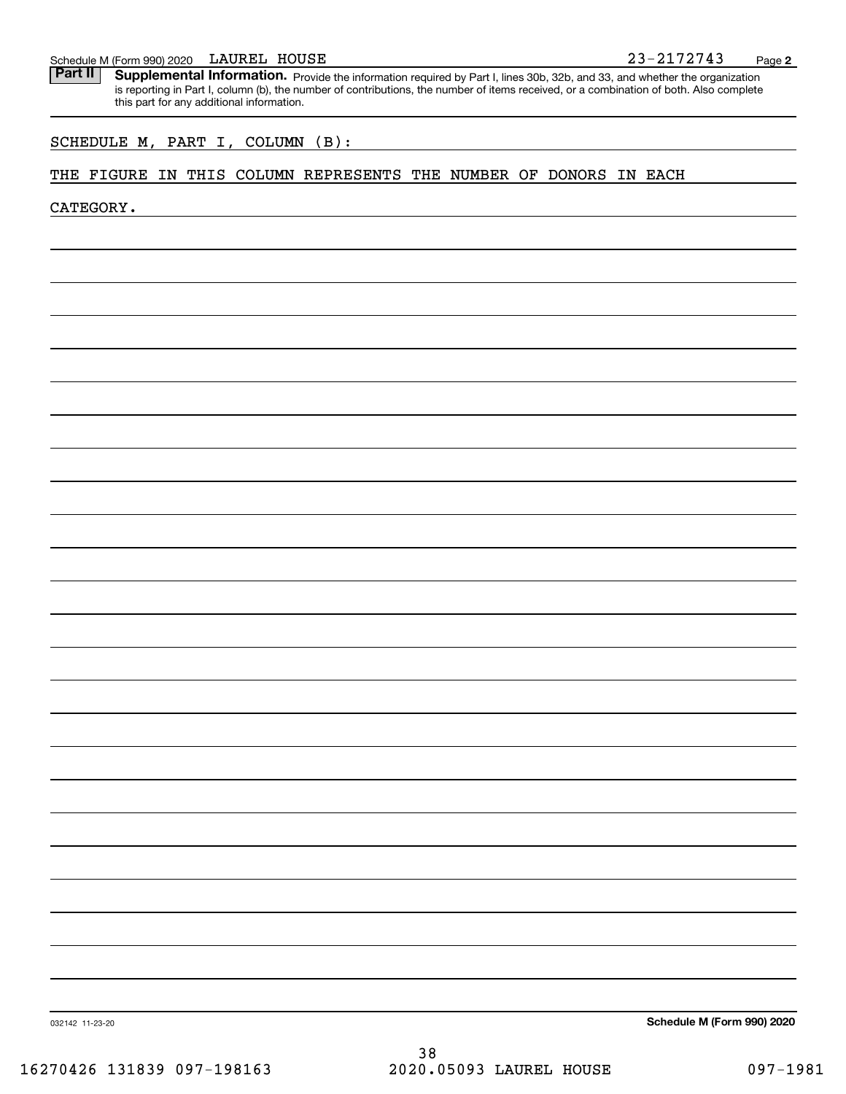#### LAUREL HOUSE

Schedule M (Form 990) 2020 LAUREL HOUSE<br>**Part II** Supplemental Information. Provide the information required by Part I. lines 30b. 32b. and 33, and whether the organ Part II | Supplemental Information. Provide the information required by Part I, lines 30b, 32b, and 33, and whether the organization is reporting in Part I, column (b), the number of contributions, the number of items received, or a combination of both. Also complete this part for any additional information.

## SCHEDULE M, PART I, COLUMN (B):

#### THE FIGURE IN THIS COLUMN REPRESENTS THE NUMBER OF DONORS IN EACH

CATEGORY.

**Schedule M (Form 990) 2020**

032142 11-23-20

38 16270426 131839 097-198163 2020.05093 LAUREL HOUSE 097-1981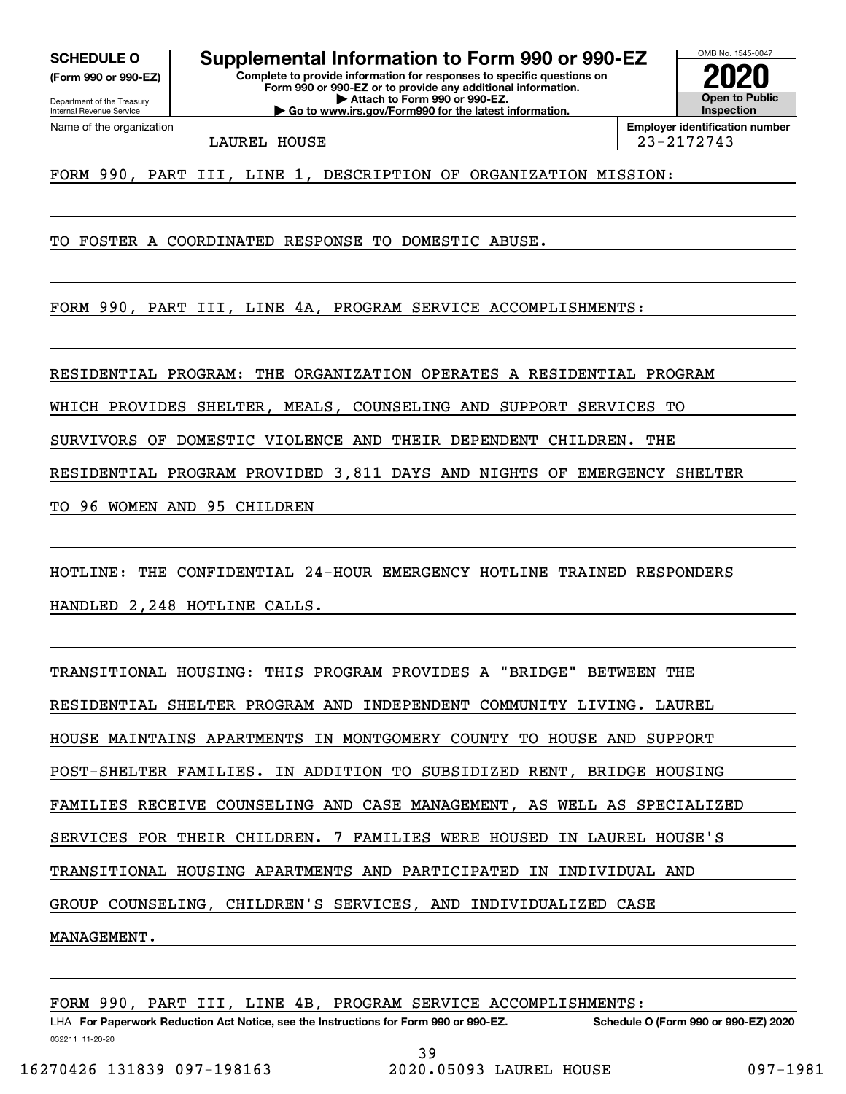**(Form 990 or 990-EZ)**

Department of the Treasury Internal Revenue Service Name of the organization

**Complete to provide information for responses to specific questions on Form 990 or 990-EZ or to provide any additional information. SCHEDULE O Supplemental Information to Form 990 or 990-EZ**

**| Attach to Form 990 or 990-EZ. | Go to www.irs.gov/Form990 for the latest information.**

**Open to Public Inspection2020**

OMB No. 1545-0047

LAUREL HOUSE 23-2172743

**Employer identification number**

FORM 990, PART III, LINE 1, DESCRIPTION OF ORGANIZATION MISSION:

TO FOSTER A COORDINATED RESPONSE TO DOMESTIC ABUSE.

FORM 990, PART III, LINE 4A, PROGRAM SERVICE ACCOMPLISHMENTS:

RESIDENTIAL PROGRAM: THE ORGANIZATION OPERATES A RESIDENTIAL PROGRAM

WHICH PROVIDES SHELTER, MEALS, COUNSELING AND SUPPORT SERVICES TO

SURVIVORS OF DOMESTIC VIOLENCE AND THEIR DEPENDENT CHILDREN. THE

RESIDENTIAL PROGRAM PROVIDED 3,811 DAYS AND NIGHTS OF EMERGENCY SHELTER

TO 96 WOMEN AND 95 CHILDREN

HOTLINE: THE CONFIDENTIAL 24-HOUR EMERGENCY HOTLINE TRAINED RESPONDERS HANDLED 2,248 HOTLINE CALLS.

TRANSITIONAL HOUSING: THIS PROGRAM PROVIDES A "BRIDGE" BETWEEN THE RESIDENTIAL SHELTER PROGRAM AND INDEPENDENT COMMUNITY LIVING. LAUREL HOUSE MAINTAINS APARTMENTS IN MONTGOMERY COUNTY TO HOUSE AND SUPPORT POST-SHELTER FAMILIES. IN ADDITION TO SUBSIDIZED RENT, BRIDGE HOUSING FAMILIES RECEIVE COUNSELING AND CASE MANAGEMENT, AS WELL AS SPECIALIZED SERVICES FOR THEIR CHILDREN. 7 FAMILIES WERE HOUSED IN LAUREL HOUSE'S TRANSITIONAL HOUSING APARTMENTS AND PARTICIPATED IN INDIVIDUAL AND GROUP COUNSELING, CHILDREN'S SERVICES, AND INDIVIDUALIZED CASE MANAGEMENT.

032211 11-20-20 LHA For Paperwork Reduction Act Notice, see the Instructions for Form 990 or 990-EZ. Schedule O (Form 990 or 990-EZ) 2020 FORM 990, PART III, LINE 4B, PROGRAM SERVICE ACCOMPLISHMENTS: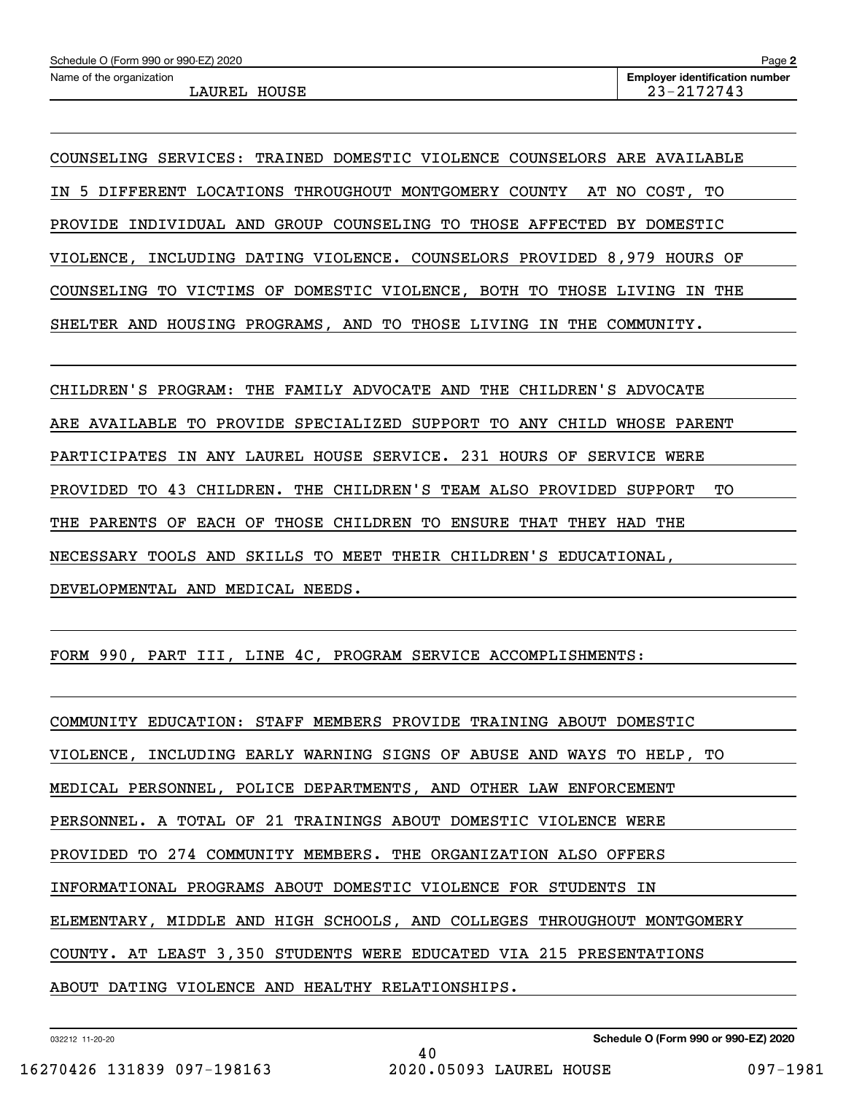COUNSELING SERVICES: TRAINED DOMESTIC VIOLENCE COUNSELORS ARE AVAILABLE IN 5 DIFFERENT LOCATIONS THROUGHOUT MONTGOMERY COUNTY AT NO COST, TO PROVIDE INDIVIDUAL AND GROUP COUNSELING TO THOSE AFFECTED BY DOMESTIC VIOLENCE, INCLUDING DATING VIOLENCE. COUNSELORS PROVIDED 8,979 HOURS OF COUNSELING TO VICTIMS OF DOMESTIC VIOLENCE, BOTH TO THOSE LIVING IN THE SHELTER AND HOUSING PROGRAMS, AND TO THOSE LIVING IN THE COMMUNITY.

CHILDREN'S PROGRAM: THE FAMILY ADVOCATE AND THE CHILDREN'S ADVOCATE ARE AVAILABLE TO PROVIDE SPECIALIZED SUPPORT TO ANY CHILD WHOSE PARENT PARTICIPATES IN ANY LAUREL HOUSE SERVICE. 231 HOURS OF SERVICE WERE PROVIDED TO 43 CHILDREN. THE CHILDREN'S TEAM ALSO PROVIDED SUPPORT TO THE PARENTS OF EACH OF THOSE CHILDREN TO ENSURE THAT THEY HAD THE NECESSARY TOOLS AND SKILLS TO MEET THEIR CHILDREN'S EDUCATIONAL, DEVELOPMENTAL AND MEDICAL NEEDS.

FORM 990, PART III, LINE 4C, PROGRAM SERVICE ACCOMPLISHMENTS:

COMMUNITY EDUCATION: STAFF MEMBERS PROVIDE TRAINING ABOUT DOMESTIC VIOLENCE, INCLUDING EARLY WARNING SIGNS OF ABUSE AND WAYS TO HELP, TO MEDICAL PERSONNEL, POLICE DEPARTMENTS, AND OTHER LAW ENFORCEMENT PERSONNEL. A TOTAL OF 21 TRAININGS ABOUT DOMESTIC VIOLENCE WERE PROVIDED TO 274 COMMUNITY MEMBERS. THE ORGANIZATION ALSO OFFERS INFORMATIONAL PROGRAMS ABOUT DOMESTIC VIOLENCE FOR STUDENTS IN ELEMENTARY, MIDDLE AND HIGH SCHOOLS, AND COLLEGES THROUGHOUT MONTGOMERY COUNTY. AT LEAST 3,350 STUDENTS WERE EDUCATED VIA 215 PRESENTATIONS ABOUT DATING VIOLENCE AND HEALTHY RELATIONSHIPS.

40

032212 11-20-20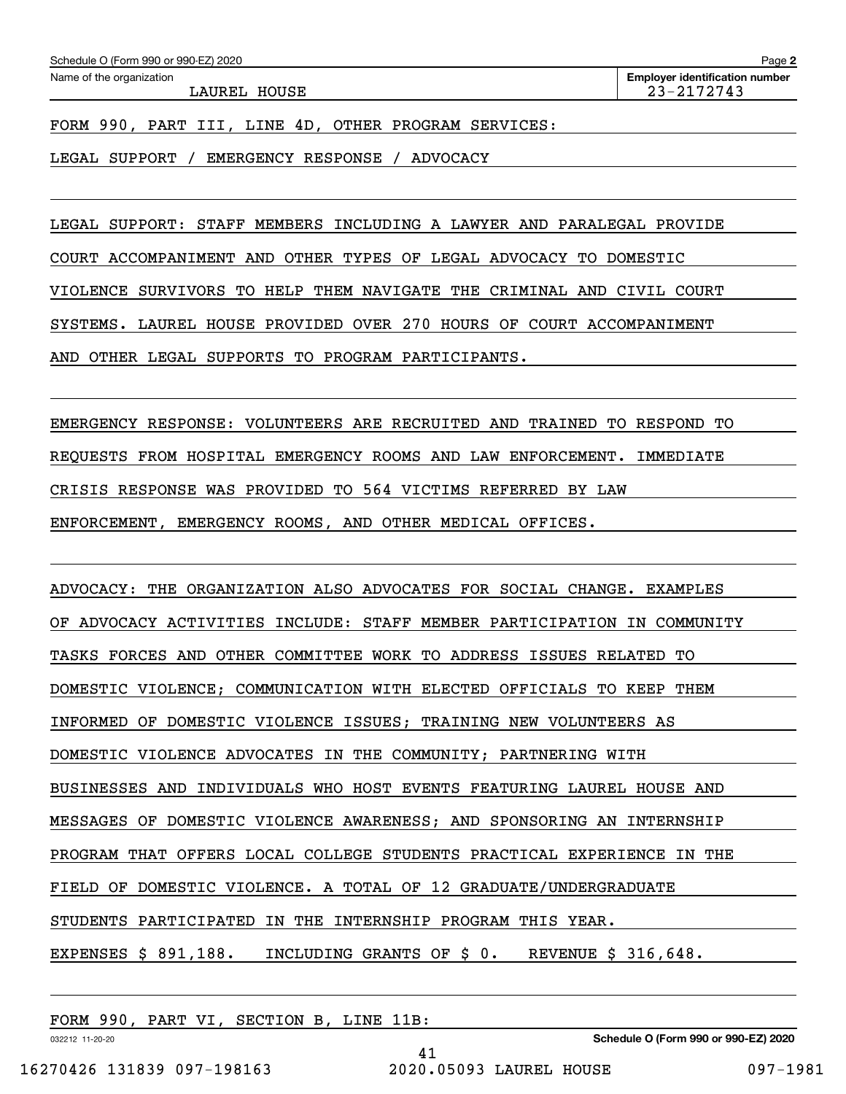LAUREL HOUSE 23-2172743

**2**

FORM 990, PART III, LINE 4D, OTHER PROGRAM SERVICES:

LEGAL SUPPORT / EMERGENCY RESPONSE / ADVOCACY

LEGAL SUPPORT: STAFF MEMBERS INCLUDING A LAWYER AND PARALEGAL PROVIDE

COURT ACCOMPANIMENT AND OTHER TYPES OF LEGAL ADVOCACY TO DOMESTIC

VIOLENCE SURVIVORS TO HELP THEM NAVIGATE THE CRIMINAL AND CIVIL COURT

SYSTEMS. LAUREL HOUSE PROVIDED OVER 270 HOURS OF COURT ACCOMPANIMENT

AND OTHER LEGAL SUPPORTS TO PROGRAM PARTICIPANTS.

EMERGENCY RESPONSE: VOLUNTEERS ARE RECRUITED AND TRAINED TO RESPOND TO

REQUESTS FROM HOSPITAL EMERGENCY ROOMS AND LAW ENFORCEMENT. IMMEDIATE

CRISIS RESPONSE WAS PROVIDED TO 564 VICTIMS REFERRED BY LAW

ENFORCEMENT, EMERGENCY ROOMS, AND OTHER MEDICAL OFFICES.

ADVOCACY: THE ORGANIZATION ALSO ADVOCATES FOR SOCIAL CHANGE. EXAMPLES OF ADVOCACY ACTIVITIES INCLUDE: STAFF MEMBER PARTICIPATION IN COMMUNITY TASKS FORCES AND OTHER COMMITTEE WORK TO ADDRESS ISSUES RELATED TO DOMESTIC VIOLENCE; COMMUNICATION WITH ELECTED OFFICIALS TO KEEP THEM INFORMED OF DOMESTIC VIOLENCE ISSUES; TRAINING NEW VOLUNTEERS AS DOMESTIC VIOLENCE ADVOCATES IN THE COMMUNITY; PARTNERING WITH BUSINESSES AND INDIVIDUALS WHO HOST EVENTS FEATURING LAUREL HOUSE AND MESSAGES OF DOMESTIC VIOLENCE AWARENESS; AND SPONSORING AN INTERNSHIP PROGRAM THAT OFFERS LOCAL COLLEGE STUDENTS PRACTICAL EXPERIENCE IN THE FIELD OF DOMESTIC VIOLENCE. A TOTAL OF 12 GRADUATE/UNDERGRADUATE STUDENTS PARTICIPATED IN THE INTERNSHIP PROGRAM THIS YEAR. EXPENSES \$ 891,188. INCLUDING GRANTS OF \$ 0. REVENUE \$ 316,648.

41

FORM 990, PART VI, SECTION B, LINE 11B:

032212 11-20-20

**Schedule O (Form 990 or 990-EZ) 2020**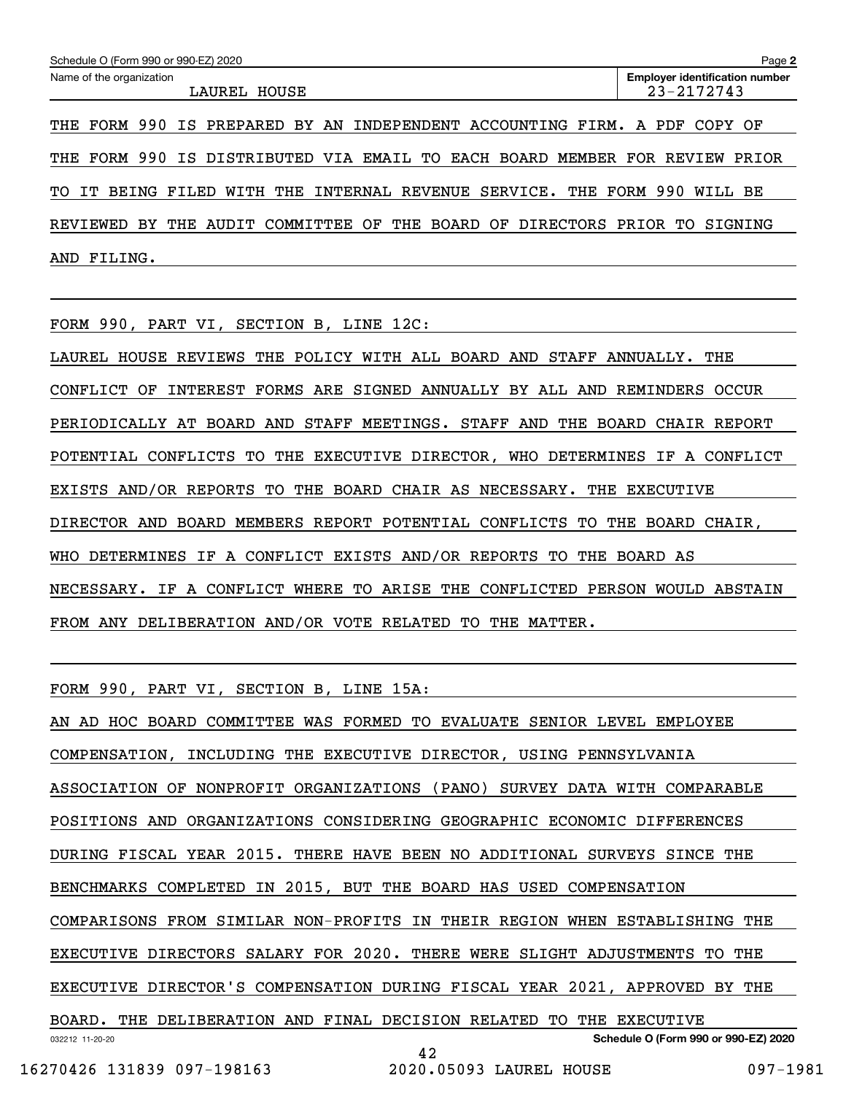| Schedule O (Form 990 or 990-EZ) 2020<br>Page 2                                  |  |  |  |  |  |  |  |  |  |
|---------------------------------------------------------------------------------|--|--|--|--|--|--|--|--|--|
| Name of the organization<br><b>Employer identification number</b><br>23-2172743 |  |  |  |  |  |  |  |  |  |
| LAUREL HOUSE                                                                    |  |  |  |  |  |  |  |  |  |
| THE FORM 990 IS PREPARED BY AN INDEPENDENT ACCOUNTING FIRM. A PDF COPY OF       |  |  |  |  |  |  |  |  |  |

THE FORM 990 IS DISTRIBUTED VIA EMAIL TO EACH BOARD MEMBER FOR REVIEW PRIOR

TO IT BEING FILED WITH THE INTERNAL REVENUE SERVICE. THE FORM 990 WILL BE

REVIEWED BY THE AUDIT COMMITTEE OF THE BOARD OF DIRECTORS PRIOR TO SIGNING AND FILING.

FORM 990, PART VI, SECTION B, LINE 12C:

LAUREL HOUSE REVIEWS THE POLICY WITH ALL BOARD AND STAFF ANNUALLY. THE CONFLICT OF INTEREST FORMS ARE SIGNED ANNUALLY BY ALL AND REMINDERS OCCUR PERIODICALLY AT BOARD AND STAFF MEETINGS. STAFF AND THE BOARD CHAIR REPORT POTENTIAL CONFLICTS TO THE EXECUTIVE DIRECTOR, WHO DETERMINES IF A CONFLICT EXISTS AND/OR REPORTS TO THE BOARD CHAIR AS NECESSARY. THE EXECUTIVE DIRECTOR AND BOARD MEMBERS REPORT POTENTIAL CONFLICTS TO THE BOARD CHAIR, WHO DETERMINES IF A CONFLICT EXISTS AND/OR REPORTS TO THE BOARD AS NECESSARY. IF A CONFLICT WHERE TO ARISE THE CONFLICTED PERSON WOULD ABSTAIN FROM ANY DELIBERATION AND/OR VOTE RELATED TO THE MATTER.

FORM 990, PART VI, SECTION B, LINE 15A:

032212 11-20-20 **Schedule O (Form 990 or 990-EZ) 2020** AN AD HOC BOARD COMMITTEE WAS FORMED TO EVALUATE SENIOR LEVEL EMPLOYEE COMPENSATION, INCLUDING THE EXECUTIVE DIRECTOR, USING PENNSYLVANIA ASSOCIATION OF NONPROFIT ORGANIZATIONS (PANO) SURVEY DATA WITH COMPARABLE POSITIONS AND ORGANIZATIONS CONSIDERING GEOGRAPHIC ECONOMIC DIFFERENCES DURING FISCAL YEAR 2015. THERE HAVE BEEN NO ADDITIONAL SURVEYS SINCE THE BENCHMARKS COMPLETED IN 2015, BUT THE BOARD HAS USED COMPENSATION COMPARISONS FROM SIMILAR NON-PROFITS IN THEIR REGION WHEN ESTABLISHING THE EXECUTIVE DIRECTORS SALARY FOR 2020. THERE WERE SLIGHT ADJUSTMENTS TO THE EXECUTIVE DIRECTOR'S COMPENSATION DURING FISCAL YEAR 2021, APPROVED BY THE BOARD. THE DELIBERATION AND FINAL DECISION RELATED TO THE EXECUTIVE 42

16270426 131839 097-198163 2020.05093 LAUREL HOUSE 097-1981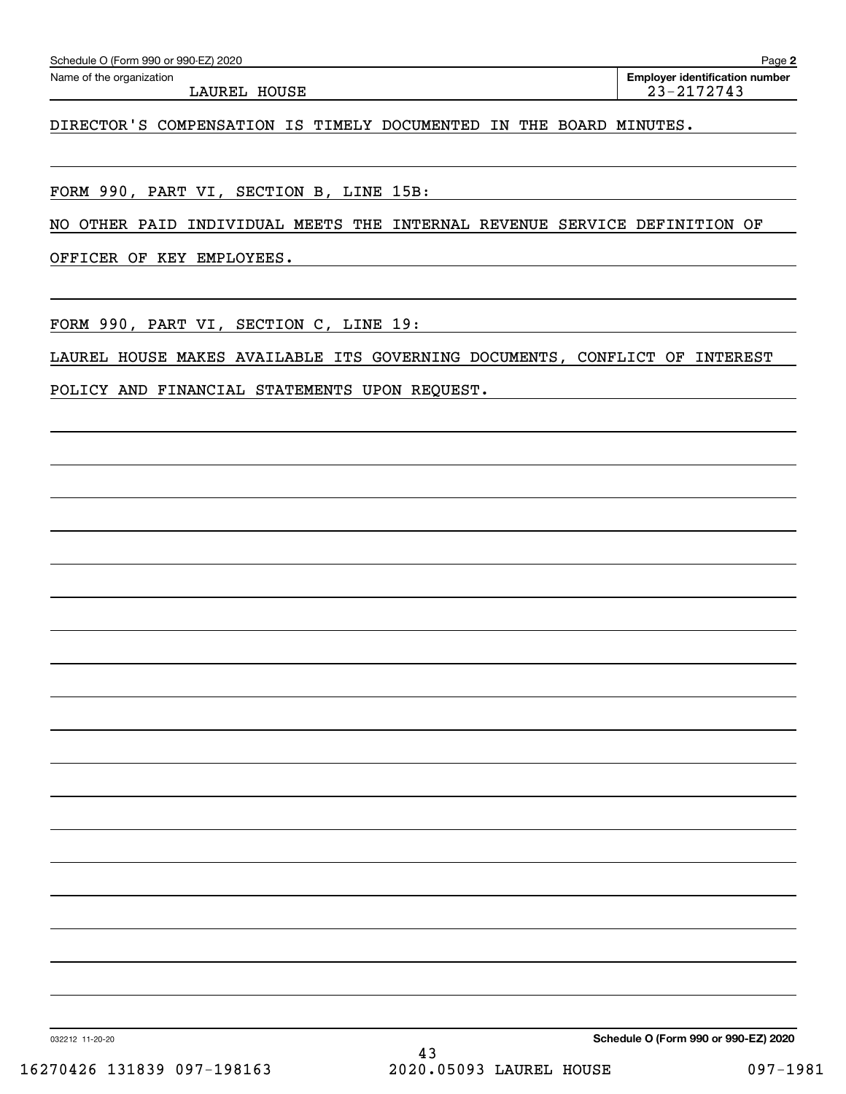| Schedule O (Form 990 or 990-EZ) 2020 |  |
|--------------------------------------|--|
|--------------------------------------|--|

Echedule O (Form 990 or 990-EZ) 2020<br>Name of the organization **number** Name of the organization **number** LAUREL HOUSE 23-2172743

DIRECTOR'S COMPENSATION IS TIMELY DOCUMENTED IN THE BOARD MINUTES.

FORM 990, PART VI, SECTION B, LINE 15B:

NO OTHER PAID INDIVIDUAL MEETS THE INTERNAL REVENUE SERVICE DEFINITION OF

OFFICER OF KEY EMPLOYEES.

FORM 990, PART VI, SECTION C, LINE 19:

LAUREL HOUSE MAKES AVAILABLE ITS GOVERNING DOCUMENTS, CONFLICT OF INTEREST

POLICY AND FINANCIAL STATEMENTS UPON REQUEST.

032212 11-20-20

**Schedule O (Form 990 or 990-EZ) 2020**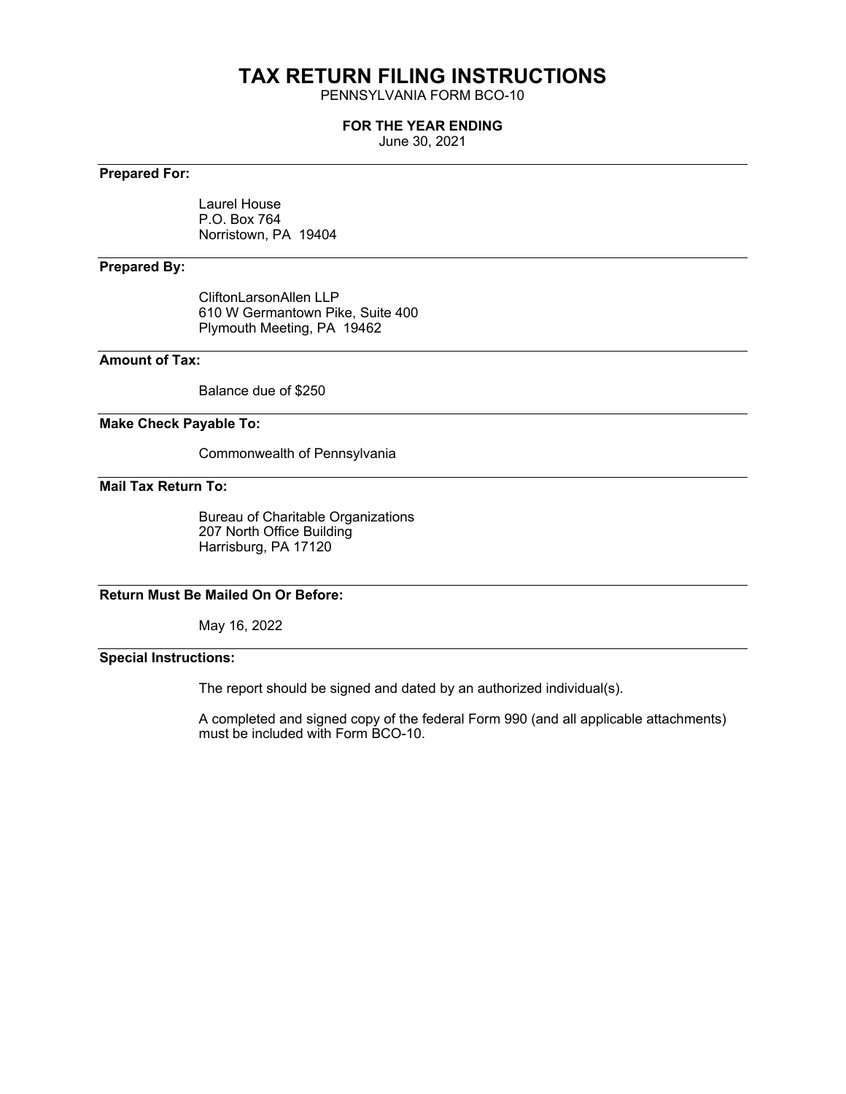# **TAX RETURN FILING INSTRUCTIONS**

PENNSYLVANIA FORM BCO-10

### **FOR THE YEAR ENDING**

June 30, 2021

# **Prepared For:**

Laurel House P.O. Box 764 Norristown, PA 19404

# **Prepared By:**

CliftonLarsonAllen LLP 610 W Germantown Pike, Suite 400 Plymouth Meeting, PA 19462

# **Amount of Tax:**

Balance due of \$250

#### **Make Check Payable To:**

Commonwealth of Pennsylvania

### **Mail Tax Return To:**

Bureau of Charitable Organizations 207 North Office Building Harrisburg, PA 17120

# **Return Must Be Mailed On Or Before:**

May 16, 2022

# **Special Instructions:**

The report should be signed and dated by an authorized individual(s).

A completed and signed copy of the federal Form 990 (and all applicable attachments) must be included with Form BCO-10.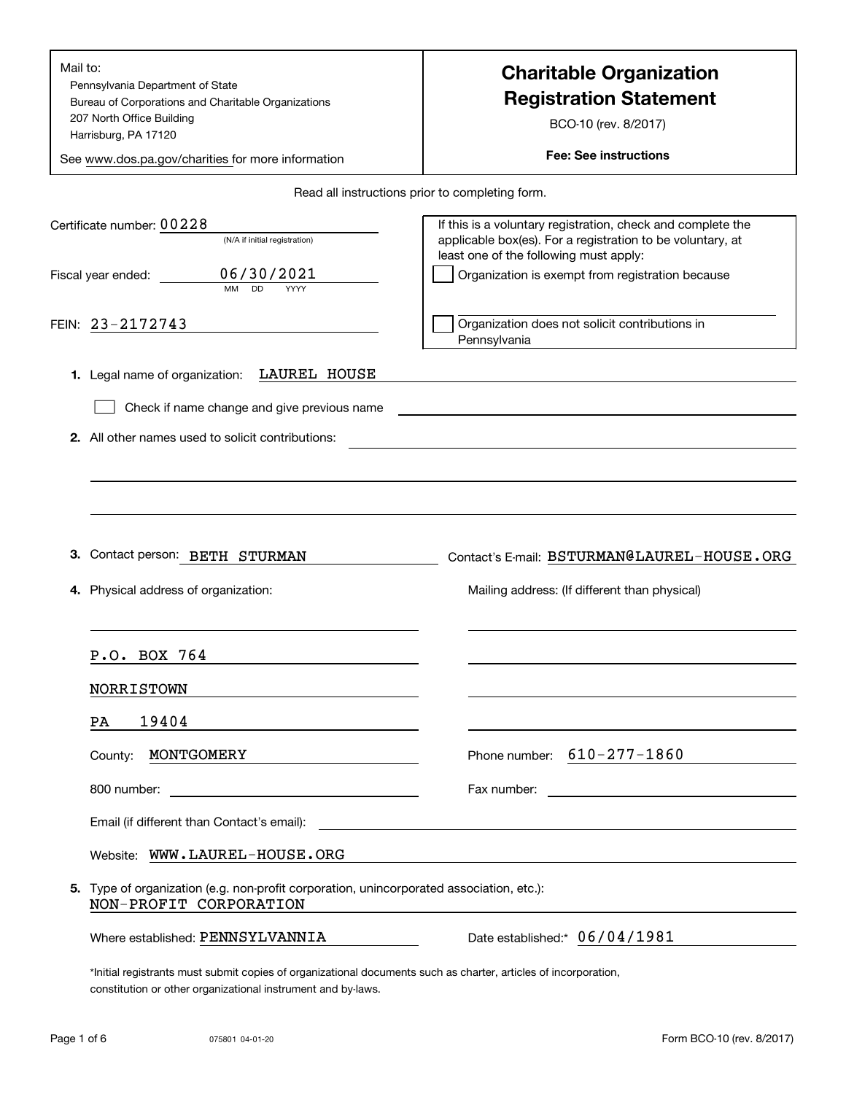| Mail to:<br>Pennsylvania Department of State<br>Bureau of Corporations and Charitable Organizations<br>207 North Office Building<br>Harrisburg, PA 17120 | <b>Charitable Organization</b><br><b>Registration Statement</b><br>BCO-10 (rev. 8/2017)                                                                                                                                              |  |  |  |  |
|----------------------------------------------------------------------------------------------------------------------------------------------------------|--------------------------------------------------------------------------------------------------------------------------------------------------------------------------------------------------------------------------------------|--|--|--|--|
| See www.dos.pa.gov/charities for more information                                                                                                        | <b>Fee: See instructions</b>                                                                                                                                                                                                         |  |  |  |  |
|                                                                                                                                                          | Read all instructions prior to completing form.                                                                                                                                                                                      |  |  |  |  |
| Certificate number: 00228<br>(N/A if initial registration)<br>06/30/2021<br>Fiscal year ended:<br>MM<br><b>DD</b><br>YYYY                                | If this is a voluntary registration, check and complete the<br>applicable box(es). For a registration to be voluntary, at<br>least one of the following must apply:<br>Organization is exempt from registration because              |  |  |  |  |
| FEIN: 23-2172743                                                                                                                                         | Organization does not solicit contributions in<br>Pennsylvania                                                                                                                                                                       |  |  |  |  |
| LAUREL HOUSE<br>1. Legal name of organization:<br>Check if name change and give previous name<br>2. All other names used to solicit contributions:       |                                                                                                                                                                                                                                      |  |  |  |  |
| З.<br>Contact person: BETH STURMAN<br>Physical address of organization:                                                                                  | Contact's E-mail: BSTURMAN@LAUREL-HOUSE.ORG<br>Mailing address: (If different than physical)                                                                                                                                         |  |  |  |  |
| P.O. BOX 764                                                                                                                                             |                                                                                                                                                                                                                                      |  |  |  |  |
| <b>NORRISTOWN</b>                                                                                                                                        |                                                                                                                                                                                                                                      |  |  |  |  |
| 19404<br>PA                                                                                                                                              |                                                                                                                                                                                                                                      |  |  |  |  |
| MONTGOMERY<br>County:<br>the control of the control of the control of the control of                                                                     | Phone number: $610 - 277 - 1860$                                                                                                                                                                                                     |  |  |  |  |
|                                                                                                                                                          |                                                                                                                                                                                                                                      |  |  |  |  |
| Email (if different than Contact's email):                                                                                                               | <u>and the state of the state of the state of the state of the state of the state of the state of the state of the state of the state of the state of the state of the state of the state of the state of the state of the state</u> |  |  |  |  |
| Website: WWW.LAUREL-HOUSE.ORG                                                                                                                            |                                                                                                                                                                                                                                      |  |  |  |  |
| 5. Type of organization (e.g. non-profit corporation, unincorporated association, etc.):<br>NON-PROFIT CORPORATION                                       |                                                                                                                                                                                                                                      |  |  |  |  |
| Where established: PENNSYLVANNIA                                                                                                                         | Date established:* 06/04/1981                                                                                                                                                                                                        |  |  |  |  |
| *Initial registrants must submit copies of organizational documents such as charter, articles of incorporation,                                          |                                                                                                                                                                                                                                      |  |  |  |  |

constitution or other organizational instrument and by-laws.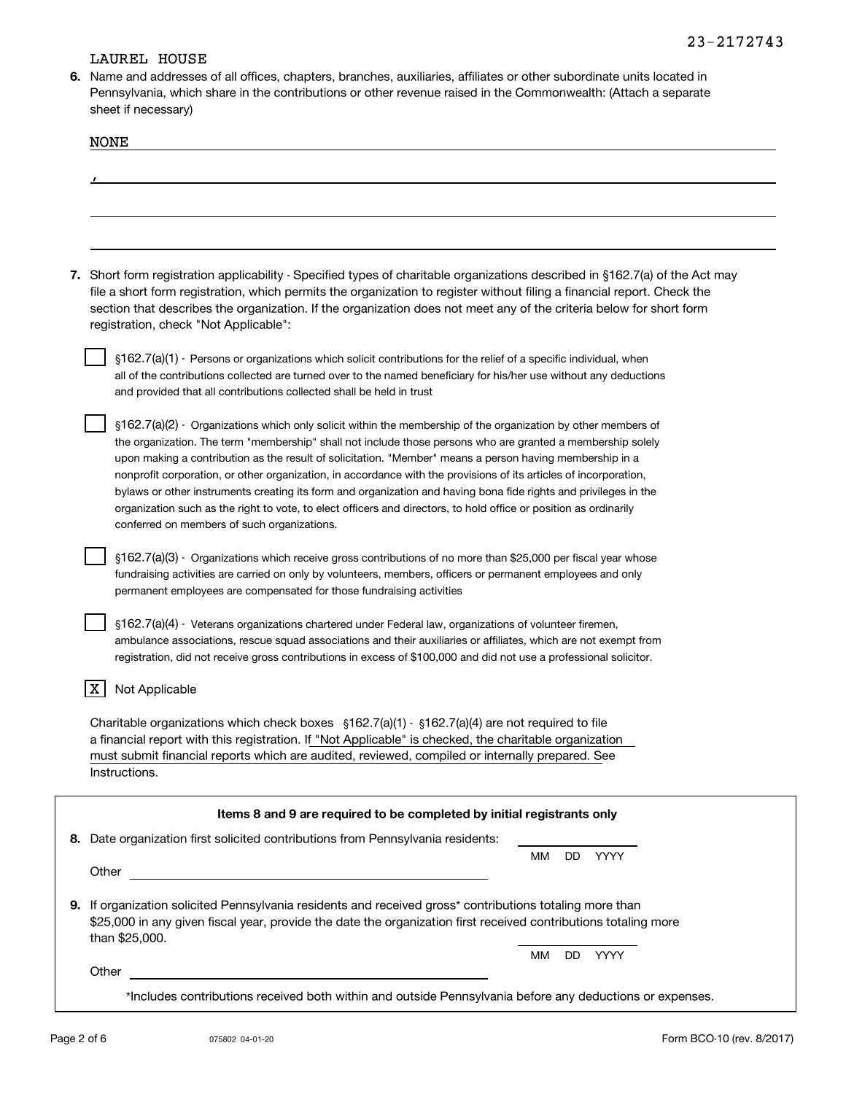## LAUREL HOUSE

**6.**Name and addresses of all offices, chapters, branches, auxiliaries, affiliates or other subordinate units located in Pennsylvania, which share in the contributions or other revenue raised in the Commonwealth: (Attach a separate sheet if necessary)

| <b>NONE</b>                                                                                                                                                                                                                                                                                                                                                                                                             |                   |
|-------------------------------------------------------------------------------------------------------------------------------------------------------------------------------------------------------------------------------------------------------------------------------------------------------------------------------------------------------------------------------------------------------------------------|-------------------|
|                                                                                                                                                                                                                                                                                                                                                                                                                         |                   |
|                                                                                                                                                                                                                                                                                                                                                                                                                         |                   |
|                                                                                                                                                                                                                                                                                                                                                                                                                         |                   |
|                                                                                                                                                                                                                                                                                                                                                                                                                         |                   |
|                                                                                                                                                                                                                                                                                                                                                                                                                         |                   |
| 7. Short form registration applicability - Specified types of charitable organizations described in §162.7(a) of the Act may<br>file a short form registration, which permits the organization to register without filing a financial report. Check the<br>section that describes the organization. If the organization does not meet any of the criteria below for short form<br>registration, check "Not Applicable": |                   |
| §162.7(a)(1) - Persons or organizations which solicit contributions for the relief of a specific individual, when<br>all of the contributions collected are turned over to the named beneficiary for his/her use without any deductions<br>and provided that all contributions collected shall be held in trust                                                                                                         |                   |
| §162.7(a)(2) - Organizations which only solicit within the membership of the organization by other members of<br>the organization. The term "membership" shall not include those persons who are granted a membership solely                                                                                                                                                                                            |                   |
| upon making a contribution as the result of solicitation. "Member" means a person having membership in a                                                                                                                                                                                                                                                                                                                |                   |
| nonprofit corporation, or other organization, in accordance with the provisions of its articles of incorporation,<br>bylaws or other instruments creating its form and organization and having bona fide rights and privileges in the                                                                                                                                                                                   |                   |
| organization such as the right to vote, to elect officers and directors, to hold office or position as ordinarily<br>conferred on members of such organizations.                                                                                                                                                                                                                                                        |                   |
| §162.7(a)(3) - Organizations which receive gross contributions of no more than \$25,000 per fiscal year whose<br>fundraising activities are carried on only by volunteers, members, officers or permanent employees and only<br>permanent employees are compensated for those fundraising activities                                                                                                                    |                   |
| §162.7(a)(4) - Veterans organizations chartered under Federal law, organizations of volunteer firemen,<br>ambulance associations, rescue squad associations and their auxiliaries or affiliates, which are not exempt from<br>registration, did not receive gross contributions in excess of \$100,000 and did not use a professional solicitor.                                                                        |                   |
| X<br>Not Applicable                                                                                                                                                                                                                                                                                                                                                                                                     |                   |
| Charitable organizations which check boxes $\S162.7(a)(1)$ - $\S162.7(a)(4)$ are not required to file<br>a financial report with this registration. If "Not Applicable" is checked, the charitable organization<br>must submit financial reports which are audited, reviewed, compiled or internally prepared. See<br>Instructions.                                                                                     |                   |
| Items 8 and 9 are required to be completed by initial registrants only                                                                                                                                                                                                                                                                                                                                                  |                   |
| 8. Date organization first solicited contributions from Pennsylvania residents:                                                                                                                                                                                                                                                                                                                                         |                   |
| Other                                                                                                                                                                                                                                                                                                                                                                                                                   | YYYY<br>МM<br>DD. |
| 9. If organization solicited Pennsylvania residents and received gross* contributions totaling more than<br>\$25,000 in any given fiscal year, provide the date the organization first received contributions totaling more<br>than \$25,000.                                                                                                                                                                           |                   |
| Other                                                                                                                                                                                                                                                                                                                                                                                                                   | YYYY<br>MМ<br>DD. |
|                                                                                                                                                                                                                                                                                                                                                                                                                         |                   |

\*Includes contributions received both within and outside Pennsylvania before any deductions or expenses.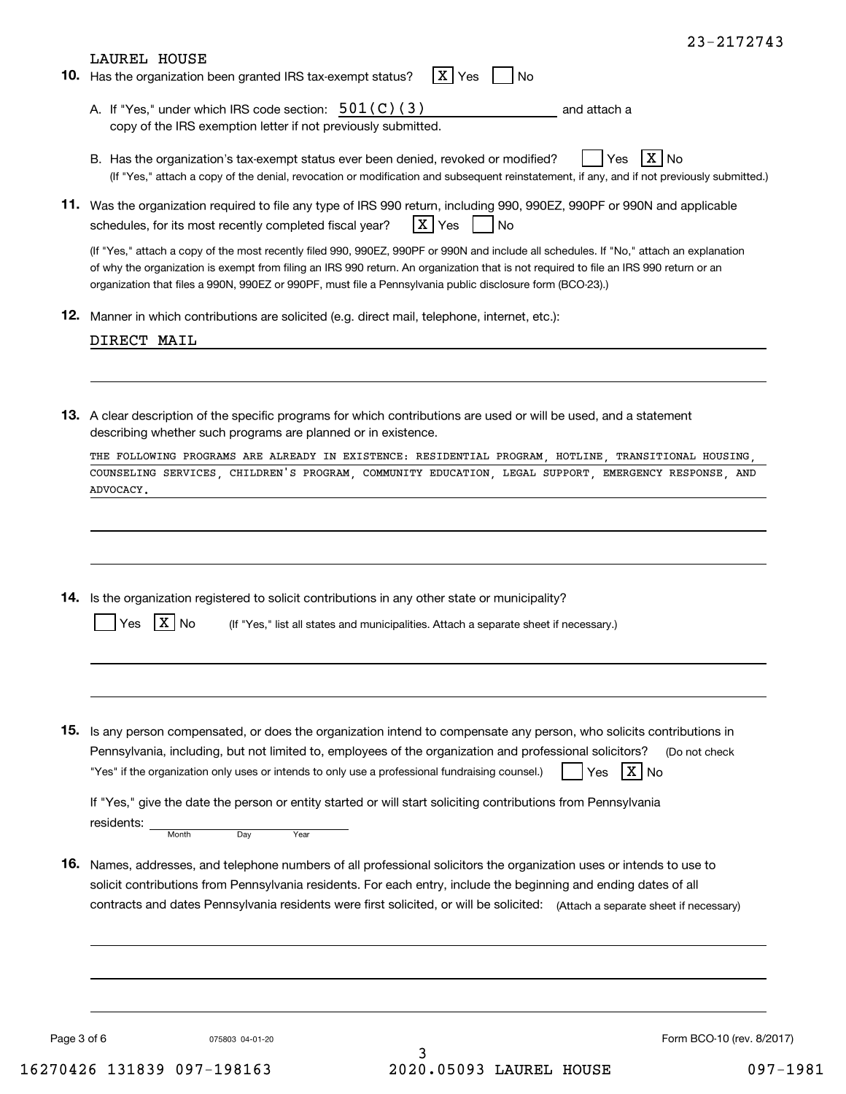| LAUREL HOUSE<br>10. Has the organization been granted IRS tax-exempt status?<br>ΙX.<br>No<br>Yes                                                                                                                                                                                                                                                                                               |
|------------------------------------------------------------------------------------------------------------------------------------------------------------------------------------------------------------------------------------------------------------------------------------------------------------------------------------------------------------------------------------------------|
| A. If "Yes," under which IRS code section: $501(C)(3)$<br>and attach a<br>copy of the IRS exemption letter if not previously submitted.                                                                                                                                                                                                                                                        |
| $X \mid No$<br>B. Has the organization's tax-exempt status ever been denied, revoked or modified?<br>Yes<br>(If "Yes," attach a copy of the denial, revocation or modification and subsequent reinstatement, if any, and if not previously submitted.)                                                                                                                                         |
| 11. Was the organization required to file any type of IRS 990 return, including 990, 990EZ, 990PF or 990N and applicable<br>X Yes<br>schedules, for its most recently completed fiscal year?<br>l No                                                                                                                                                                                           |
| (If "Yes," attach a copy of the most recently filed 990, 990EZ, 990PF or 990N and include all schedules. If "No," attach an explanation<br>of why the organization is exempt from filing an IRS 990 return. An organization that is not required to file an IRS 990 return or an<br>organization that files a 990N, 990EZ or 990PF, must file a Pennsylvania public disclosure form (BCO-23).) |
| <b>12.</b> Manner in which contributions are solicited (e.g. direct mail, telephone, internet, etc.):                                                                                                                                                                                                                                                                                          |
| DIRECT MAIL                                                                                                                                                                                                                                                                                                                                                                                    |
| 13. A clear description of the specific programs for which contributions are used or will be used, and a statement<br>describing whether such programs are planned or in existence.                                                                                                                                                                                                            |
| THE FOLLOWING PROGRAMS ARE ALREADY IN EXISTENCE: RESIDENTIAL PROGRAM, HOTLINE, TRANSITIONAL HOUSING,                                                                                                                                                                                                                                                                                           |
| COUNSELING SERVICES, CHILDREN'S PROGRAM, COMMUNITY EDUCATION, LEGAL SUPPORT, EMERGENCY RESPONSE, AND<br>ADVOCACY.                                                                                                                                                                                                                                                                              |
| 14. Is the organization registered to solicit contributions in any other state or municipality?<br>(If "Yes," list all states and municipalities. Attach a separate sheet if necessary.)<br>Yes                                                                                                                                                                                                |
|                                                                                                                                                                                                                                                                                                                                                                                                |
| 15. Is any person compensated, or does the organization intend to compensate any person, who solicits contributions in<br>Pennsylvania, including, but not limited to, employees of the organization and professional solicitors?<br>(Do not check                                                                                                                                             |
| $X \mid N$ o<br>"Yes" if the organization only uses or intends to only use a professional fundraising counsel.)<br>Yes<br>If "Yes," give the date the person or entity started or will start soliciting contributions from Pennsylvania<br>residents:<br>Day<br>Month<br>Year                                                                                                                  |
| 16. Names, addresses, and telephone numbers of all professional solicitors the organization uses or intends to use to<br>solicit contributions from Pennsylvania residents. For each entry, include the beginning and ending dates of all<br>contracts and dates Pennsylvania residents were first solicited, or will be solicited: (Attach a separate sheet if necessary)                     |
|                                                                                                                                                                                                                                                                                                                                                                                                |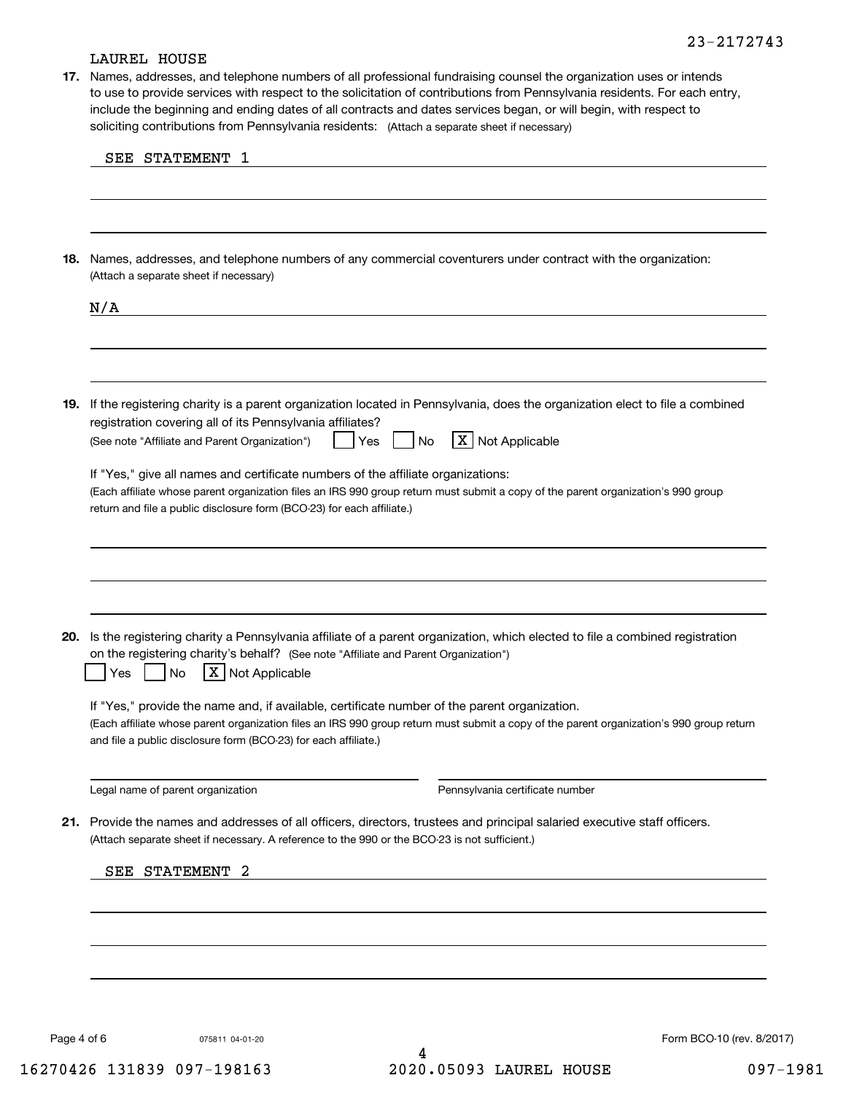# 23-2172743

#### LAUREL HOUSE

soliciting contributions from Pennsylvania residents: (Attach a separate sheet if necessary) **17.** Names, addresses, and telephone numbers of all professional fundraising counsel the organization uses or intends to use to provide services with respect to the solicitation of contributions from Pennsylvania residents. For each entry, include the beginning and ending dates of all contracts and dates services began, or will begin, with respect to

| Names, addresses, and telephone numbers of any commercial coventurers under contract with the organization:<br>18.                                                                                                                                                                                          |
|-------------------------------------------------------------------------------------------------------------------------------------------------------------------------------------------------------------------------------------------------------------------------------------------------------------|
| (Attach a separate sheet if necessary)                                                                                                                                                                                                                                                                      |
| N/A                                                                                                                                                                                                                                                                                                         |
|                                                                                                                                                                                                                                                                                                             |
| 19. If the registering charity is a parent organization located in Pennsylvania, does the organization elect to file a combined<br>registration covering all of its Pennsylvania affiliates?                                                                                                                |
| X Not Applicable<br>(See note "Affiliate and Parent Organization")<br>No.<br>Yes                                                                                                                                                                                                                            |
| If "Yes," give all names and certificate numbers of the affiliate organizations:                                                                                                                                                                                                                            |
| (Each affiliate whose parent organization files an IRS 990 group return must submit a copy of the parent organization's 990 group<br>return and file a public disclosure form (BCO-23) for each affiliate.)                                                                                                 |
|                                                                                                                                                                                                                                                                                                             |
|                                                                                                                                                                                                                                                                                                             |
| 20. Is the registering charity a Pennsylvania affiliate of a parent organization, which elected to file a combined registration<br>on the registering charity's behalf? (See note "Affiliate and Parent Organization")<br>X Not Applicable<br>No<br>Yes                                                     |
|                                                                                                                                                                                                                                                                                                             |
|                                                                                                                                                                                                                                                                                                             |
| If "Yes," provide the name and, if available, certificate number of the parent organization.<br>(Each affiliate whose parent organization files an IRS 990 group return must submit a copy of the parent organization's 990 group return<br>and file a public disclosure form (BCO-23) for each affiliate.) |
| Legal name of parent organization<br>Pennsylvania certificate number                                                                                                                                                                                                                                        |
| (Attach separate sheet if necessary. A reference to the 990 or the BCO-23 is not sufficient.)                                                                                                                                                                                                               |
| 21. Provide the names and addresses of all officers, directors, trustees and principal salaried executive staff officers.<br>SEE STATEMENT<br>-2                                                                                                                                                            |
|                                                                                                                                                                                                                                                                                                             |

16270426 131839 097-198163 2020.05093 LAUREL HOUSE 097-1981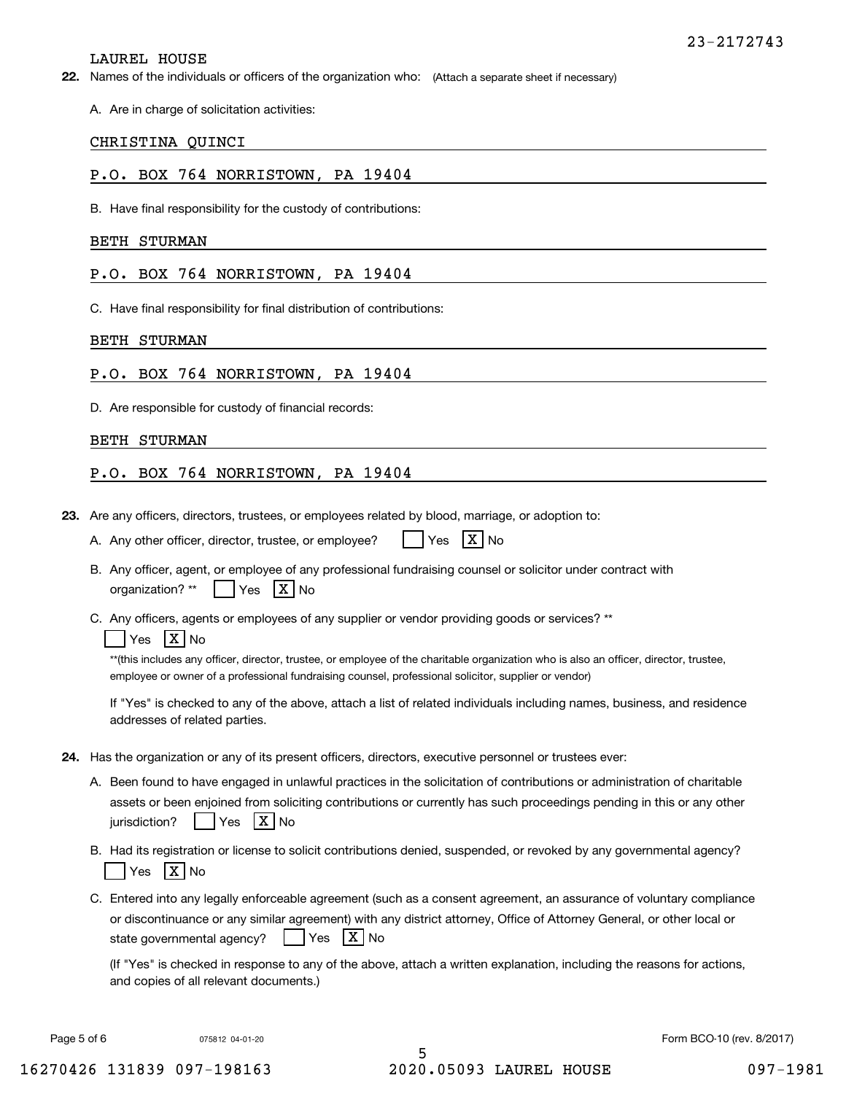#### LAUREL HOUSE

**22.** Names of the individuals or officers of the organization who: (Attach a separate sheet if necessary)

A. Are in charge of solicitation activities:

#### CHRISTINA QUINCI

## P.O. BOX 764 NORRISTOWN, PA 19404

B. Have final responsibility for the custody of contributions:

#### BETH STURMAN

P.O. BOX 764 NORRISTOWN, PA 19404

C. Have final responsibility for final distribution of contributions:

#### BETH STURMAN

### P.O. BOX 764 NORRISTOWN, PA 19404

D. Are responsible for custody of financial records:

#### BETH STURMAN

#### P.O. BOX 764 NORRISTOWN, PA 19404

**23.**Are any officers, directors, trustees, or employees related by blood, marriage, or adoption to:

| A. Any other officer, director, trustee, or employee? |  | $Yes$ $X No$ |  |  |
|-------------------------------------------------------|--|--------------|--|--|
|-------------------------------------------------------|--|--------------|--|--|

- B. Any officer, agent, or employee of any professional fundraising counsel or solicitor under contract with organization?  $^{\star\star}$  | Yes  $\mathsf{X} \mathsf{N}$ o
- C. Any officers, agents or employees of any supplier or vendor providing goods or services? \*\*

## Yes |X|No

\*\*(this includes any officer, director, trustee, or employee of the charitable organization who is also an officer, director, trustee, employee or owner of a professional fundraising counsel, professional solicitor, supplier or vendor)

If "Yes" is checked to any of the above, attach a list of related individuals including names, business, and residence addresses of related parties.

- **24.**Has the organization or any of its present officers, directors, executive personnel or trustees ever:
	- A. Been found to have engaged in unlawful practices in the solicitation of contributions or administration of charitable assets or been enjoined from soliciting contributions or currently has such proceedings pending in this or any other jurisdiction?n? | |Yes |X|No
	- B. Had its registration or license to solicit contributions denied, suspended, or revoked by any governmental agency? Yes |X|No
	- C. Entered into any legally enforceable agreement (such as a consent agreement, an assurance of voluntary compliance or discontinuance or any similar agreement) with any district attorney, Office of Attorney General, or other local or state governmental agency?  $Yes$   $X$  No

(If "Yes" is checked in response to any of the above, attach a written explanation, including the reasons for actions, and copies of all relevant documents.)

Page 5 of 6 **Form BCO-10** (rev. 8/2017) **Page 5 of 6** Form BCO-10 (rev. 8/2017)

5 16270426 131839 097-198163 2020.05093 LAUREL HOUSE 097-1981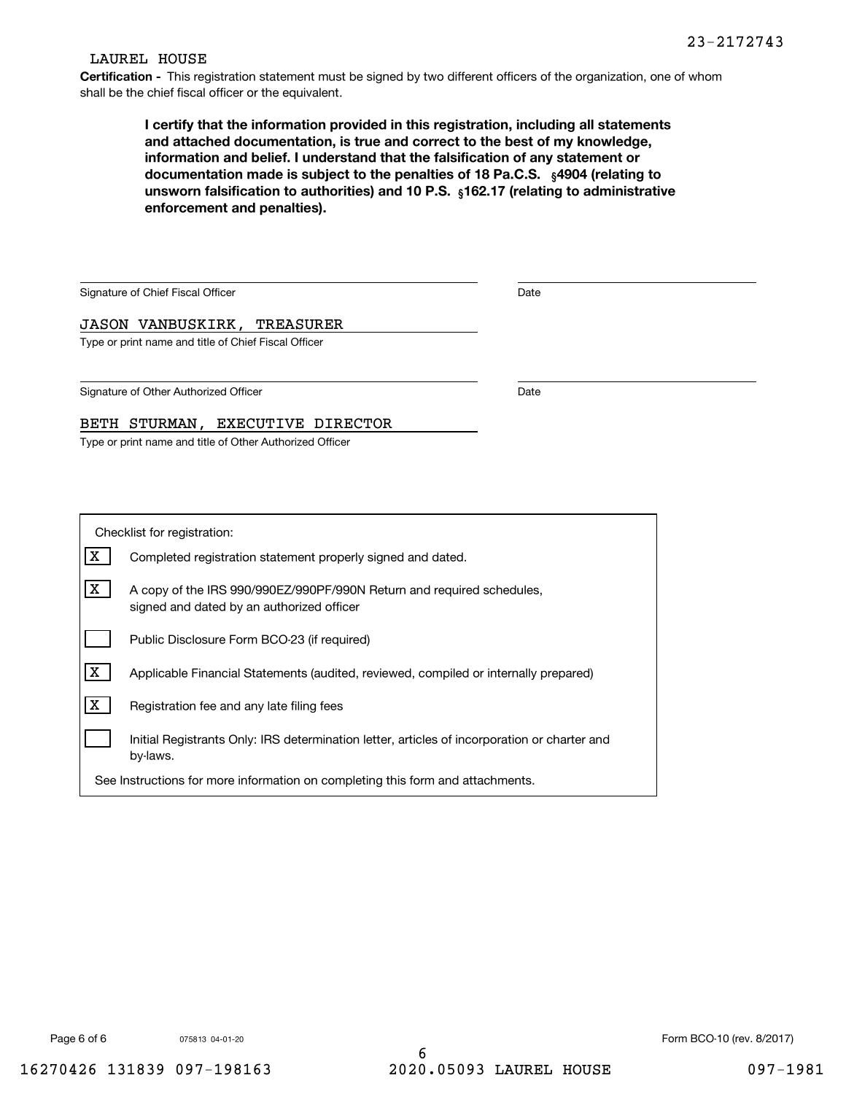#### LAUREL HOUSE

**Certification -** This registration statement must be signed by two different officers of the organization, one of whom shall be the chief fiscal officer or the equivalent.

> documentation made is subject to the penalties of 18 Pa.C.S.  $\ _{\S}$ 4904 (relating to **<b>unsworn falsification to authorities) and 10 P.S.** <sub>§</sub>162.17 (relating to administrative **I certify that the information provided in this registration, including all statements and attached documentation, is true and correct to the best of my knowledge, information and belief. I understand that the falsification of any statement or enforcement and penalties).**

| Date |  |
|------|--|
|      |  |
|      |  |
|      |  |
| Date |  |
|      |  |
|      |  |
|      |  |

| Checklist for registration:                                                    |                                                                                                                    |  |  |  |
|--------------------------------------------------------------------------------|--------------------------------------------------------------------------------------------------------------------|--|--|--|
|                                                                                | Completed registration statement properly signed and dated.                                                        |  |  |  |
| х                                                                              | A copy of the IRS 990/990EZ/990PF/990N Return and required schedules.<br>signed and dated by an authorized officer |  |  |  |
|                                                                                | Public Disclosure Form BCO-23 (if required)                                                                        |  |  |  |
| x                                                                              | Applicable Financial Statements (audited, reviewed, compiled or internally prepared)                               |  |  |  |
| x                                                                              | Registration fee and any late filing fees                                                                          |  |  |  |
|                                                                                | Initial Registrants Only: IRS determination letter, articles of incorporation or charter and<br>by-laws.           |  |  |  |
| See Instructions for more information on completing this form and attachments. |                                                                                                                    |  |  |  |

075813 04-01-20

Page 6 of 6 6 6 6 6 6 6 6 75813 04-01-20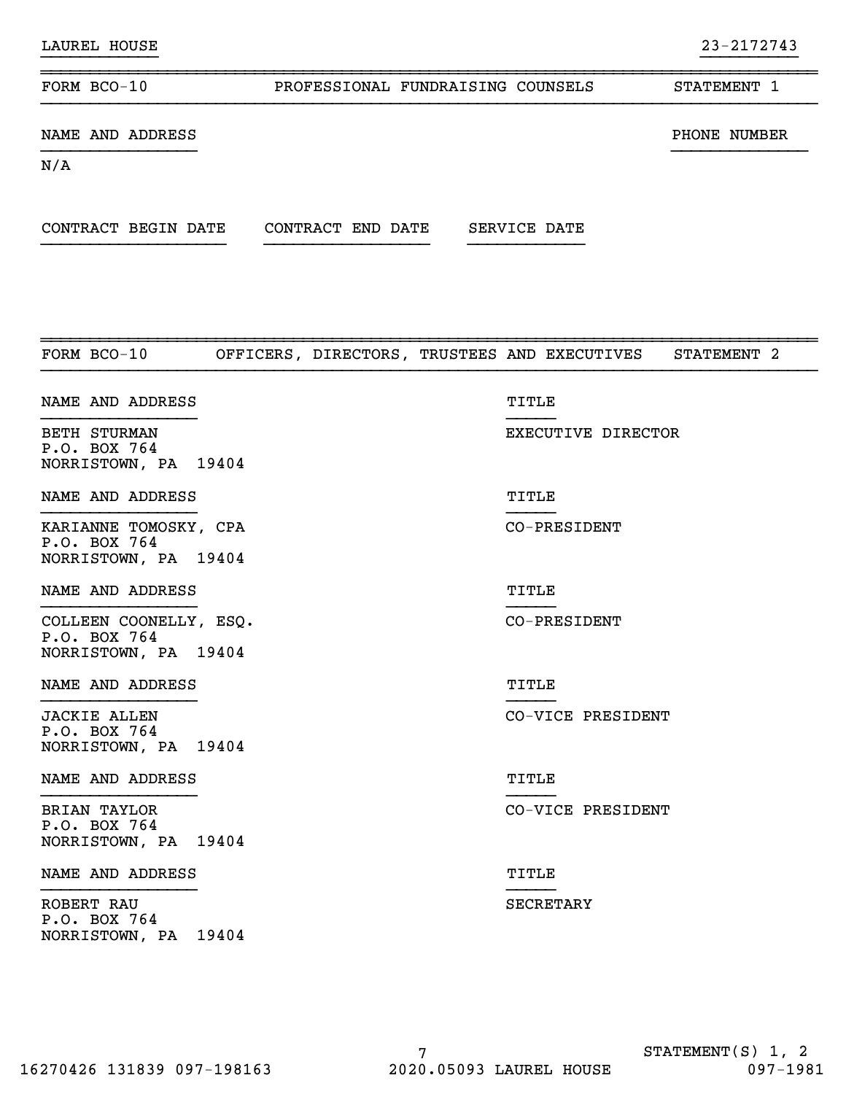| NAME AND ADDRESS                                              |                                                          |                    | PHONE NUMBER |
|---------------------------------------------------------------|----------------------------------------------------------|--------------------|--------------|
| N/A                                                           |                                                          |                    |              |
|                                                               |                                                          |                    |              |
| FORM BCO-10                                                   | OFFICERS, DIRECTORS, TRUSTEES AND EXECUTIVES STATEMENT 2 |                    |              |
| NAME AND ADDRESS                                              |                                                          | TITLE              |              |
| <b>BETH STURMAN</b><br>P.O. BOX 764<br>NORRISTOWN, PA 19404   |                                                          | EXECUTIVE DIRECTOR |              |
| NAME AND ADDRESS                                              |                                                          | TITLE              |              |
| KARIANNE TOMOSKY, CPA<br>P.O. BOX 764<br>NORRISTOWN, PA 19404 |                                                          | CO-PRESIDENT       |              |

NAME AND ADDRESS TITLE

}}}}}}}}}}}}}}}} }}}}}

}}}}}}}}}}}}}}}} }}}}}

}}}}}}}}}}}}}}}} }}}}}

}}}}}}}}}}}} }}}}}}}}}}

~~~~~~~~~~~~~~~~~~~~~~~~~~~~~~~~~~~~~~~~~~~~~~~~~~~~~~~~~~~~~~~~~~~~~~~~~~~~~~~~

}}}}}}}}}}}}}}}} }}}}} COLLEEN COONELLY, ESQ. CO-PRESIDENT P.O. BOX 764 NORRISTOWN, PA 19404

NAME AND ADDRESS TITLE

JACKIE ALLEN CO-VICE PRESIDENT P.O. BOX 764 NORRISTOWN, PA 19404

#### NAME AND ADDRESS TITLE

BRIAN TAYLOR CO-VICE PRESIDENT P.O. BOX 764 NORRISTOWN, PA 19404

#### NAME AND ADDRESS TITLE

ROBERT RAU SECRETARY SECRETARY SECRETARY P.O. BOX 764 NORRISTOWN, PA 19404

# FORM BCO-10 **PROFESSIONAL FUNDRAISING COUNSELS** STATEMENT 1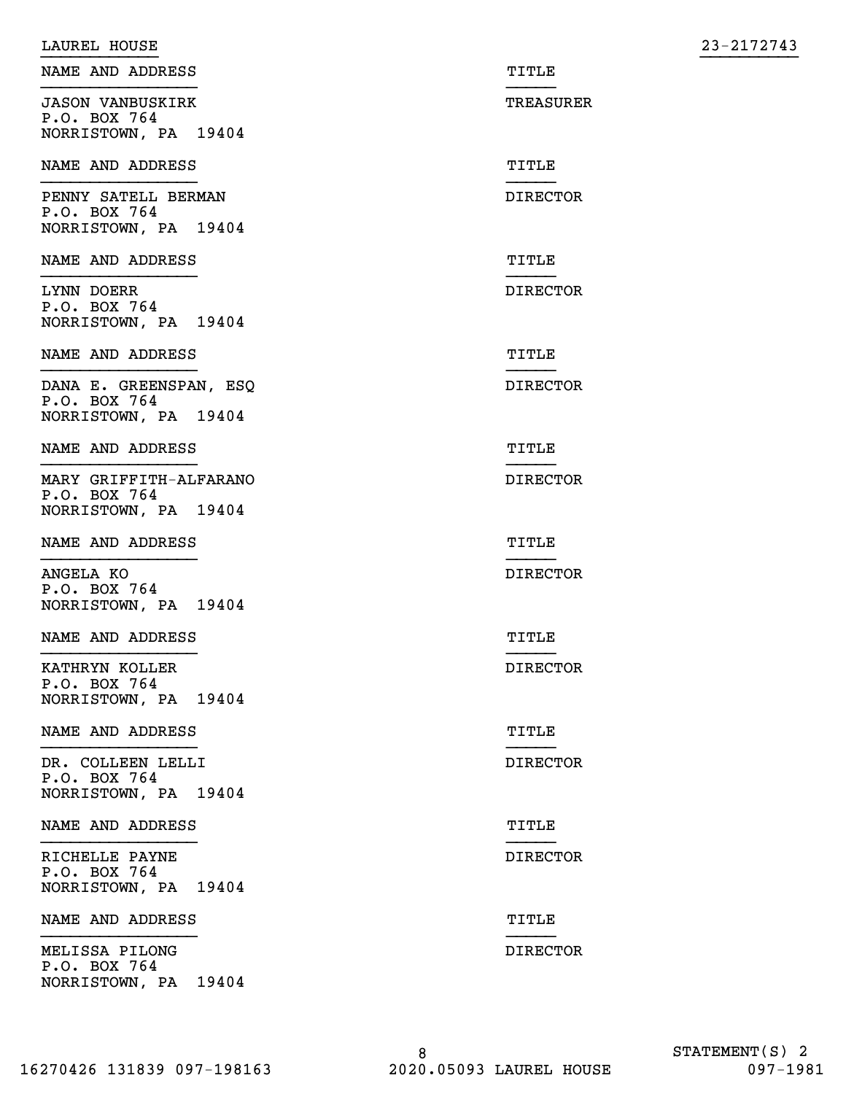| LAUREL HOUSE                           |                 | 23-2172743 |
|----------------------------------------|-----------------|------------|
| NAME AND ADDRESS                       | TITLE           |            |
| <b>JASON VANBUSKIRK</b>                | TREASURER       |            |
| P.O. BOX 764<br>NORRISTOWN, PA 19404   |                 |            |
| NAME AND ADDRESS                       | TITLE           |            |
| PENNY SATELL BERMAN<br>P.O. BOX 764    | <b>DIRECTOR</b> |            |
| NORRISTOWN, PA 19404                   |                 |            |
| NAME AND ADDRESS                       | TITLE           |            |
| LYNN DOERR<br>P.O. BOX 764             | <b>DIRECTOR</b> |            |
| NORRISTOWN, PA 19404                   |                 |            |
| NAME AND ADDRESS                       | TITLE           |            |
| DANA E. GREENSPAN, ESQ<br>P.O. BOX 764 | <b>DIRECTOR</b> |            |
| NORRISTOWN, PA 19404                   |                 |            |
| NAME AND ADDRESS                       | TITLE           |            |
| MARY GRIFFITH-ALFARANO<br>P.O. BOX 764 | <b>DIRECTOR</b> |            |
| NORRISTOWN, PA 19404                   |                 |            |
| NAME AND ADDRESS                       | TITLE           |            |
| ANGELA KO<br>P.O. BOX 764              | <b>DIRECTOR</b> |            |
| NORRISTOWN, PA 19404                   |                 |            |
| NAME AND ADDRESS                       | TITLE           |            |
| KATHRYN KOLLER<br>P.O. BOX 764         | <b>DIRECTOR</b> |            |
| NORRISTOWN, PA 19404                   |                 |            |
| NAME AND ADDRESS                       | TITLE           |            |
| DR. COLLEEN LELLI<br>P.O. BOX 764      | <b>DIRECTOR</b> |            |
| NORRISTOWN, PA 19404                   |                 |            |
| NAME AND ADDRESS                       | TITLE           |            |
| RICHELLE PAYNE<br>P.O. BOX 764         | <b>DIRECTOR</b> |            |
| NORRISTOWN, PA 19404                   |                 |            |
| NAME AND ADDRESS                       | TITLE           |            |
| MELISSA PILONG<br>P.O. BOX 764         | <b>DIRECTOR</b> |            |
| NORRISTOWN, PA 19404                   |                 |            |

16270426 131839 097-198163 2020.05093 LAUREL HOUSE 097-1981